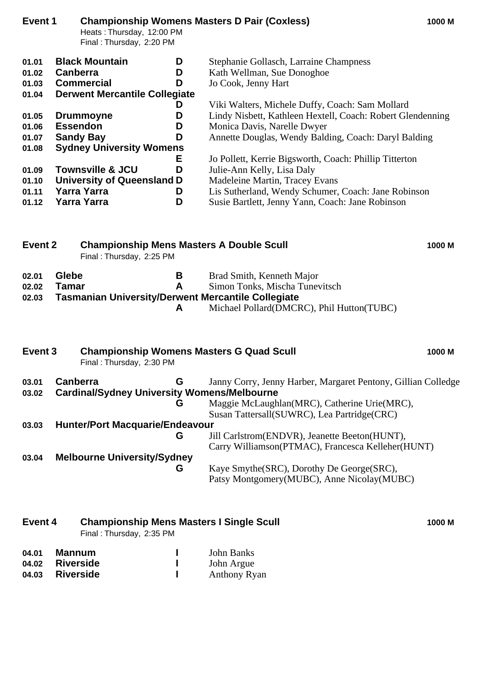| Event 1                                                                                                            | Heats: Thursday, 12:00 PM<br>Final: Thursday, 2:20 PM                                                                                                                                                                              |                                           | <b>Championship Womens Masters D Pair (Coxless)</b>                                                                                                                                                                                                                                                                                                                                         | 1000 M |
|--------------------------------------------------------------------------------------------------------------------|------------------------------------------------------------------------------------------------------------------------------------------------------------------------------------------------------------------------------------|-------------------------------------------|---------------------------------------------------------------------------------------------------------------------------------------------------------------------------------------------------------------------------------------------------------------------------------------------------------------------------------------------------------------------------------------------|--------|
| 01.01<br>01.02<br>01.03<br>01.04<br>01.05<br>01.06<br>01.07<br>01.08<br>01.09                                      | <b>Black Mountain</b><br><b>Canberra</b><br><b>Commercial</b><br><b>Derwent Mercantile Collegiate</b><br><b>Drummoyne</b><br><b>Essendon</b><br><b>Sandy Bay</b><br><b>Sydney University Womens</b><br><b>Townsville &amp; JCU</b> | D<br>D<br>D<br>D<br>D<br>D<br>D<br>E<br>D | Stephanie Gollasch, Larraine Champness<br>Kath Wellman, Sue Donoghoe<br>Jo Cook, Jenny Hart<br>Viki Walters, Michele Duffy, Coach: Sam Mollard<br>Lindy Nisbett, Kathleen Hextell, Coach: Robert Glendenning<br>Monica Davis, Narelle Dwyer<br>Annette Douglas, Wendy Balding, Coach: Daryl Balding<br>Jo Pollett, Kerrie Bigsworth, Coach: Phillip Titterton<br>Julie-Ann Kelly, Lisa Daly |        |
| <b>University of Queensland D</b><br>01.10<br><b>Yarra Yarra</b><br>01.11<br>D<br><b>Yarra Yarra</b><br>D<br>01.12 |                                                                                                                                                                                                                                    |                                           | Madeleine Martin, Tracey Evans<br>Lis Sutherland, Wendy Schumer, Coach: Jane Robinson<br>Susie Bartlett, Jenny Yann, Coach: Jane Robinson                                                                                                                                                                                                                                                   |        |
| Event 2<br><b>Championship Mens Masters A Double Scull</b><br>1000 M<br>Final: Thursday, 2:25 PM                   |                                                                                                                                                                                                                                    |                                           |                                                                                                                                                                                                                                                                                                                                                                                             |        |
| 02.01<br>02.02<br>02.03                                                                                            | Glebe<br><b>Tamar</b><br><b>Tasmanian University/Derwent Mercantile Collegiate</b>                                                                                                                                                 | В<br>A<br>A                               | Brad Smith, Kenneth Major<br>Simon Tonks, Mischa Tunevitsch<br>Michael Pollard(DMCRC), Phil Hutton(TUBC)                                                                                                                                                                                                                                                                                    |        |
| Event <sub>3</sub>                                                                                                 | Final: Thursday, 2:30 PM                                                                                                                                                                                                           |                                           | <b>Championship Womens Masters G Quad Scull</b>                                                                                                                                                                                                                                                                                                                                             | 1000 M |
| 03.01<br>03.02                                                                                                     | <b>Canberra</b><br><b>Cardinal/Sydney University Womens/Melbourne</b>                                                                                                                                                              | G<br>G                                    | Janny Corry, Jenny Harber, Margaret Pentony, Gillian Colledge<br>Maggie McLaughlan(MRC), Catherine Urie(MRC),<br>Susan Tattersall(SUWRC), Lea Partridge(CRC)                                                                                                                                                                                                                                |        |
| 03.03                                                                                                              | <b>Hunter/Port Macquarie/Endeavour</b>                                                                                                                                                                                             | G                                         | Jill Carlstrom(ENDVR), Jeanette Beeton(HUNT),<br>Carry Williamson(PTMAC), Francesca Kelleher(HUNT)                                                                                                                                                                                                                                                                                          |        |

**03.04 Melbourne University/Sydney G** Kaye Smythe(SRC), Dorothy De George(SRC), Patsy Montgomery(MUBC), Anne Nicolay(MUBC)

| Event 4 |        | <b>Championship Mens Masters I Single Scull</b><br>Final: Thursday, 2:35 PM |  |            | 1000 M |
|---------|--------|-----------------------------------------------------------------------------|--|------------|--------|
| 04.01   | Mannum |                                                                             |  | John Banks |        |

**04.02 Riverside 1** John Argue<br> **04.03 Riverside 1** Anthony Ry **04.03 Riverside I** Anthony Ryan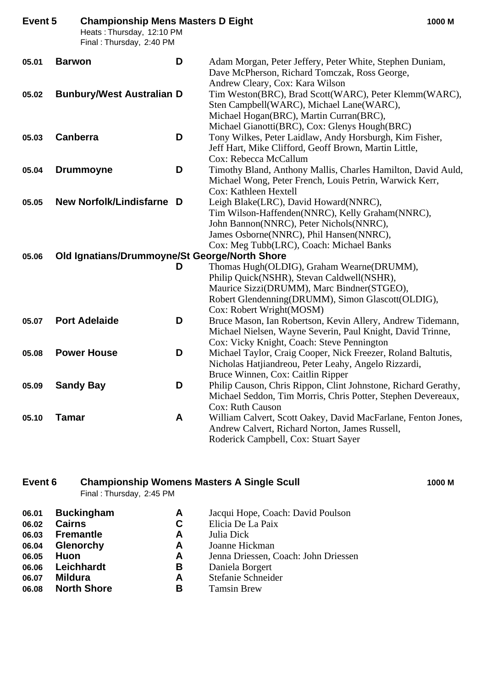| Event 5 | <b>Championship Mens Masters D Eight</b><br>Heats: Thursday, 12:10 PM<br>Final: Thursday, 2:40 PM |   | 1000 M                                                                                                                                                                                                                     |
|---------|---------------------------------------------------------------------------------------------------|---|----------------------------------------------------------------------------------------------------------------------------------------------------------------------------------------------------------------------------|
| 05.01   | <b>Barwon</b>                                                                                     | D | Adam Morgan, Peter Jeffery, Peter White, Stephen Duniam,<br>Dave McPherson, Richard Tomczak, Ross George,<br>Andrew Cleary, Cox: Kara Wilson                                                                               |
| 05.02   | <b>Bunbury/West Australian D</b>                                                                  |   | Tim Weston(BRC), Brad Scott(WARC), Peter Klemm(WARC),<br>Sten Campbell(WARC), Michael Lane(WARC),<br>Michael Hogan(BRC), Martin Curran(BRC),<br>Michael Gianotti(BRC), Cox: Glenys Hough(BRC)                              |
| 05.03   | <b>Canberra</b>                                                                                   | D | Tony Wilkes, Peter Laidlaw, Andy Horsburgh, Kim Fisher,<br>Jeff Hart, Mike Clifford, Geoff Brown, Martin Little,<br>Cox: Rebecca McCallum                                                                                  |
| 05.04   | <b>Drummoyne</b>                                                                                  | D | Timothy Bland, Anthony Mallis, Charles Hamilton, David Auld,<br>Michael Wong, Peter French, Louis Petrin, Warwick Kerr,<br>Cox: Kathleen Hextell                                                                           |
| 05.05   | New Norfolk/Lindisfarne D                                                                         |   | Leigh Blake(LRC), David Howard(NNRC),<br>Tim Wilson-Haffenden(NNRC), Kelly Graham(NNRC),<br>John Bannon(NNRC), Peter Nichols(NNRC),<br>James Osborne(NNRC), Phil Hansen(NNRC),<br>Cox: Meg Tubb(LRC), Coach: Michael Banks |
| 05.06   | Old Ignatians/Drummoyne/St George/North Shore                                                     |   |                                                                                                                                                                                                                            |
|         |                                                                                                   | D | Thomas Hugh(OLDIG), Graham Wearne(DRUMM),<br>Philip Quick(NSHR), Stevan Caldwell(NSHR),<br>Maurice Sizzi(DRUMM), Marc Bindner(STGEO),<br>Robert Glendenning(DRUMM), Simon Glascott(OLDIG),<br>Cox: Robert Wright(MOSM)     |
| 05.07   | <b>Port Adelaide</b>                                                                              | D | Bruce Mason, Ian Robertson, Kevin Allery, Andrew Tidemann,<br>Michael Nielsen, Wayne Severin, Paul Knight, David Trinne,<br>Cox: Vicky Knight, Coach: Steve Pennington                                                     |
| 05.08   | <b>Power House</b>                                                                                | D | Michael Taylor, Craig Cooper, Nick Freezer, Roland Baltutis,<br>Nicholas Hatjiandreou, Peter Leahy, Angelo Rizzardi,<br>Bruce Winnen, Cox: Caitlin Ripper                                                                  |
| 05.09   | <b>Sandy Bay</b>                                                                                  | D | Philip Causon, Chris Rippon, Clint Johnstone, Richard Gerathy,<br>Michael Seddon, Tim Morris, Chris Potter, Stephen Devereaux,<br><b>Cox: Ruth Causon</b>                                                                  |
| 05.10   | <b>Tamar</b>                                                                                      | A | William Calvert, Scott Oakey, David MacFarlane, Fenton Jones,<br>Andrew Calvert, Richard Norton, James Russell,<br>Roderick Campbell, Cox: Stuart Sayer                                                                    |

### **Event 6 Championship Womens Masters A Single Scull 1000 M** Final : Thursday, 2:45 PM

| 06.01 | <b>Buckingham</b>  | A  | Jacqui Hope, Coach: David Poulson    |
|-------|--------------------|----|--------------------------------------|
| 06.02 | <b>Cairns</b>      | C. | Elicia De La Paix                    |
| 06.03 | <b>Fremantle</b>   | A  | Julia Dick                           |
| 06.04 | Glenorchy          | A  | Joanne Hickman                       |
| 06.05 | <b>Huon</b>        | A  | Jenna Driessen, Coach: John Driessen |
| 06.06 | Leichhardt         | В  | Daniela Borgert                      |
| 06.07 | <b>Mildura</b>     | A  | Stefanie Schneider                   |
| 06.08 | <b>North Shore</b> | в  | <b>Tamsin Brew</b>                   |
|       |                    |    |                                      |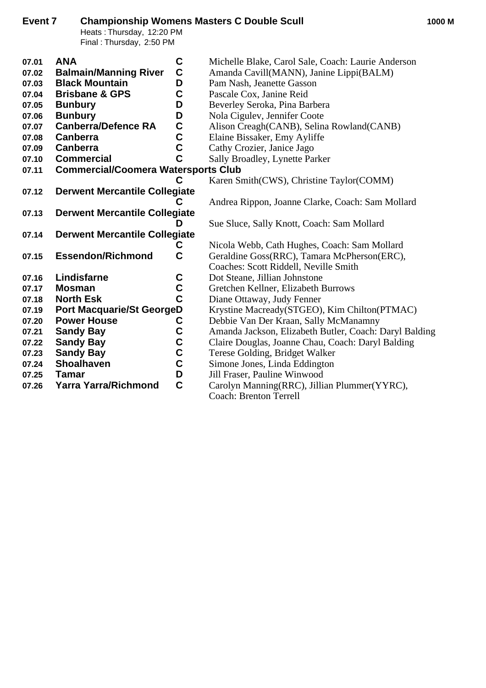| Event 7                                                                       | Heats: Thursday, 12:20 PM<br>Final: Thursday, 2:50 PM                                                                                                                                                                  |                                                                    | <b>Championship Womens Masters C Double Scull</b>                                                                                                                                                                                                                                                                                  | 1000 M |
|-------------------------------------------------------------------------------|------------------------------------------------------------------------------------------------------------------------------------------------------------------------------------------------------------------------|--------------------------------------------------------------------|------------------------------------------------------------------------------------------------------------------------------------------------------------------------------------------------------------------------------------------------------------------------------------------------------------------------------------|--------|
| 07.01<br>07.02<br>07.03<br>07.04<br>07.05<br>07.06<br>07.07<br>07.08<br>07.09 | <b>ANA</b><br><b>Balmain/Manning River</b><br><b>Black Mountain</b><br><b>Brisbane &amp; GPS</b><br><b>Bunbury</b><br><b>Bunbury</b><br><b>Canberra/Defence RA</b><br><b>Canberra</b><br>Canberra<br><b>Commercial</b> | C<br>$\mathbf C$<br>D<br>C<br>D<br>D<br>$\mathbf C$<br>C<br>C<br>C | Michelle Blake, Carol Sale, Coach: Laurie Anderson<br>Amanda Cavill(MANN), Janine Lippi(BALM)<br>Pam Nash, Jeanette Gasson<br>Pascale Cox, Janine Reid<br>Beverley Seroka, Pina Barbera<br>Nola Cigulev, Jennifer Coote<br>Alison Creagh(CANB), Selina Rowland(CANB)<br>Elaine Bissaker, Emy Ayliffe<br>Cathy Crozier, Janice Jago |        |
| 07.10<br>07.11                                                                | <b>Commercial/Coomera Watersports Club</b>                                                                                                                                                                             | C                                                                  | Sally Broadley, Lynette Parker<br>Karen Smith(CWS), Christine Taylor(COMM)                                                                                                                                                                                                                                                         |        |
| 07.12<br>07.13                                                                | <b>Derwent Mercantile Collegiate</b><br><b>Derwent Mercantile Collegiate</b>                                                                                                                                           | C<br>D                                                             | Andrea Rippon, Joanne Clarke, Coach: Sam Mollard<br>Sue Sluce, Sally Knott, Coach: Sam Mollard                                                                                                                                                                                                                                     |        |
| 07.14                                                                         | <b>Derwent Mercantile Collegiate</b>                                                                                                                                                                                   | C                                                                  | Nicola Webb, Cath Hughes, Coach: Sam Mollard                                                                                                                                                                                                                                                                                       |        |
| 07.15                                                                         | <b>Essendon/Richmond</b>                                                                                                                                                                                               | $\mathbf C$                                                        | Geraldine Goss(RRC), Tamara McPherson(ERC),<br>Coaches: Scott Riddell, Neville Smith                                                                                                                                                                                                                                               |        |
| 07.16<br>07.17<br>07.18<br>07.19                                              | Lindisfarne<br><b>Mosman</b><br><b>North Esk</b><br><b>Port Macquarie/St GeorgeD</b>                                                                                                                                   | C<br>$\mathbf C$<br>$\overline{c}$                                 | Dot Steane, Jillian Johnstone<br>Gretchen Kellner, Elizabeth Burrows<br>Diane Ottaway, Judy Fenner<br>Krystine Macready(STGEO), Kim Chilton(PTMAC)                                                                                                                                                                                 |        |
| 07.20<br>07.21<br>07.22<br>07.23                                              | <b>Power House</b><br><b>Sandy Bay</b><br><b>Sandy Bay</b><br><b>Sandy Bay</b>                                                                                                                                         | C<br>$\mathbf C$<br>C<br>$\mathbf C$                               | Debbie Van Der Kraan, Sally McManamny<br>Amanda Jackson, Elizabeth Butler, Coach: Daryl Balding<br>Claire Douglas, Joanne Chau, Coach: Daryl Balding<br>Terese Golding, Bridget Walker                                                                                                                                             |        |
| 07.24<br>07.25<br>07.26                                                       | <b>Shoalhaven</b><br><b>Tamar</b><br><b>Yarra Yarra/Richmond</b>                                                                                                                                                       | $\mathbf C$<br>D<br>$\mathbf C$                                    | Simone Jones, Linda Eddington<br>Jill Fraser, Pauline Winwood<br>Carolyn Manning(RRC), Jillian Plummer(YYRC),<br><b>Coach: Brenton Terrell</b>                                                                                                                                                                                     |        |
|                                                                               |                                                                                                                                                                                                                        |                                                                    |                                                                                                                                                                                                                                                                                                                                    |        |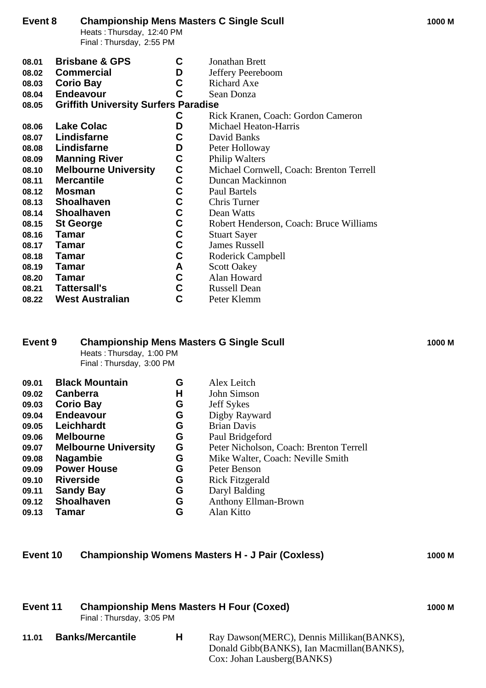### **Event 8 Championship Mens Masters C Single Scull 1000 M**

Heats : Thursday, 12:40 PM Final : Thursday, 2:55 PM

| 08.01 | <b>Brisbane &amp; GPS</b> | Jonathan Brett |  |
|-------|---------------------------|----------------|--|
|       |                           |                |  |

- **08.02 Commercial D** Jeffery Peereboom<br> **08.03 Corio Bav C** Richard Axe
- **08.03 Corio Bay**<br>**08.04 Endeavour C** Sean Donza
- **08.04 Endeavour C** Sean Donza
- **08.05 Griffith University Surfers Paradise**
	- **C** Rick Kranen, Coach: Gordon Cameron
- **08.06 Lake Colac D** Michael Heaton-Harris **08.07 Lindisfarne C** David Banks
- **08.07 Lindisfarne C** David Banks<br> **08.08 Lindisfarne D** Peter Hollow
- **08.08 Lindisfarne D** Peter Holloway<br> **08.09 Manning River C** Philip Walters
- **08.09 Manning River C** Philip Walters<br> **08.10 Melbourne University C** Michael Cornv
- **08.10 Melbourne University C** Michael Cornwell, Coach: Brenton Terrell<br> **08.12 Mosman C** Paul Bartels<br> **08.13 Shoalhaven C** Chris Turner<br> **08.14 Shoalhaven C** Dean Watts<br> **08.15 St George C** Robert Henderson, Coach: Bruce
- **08.11 Mercantile C** Duncan Mackinnon
- **08.12 Mosman C** Paul Bartels
- **08.13 Shoalhaven C** Chris Turner
- **08.14 Shoalhaven C** Dean Watts
- **08.15 St George C** Robert Henderson, Coach: Bruce Williams<br>**08.16 Tamar C** Stuart Sayer
- **08.16 Tamar C** Stuart Sayer<br>**08.17 Tamar C** James Russe
- **08.17 Tamar C** James Russell<br>**08.18 Tamar C** Roderick Cam
- **08.18 Tamar C** Roderick Campbell **08.19 Tamar C A** Scott Oakey
- **08.19 Tamar A** Scott Oakey<br>**08.20 Tamar C** Alan Howard
- **08.20 Tamar C** Alan Howard<br>**08.21 Tattersall's C** Russell Dean
- **08.21 Tattersall's C** Russell Dean
- **08.22 West Australian C** Peter Klemm

### **Event 9 Championship Mens Masters G Single Scull 1000 M**

Heats : Thursday, 1:00 PM Final : Thursday, 3:00 PM

| 09.01 | <b>Black Mountain</b>       | G | Alex Leitch                             |
|-------|-----------------------------|---|-----------------------------------------|
| 09.02 | Canberra                    | н | John Simson                             |
| 09.03 | <b>Corio Bay</b>            | G | <b>Jeff Sykes</b>                       |
| 09.04 | <b>Endeavour</b>            | G | Digby Rayward                           |
| 09.05 | Leichhardt                  | G | <b>Brian Davis</b>                      |
| 09.06 | <b>Melbourne</b>            | G | Paul Bridgeford                         |
| 09.07 | <b>Melbourne University</b> | G | Peter Nicholson, Coach: Brenton Terrell |
| 09.08 | <b>Nagambie</b>             | G | Mike Walter, Coach: Neville Smith       |
| 09.09 | <b>Power House</b>          | G | Peter Benson                            |
| 09.10 | <b>Riverside</b>            | G | <b>Rick Fitzgerald</b>                  |
| 09.11 | <b>Sandy Bay</b>            | G | Daryl Balding                           |
| 09.12 | <b>Shoalhaven</b>           | G | <b>Anthony Ellman-Brown</b>             |
| 09.13 | <b>Tamar</b>                | G | Alan Kitto                              |
|       |                             |   |                                         |

### **Event 10 Championship Womens Masters H - J Pair (Coxless) 1000 M**

| <b>Championship Mens Masters H Four (Coxed)</b><br>Event 11<br>Final: Thursday, 3:05 PM |                         |   | 1000 M                                                                                   |  |
|-----------------------------------------------------------------------------------------|-------------------------|---|------------------------------------------------------------------------------------------|--|
| 11.01                                                                                   | <b>Banks/Mercantile</b> | H | Ray Dawson (MERC), Dennis Millikan (BANKS),<br>Donald Gibb(BANKS), Ian Macmillan(BANKS), |  |

Cox: Johan Lausberg(BANKS)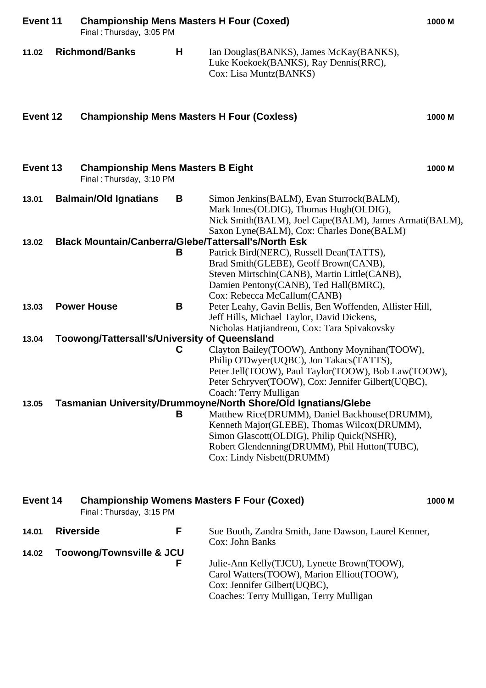| Event 11 |                  | <b>Championship Mens Masters H Four (Coxed)</b><br>Final: Thursday, 3:05 PM |   |                                                                                                                                                                                                                                                                                        | 1000 M |
|----------|------------------|-----------------------------------------------------------------------------|---|----------------------------------------------------------------------------------------------------------------------------------------------------------------------------------------------------------------------------------------------------------------------------------------|--------|
| 11.02    |                  | <b>Richmond/Banks</b>                                                       | H | Ian Douglas (BANKS), James McKay (BANKS),<br>Luke Koekoek(BANKS), Ray Dennis(RRC),<br>Cox: Lisa Muntz(BANKS)                                                                                                                                                                           |        |
| Event 12 |                  | <b>Championship Mens Masters H Four (Coxless)</b>                           |   |                                                                                                                                                                                                                                                                                        | 1000 M |
| Event 13 |                  | <b>Championship Mens Masters B Eight</b><br>Final: Thursday, 3:10 PM        |   |                                                                                                                                                                                                                                                                                        | 1000 M |
| 13.01    |                  | <b>Balmain/Old Ignatians</b>                                                | B | Simon Jenkins(BALM), Evan Sturrock(BALM),<br>Mark Innes(OLDIG), Thomas Hugh(OLDIG),<br>Nick Smith(BALM), Joel Cape(BALM), James Armati(BALM),                                                                                                                                          |        |
| 13.02    |                  |                                                                             | B | Saxon Lyne(BALM), Cox: Charles Done(BALM)<br><b>Black Mountain/Canberra/Glebe/Tattersall's/North Esk</b><br>Patrick Bird(NERC), Russell Dean(TATTS),<br>Brad Smith(GLEBE), Geoff Brown(CANB),<br>Steven Mirtschin(CANB), Martin Little(CANB),<br>Damien Pentony(CANB), Ted Hall(BMRC), |        |
| 13.03    |                  | <b>Power House</b>                                                          | B | Cox: Rebecca McCallum(CANB)<br>Peter Leahy, Gavin Bellis, Ben Woffenden, Allister Hill,<br>Jeff Hills, Michael Taylor, David Dickens,                                                                                                                                                  |        |
|          |                  |                                                                             |   | Nicholas Hatjiandreou, Cox: Tara Spivakovsky                                                                                                                                                                                                                                           |        |
| 13.04    |                  | <b>Toowong/Tattersall's/University of Queensland</b>                        | C | Clayton Bailey(TOOW), Anthony Moynihan(TOOW),<br>Philip O'Dwyer(UQBC), Jon Takacs(TATTS),<br>Peter Jell(TOOW), Paul Taylor(TOOW), Bob Law(TOOW),<br>Peter Schryver(TOOW), Cox: Jennifer Gilbert(UQBC),<br>Coach: Terry Mulligan                                                        |        |
| 13.05    |                  |                                                                             |   | Tasmanian University/Drummoyne/North Shore/Old Ignatians/Glebe                                                                                                                                                                                                                         |        |
|          |                  |                                                                             | B | Matthew Rice(DRUMM), Daniel Backhouse(DRUMM),<br>Kenneth Major(GLEBE), Thomas Wilcox(DRUMM),<br>Simon Glascott(OLDIG), Philip Quick(NSHR),<br>Robert Glendenning(DRUMM), Phil Hutton(TUBC),<br>Cox: Lindy Nisbett(DRUMM)                                                               |        |
| Event 14 |                  | Final: Thursday, 3:15 PM                                                    |   | <b>Championship Womens Masters F Four (Coxed)</b>                                                                                                                                                                                                                                      | 1000 M |
| 14.01    | <b>Riverside</b> |                                                                             | F | Sue Booth, Zandra Smith, Jane Dawson, Laurel Kenner,<br>Cox: John Banks                                                                                                                                                                                                                |        |
| 14.02    |                  | <b>Toowong/Townsville &amp; JCU</b>                                         | F | Julie-Ann Kelly(TJCU), Lynette Brown(TOOW),<br>Carol Watters(TOOW), Marion Elliott(TOOW),<br>Cox: Jennifer Gilbert(UQBC),<br>Coaches: Terry Mulligan, Terry Mulligan                                                                                                                   |        |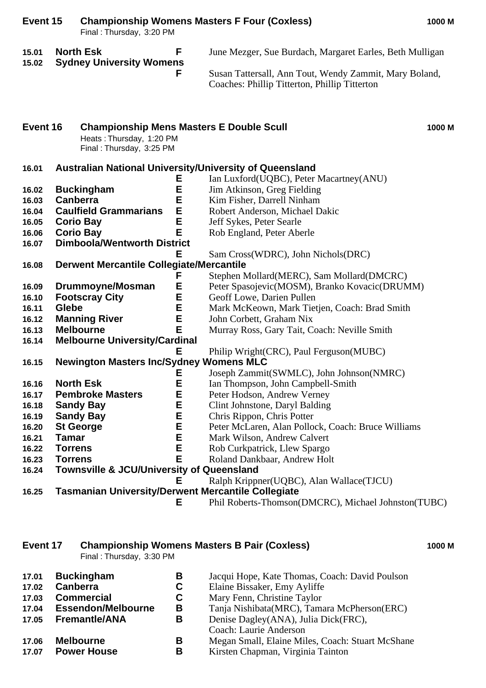| Event 15       |                                                     | Final: Thursday, 3:20 PM                                                                                |        | <b>Championship Womens Masters F Four (Coxless)</b>                                                     | 1000 M |
|----------------|-----------------------------------------------------|---------------------------------------------------------------------------------------------------------|--------|---------------------------------------------------------------------------------------------------------|--------|
| 15.01<br>15.02 | <b>North Esk</b><br><b>Sydney University Womens</b> |                                                                                                         | F      | June Mezger, Sue Burdach, Margaret Earles, Beth Mulligan                                                |        |
|                |                                                     |                                                                                                         | F      | Susan Tattersall, Ann Tout, Wendy Zammit, Mary Boland,<br>Coaches: Phillip Titterton, Phillip Titterton |        |
| Event 16       |                                                     | <b>Championship Mens Masters E Double Scull</b><br>Heats: Thursday, 1:20 PM<br>Final: Thursday, 3:25 PM |        |                                                                                                         | 1000 M |
| 16.01          |                                                     |                                                                                                         |        | <b>Australian National University/University of Queensland</b>                                          |        |
|                |                                                     |                                                                                                         | E      | Ian Luxford(UQBC), Peter Macartney(ANU)                                                                 |        |
| 16.02          |                                                     | <b>Buckingham</b>                                                                                       | E      | Jim Atkinson, Greg Fielding                                                                             |        |
| 16.03          | <b>Canberra</b>                                     |                                                                                                         | Е      | Kim Fisher, Darrell Ninham                                                                              |        |
| 16.04          |                                                     | <b>Caulfield Grammarians</b>                                                                            | E      | Robert Anderson, Michael Dakic                                                                          |        |
| 16.05          |                                                     | <b>Corio Bay</b>                                                                                        | E      | Jeff Sykes, Peter Searle                                                                                |        |
| 16.06          |                                                     | <b>Corio Bay</b>                                                                                        | E      | Rob England, Peter Aberle                                                                               |        |
| 16.07          |                                                     | <b>Dimboola/Wentworth District</b>                                                                      |        |                                                                                                         |        |
|                |                                                     |                                                                                                         | Ε      | Sam Cross(WDRC), John Nichols(DRC)                                                                      |        |
| 16.08          |                                                     | <b>Derwent Mercantile Collegiate/Mercantile</b>                                                         |        |                                                                                                         |        |
|                |                                                     |                                                                                                         | F      | Stephen Mollard(MERC), Sam Mollard(DMCRC)                                                               |        |
| 16.09          |                                                     | Drummoyne/Mosman                                                                                        | E      | Peter Spasojevic(MOSM), Branko Kovacic(DRUMM)                                                           |        |
| 16.10          |                                                     | <b>Footscray City</b>                                                                                   | Е      | Geoff Lowe, Darien Pullen                                                                               |        |
| 16.11          | Glebe                                               | <b>Manning River</b>                                                                                    | E<br>E | Mark McKeown, Mark Tietjen, Coach: Brad Smith                                                           |        |
| 16.12<br>16.13 |                                                     | <b>Melbourne</b>                                                                                        | E      | John Corbett, Graham Nix<br>Murray Ross, Gary Tait, Coach: Neville Smith                                |        |
| 16.14          |                                                     | <b>Melbourne University/Cardinal</b>                                                                    |        |                                                                                                         |        |
|                |                                                     |                                                                                                         | Е      | Philip Wright(CRC), Paul Ferguson(MUBC)                                                                 |        |
| 16.15          |                                                     | <b>Newington Masters Inc/Sydney Womens MLC</b>                                                          |        |                                                                                                         |        |
|                |                                                     |                                                                                                         | Е      | Joseph Zammit(SWMLC), John Johnson(NMRC)                                                                |        |
| 16.16          |                                                     | <b>North Esk</b>                                                                                        | E      | Ian Thompson, John Campbell-Smith                                                                       |        |
| 16.17          |                                                     | <b>Pembroke Masters</b>                                                                                 | Е      | Peter Hodson, Andrew Verney                                                                             |        |
| 16.18          |                                                     | <b>Sandy Bay</b>                                                                                        | Ε      | Clint Johnstone, Daryl Balding                                                                          |        |
| 16.19          |                                                     | <b>Sandy Bay</b>                                                                                        | E      | Chris Rippon, Chris Potter                                                                              |        |
| 16.20          |                                                     | <b>St George</b>                                                                                        | Е      | Peter McLaren, Alan Pollock, Coach: Bruce Williams                                                      |        |
| 16.21          | <b>Tamar</b>                                        |                                                                                                         | E      | Mark Wilson, Andrew Calvert                                                                             |        |
| 16.22          | <b>Torrens</b>                                      |                                                                                                         | E      | Rob Curkpatrick, Llew Spargo                                                                            |        |
| 16.23          | <b>Torrens</b>                                      |                                                                                                         | Е      | Roland Dankbaar, Andrew Holt                                                                            |        |
| 16.24          |                                                     | <b>Townsville &amp; JCU/University of Queensland</b>                                                    |        |                                                                                                         |        |
|                |                                                     |                                                                                                         | Е      | Ralph Krippner(UQBC), Alan Wallace(TJCU)                                                                |        |
| 16.25          |                                                     | <b>Tasmanian University/Derwent Mercantile Collegiate</b>                                               |        |                                                                                                         |        |
|                |                                                     |                                                                                                         | Е      | Phil Roberts-Thomson(DMCRC), Michael Johnston(TUBC)                                                     |        |

### **Event 17 Championship Womens Masters B Pair (Coxless) 1000 M**

Final : Thursday, 3:30 PM

| 17.01 | <b>Buckingham</b>         | В | Jacqui Hope, Kate Thomas, Coach: David Poulson   |
|-------|---------------------------|---|--------------------------------------------------|
| 17.02 | <b>Canberra</b>           | C | Elaine Bissaker, Emy Ayliffe                     |
| 17.03 | <b>Commercial</b>         | C | Mary Fenn, Christine Taylor                      |
| 17.04 | <b>Essendon/Melbourne</b> | В | Tanja Nishibata(MRC), Tamara McPherson(ERC)      |
| 17.05 | <b>Fremantle/ANA</b>      | В | Denise Dagley(ANA), Julia Dick(FRC),             |
|       |                           |   | Coach: Laurie Anderson                           |
| 17.06 | <b>Melbourne</b>          | В | Megan Small, Elaine Miles, Coach: Stuart McShane |
| 17.07 | <b>Power House</b>        | В | Kirsten Chapman, Virginia Tainton                |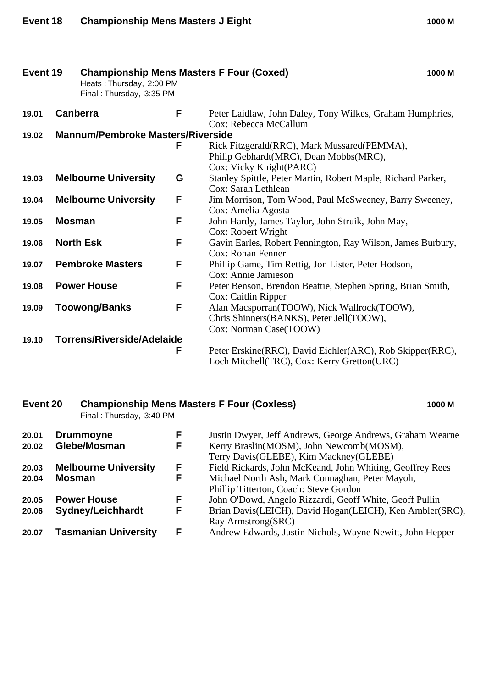| Event 19 |               | <b>Championship Mens Masters F Four (Coxed)</b><br>1000 M<br>Heats: Thursday, 2:00 PM<br>Final: Thursday, 3:35 PM |   |                                                                                                                   |  |  |
|----------|---------------|-------------------------------------------------------------------------------------------------------------------|---|-------------------------------------------------------------------------------------------------------------------|--|--|
| 19.01    |               | Canberra                                                                                                          | F | Peter Laidlaw, John Daley, Tony Wilkes, Graham Humphries,<br>Cox: Rebecca McCallum                                |  |  |
| 19.02    |               | <b>Mannum/Pembroke Masters/Riverside</b>                                                                          |   |                                                                                                                   |  |  |
|          |               |                                                                                                                   | F | Rick Fitzgerald(RRC), Mark Mussared(PEMMA),<br>Philip Gebhardt(MRC), Dean Mobbs(MRC),<br>Cox: Vicky Knight(PARC)  |  |  |
| 19.03    |               | <b>Melbourne University</b>                                                                                       | G | Stanley Spittle, Peter Martin, Robert Maple, Richard Parker,<br>Cox: Sarah Lethlean                               |  |  |
| 19.04    |               | <b>Melbourne University</b>                                                                                       | F | Jim Morrison, Tom Wood, Paul McSweeney, Barry Sweeney,<br>Cox: Amelia Agosta                                      |  |  |
| 19.05    | <b>Mosman</b> |                                                                                                                   | F | John Hardy, James Taylor, John Struik, John May,<br>Cox: Robert Wright                                            |  |  |
| 19.06    |               | <b>North Esk</b>                                                                                                  | F | Gavin Earles, Robert Pennington, Ray Wilson, James Burbury,<br>Cox: Rohan Fenner                                  |  |  |
| 19.07    |               | <b>Pembroke Masters</b>                                                                                           | F | Phillip Game, Tim Rettig, Jon Lister, Peter Hodson,<br>Cox: Annie Jamieson                                        |  |  |
| 19.08    |               | <b>Power House</b>                                                                                                | F | Peter Benson, Brendon Beattie, Stephen Spring, Brian Smith,<br>Cox: Caitlin Ripper                                |  |  |
| 19.09    |               | <b>Toowong/Banks</b>                                                                                              | F | Alan Macsporran(TOOW), Nick Wallrock(TOOW),<br>Chris Shinners(BANKS), Peter Jell(TOOW),<br>Cox: Norman Case(TOOW) |  |  |
| 19.10    |               | Torrens/Riverside/Adelaide                                                                                        | F | Peter Erskine(RRC), David Eichler(ARC), Rob Skipper(RRC),<br>Loch Mitchell(TRC), Cox: Kerry Gretton(URC)          |  |  |

# **Event 20 Championship Mens Masters F Four (Coxless) 1000 M**

Final : Thursday, 3:40 PM

| 20.01<br>20.02 | <b>Drummoyne</b><br>Glebe/Mosman               | F<br>F | Justin Dwyer, Jeff Andrews, George Andrews, Graham Wearne<br>Kerry Braslin(MOSM), John Newcomb(MOSM),<br>Terry Davis(GLEBE), Kim Mackney(GLEBE)        |
|----------------|------------------------------------------------|--------|--------------------------------------------------------------------------------------------------------------------------------------------------------|
| 20.03<br>20.04 | <b>Melbourne University</b><br><b>Mosman</b>   | F<br>F | Field Rickards, John McKeand, John Whiting, Geoffrey Rees<br>Michael North Ash, Mark Connaghan, Peter Mayoh,<br>Phillip Titterton, Coach: Steve Gordon |
| 20.05<br>20.06 | <b>Power House</b><br><b>Sydney/Leichhardt</b> | F<br>F | John O'Dowd, Angelo Rizzardi, Geoff White, Geoff Pullin<br>Brian Davis(LEICH), David Hogan(LEICH), Ken Ambler(SRC),<br>Ray Armstrong(SRC)              |
| 20.07          | <b>Tasmanian University</b>                    | F      | Andrew Edwards, Justin Nichols, Wayne Newitt, John Hepper                                                                                              |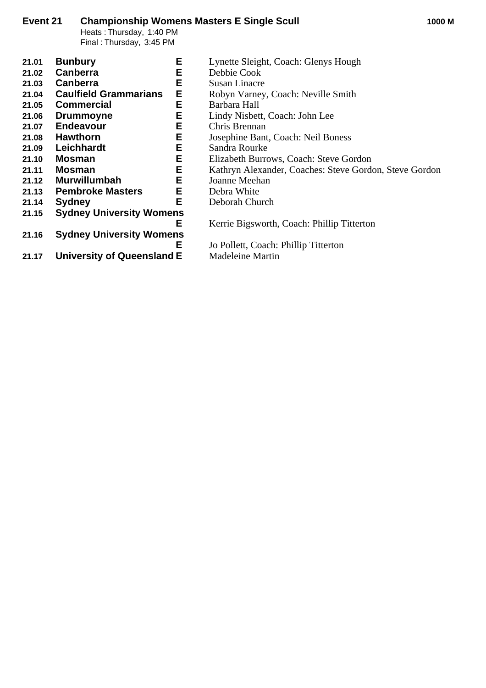# **Event 21 Championship Womens Masters E Single Scull 1000 M**

Heats : Thursday, 1:40 PM Final : Thursday, 3:45 PM

| 21.01 | Е<br><b>Bunbury</b>               | Lynette Sleight, Coach: Glenys Hough                   |
|-------|-----------------------------------|--------------------------------------------------------|
| 21.02 | E<br><b>Canberra</b>              | Debbie Cook                                            |
| 21.03 | Е<br><b>Canberra</b>              | <b>Susan Linacre</b>                                   |
| 21.04 | E<br><b>Caulfield Grammarians</b> | Robyn Varney, Coach: Neville Smith                     |
| 21.05 | Е<br><b>Commercial</b>            | Barbara Hall                                           |
| 21.06 | E<br><b>Drummoyne</b>             | Lindy Nisbett, Coach: John Lee                         |
| 21.07 | E<br><b>Endeavour</b>             | Chris Brennan                                          |
| 21.08 | E<br><b>Hawthorn</b>              | Josephine Bant, Coach: Neil Boness                     |
| 21.09 | Е<br>Leichhardt                   | Sandra Rourke                                          |
| 21.10 | Е<br><b>Mosman</b>                | Elizabeth Burrows, Coach: Steve Gordon                 |
| 21.11 | E<br><b>Mosman</b>                | Kathryn Alexander, Coaches: Steve Gordon, Steve Gordon |
| 21.12 | Е<br><b>Murwillumbah</b>          | Joanne Meehan                                          |
| 21.13 | Е<br><b>Pembroke Masters</b>      | Debra White                                            |
| 21.14 | Е<br><b>Sydney</b>                | Deborah Church                                         |
| 21.15 | <b>Sydney University Womens</b>   |                                                        |
|       | Е                                 | Kerrie Bigsworth, Coach: Phillip Titterton             |
| 21.16 | <b>Sydney University Womens</b>   |                                                        |
|       | Е                                 | Jo Pollett, Coach: Phillip Titterton                   |
| 21.17 | University of Queensland E        | <b>Madeleine Martin</b>                                |
|       |                                   |                                                        |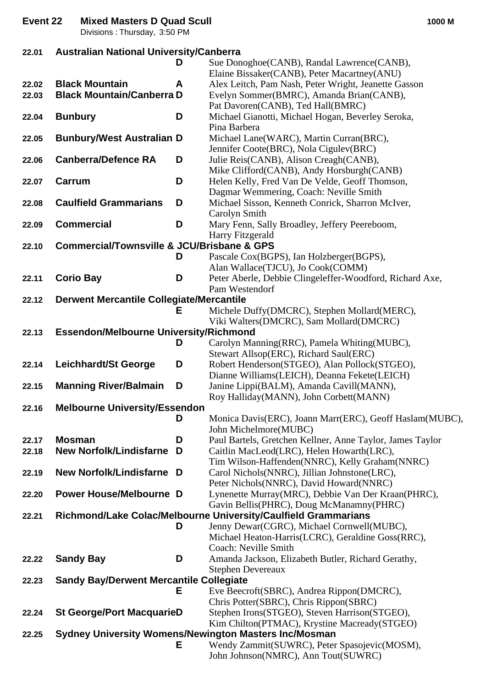**Event 22 Mixed Masters D Quad Scull 1000 M**

Divisions : Thursday, 3:50 PM

| 22.01 | <b>Australian National University/Canberra</b>            |   |                                                                                                              |  |
|-------|-----------------------------------------------------------|---|--------------------------------------------------------------------------------------------------------------|--|
|       |                                                           | D | Sue Donoghoe(CANB), Randal Lawrence(CANB),                                                                   |  |
|       |                                                           |   | Elaine Bissaker(CANB), Peter Macartney(ANU)                                                                  |  |
| 22.02 | <b>Black Mountain</b>                                     | A | Alex Leitch, Pam Nash, Peter Wright, Jeanette Gasson                                                         |  |
| 22.03 | <b>Black Mountain/Canberra D</b>                          |   | Evelyn Sommer(BMRC), Amanda Brian(CANB),                                                                     |  |
|       |                                                           |   | Pat Davoren(CANB), Ted Hall(BMRC)                                                                            |  |
| 22.04 | <b>Bunbury</b>                                            | D | Michael Gianotti, Michael Hogan, Beverley Seroka,<br>Pina Barbera                                            |  |
| 22.05 | <b>Bunbury/West Australian D</b>                          |   | Michael Lane(WARC), Martin Curran(BRC),                                                                      |  |
|       |                                                           |   | Jennifer Coote(BRC), Nola Cigulev(BRC)                                                                       |  |
| 22.06 | <b>Canberra/Defence RA</b>                                | D | Julie Reis(CANB), Alison Creagh(CANB),                                                                       |  |
|       |                                                           |   | Mike Clifford(CANB), Andy Horsburgh(CANB)                                                                    |  |
| 22.07 | Carrum                                                    | D | Helen Kelly, Fred Van De Velde, Geoff Thomson,                                                               |  |
|       |                                                           |   | Dagmar Wemmering, Coach: Neville Smith                                                                       |  |
| 22.08 | <b>Caulfield Grammarians</b>                              | D | Michael Sisson, Kenneth Conrick, Sharron McIver,                                                             |  |
|       |                                                           |   | Carolyn Smith                                                                                                |  |
| 22.09 | <b>Commercial</b>                                         | D | Mary Fenn, Sally Broadley, Jeffery Peereboom,                                                                |  |
|       |                                                           |   | Harry Fitzgerald                                                                                             |  |
| 22.10 | <b>Commercial/Townsville &amp; JCU/Brisbane &amp; GPS</b> |   |                                                                                                              |  |
|       |                                                           | D | Pascale Cox(BGPS), Ian Holzberger(BGPS),                                                                     |  |
| 22.11 |                                                           | D | Alan Wallace(TJCU), Jo Cook(COMM)<br>Peter Aberle, Debbie Clingeleffer-Woodford, Richard Axe,                |  |
|       | <b>Corio Bay</b>                                          |   | Pam Westendorf                                                                                               |  |
| 22.12 | <b>Derwent Mercantile Collegiate/Mercantile</b>           |   |                                                                                                              |  |
|       |                                                           | Е | Michele Duffy(DMCRC), Stephen Mollard(MERC),                                                                 |  |
|       |                                                           |   | Viki Walters(DMCRC), Sam Mollard(DMCRC)                                                                      |  |
| 22.13 | <b>Essendon/Melbourne University/Richmond</b>             |   |                                                                                                              |  |
|       |                                                           | D | Carolyn Manning(RRC), Pamela Whiting(MUBC),                                                                  |  |
|       |                                                           |   | Stewart Allsop(ERC), Richard Saul(ERC)                                                                       |  |
| 22.14 | <b>Leichhardt/St George</b>                               | D | Robert Henderson(STGEO), Alan Pollock(STGEO),                                                                |  |
|       |                                                           |   | Dianne Williams (LEICH), Deanna Fekete (LEICH)                                                               |  |
| 22.15 | <b>Manning River/Balmain</b>                              | D | Janine Lippi(BALM), Amanda Cavill(MANN),                                                                     |  |
|       | <b>Melbourne University/Essendon</b>                      |   | Roy Halliday(MANN), John Corbett(MANN)                                                                       |  |
| 22.16 |                                                           | D | Monica Davis(ERC), Joann Marr(ERC), Geoff Haslam(MUBC),                                                      |  |
|       |                                                           |   | John Michelmore(MUBC)                                                                                        |  |
| 22.17 | <b>Mosman</b>                                             | D | Paul Bartels, Gretchen Kellner, Anne Taylor, James Taylor                                                    |  |
| 22.18 | <b>New Norfolk/Lindisfarne</b>                            | D | Caitlin MacLeod(LRC), Helen Howarth(LRC),                                                                    |  |
|       |                                                           |   | Tim Wilson-Haffenden(NNRC), Kelly Graham(NNRC)                                                               |  |
| 22.19 | New Norfolk/Lindisfarne D                                 |   | Carol Nichols(NNRC), Jillian Johnstone(LRC),                                                                 |  |
|       |                                                           |   | Peter Nichols(NNRC), David Howard(NNRC)                                                                      |  |
| 22.20 | <b>Power House/Melbourne D</b>                            |   | Lynenette Murray(MRC), Debbie Van Der Kraan(PHRC),                                                           |  |
|       |                                                           |   | Gavin Bellis(PHRC), Doug McManamny(PHRC)<br>Richmond/Lake Colac/Melbourne University/Caulfield Grammarians   |  |
| 22.21 |                                                           | D | Jenny Dewar(CGRC), Michael Cornwell(MUBC),                                                                   |  |
|       |                                                           |   | Michael Heaton-Harris(LCRC), Geraldine Goss(RRC),                                                            |  |
|       |                                                           |   | Coach: Neville Smith                                                                                         |  |
| 22.22 | <b>Sandy Bay</b>                                          | D | Amanda Jackson, Elizabeth Butler, Richard Gerathy,                                                           |  |
|       |                                                           |   | <b>Stephen Devereaux</b>                                                                                     |  |
| 22.23 | <b>Sandy Bay/Derwent Mercantile Collegiate</b>            |   |                                                                                                              |  |
|       |                                                           | Е | Eve Beecroft(SBRC), Andrea Rippon(DMCRC),                                                                    |  |
|       |                                                           |   | Chris Potter(SBRC), Chris Rippon(SBRC)                                                                       |  |
| 22.24 | <b>St George/Port MacquarieD</b>                          |   | Stephen Irons(STGEO), Steven Harrison(STGEO),                                                                |  |
|       |                                                           |   | Kim Chilton(PTMAC), Krystine Macready(STGEO)                                                                 |  |
| 22.25 |                                                           | Е | <b>Sydney University Womens/Newington Masters Inc/Mosman</b><br>Wendy Zammit(SUWRC), Peter Spasojevic(MOSM), |  |
|       |                                                           |   | John Johnson(NMRC), Ann Tout(SUWRC)                                                                          |  |
|       |                                                           |   |                                                                                                              |  |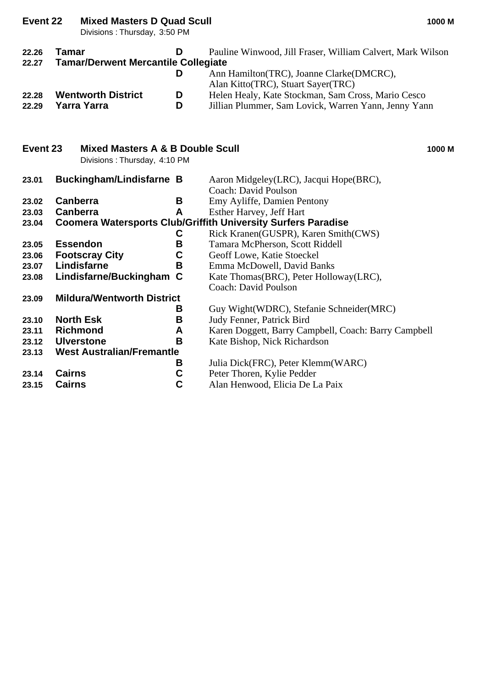| Event 22       | <b>Mixed Masters D Quad Scull</b><br>Divisions: Thursday, 3:50 PM |        | 1000 M                                                                                                                                       |
|----------------|-------------------------------------------------------------------|--------|----------------------------------------------------------------------------------------------------------------------------------------------|
| 22.26<br>22.27 | <b>Tamar</b><br><b>Tamar/Derwent Mercantile Collegiate</b>        | D<br>D | Pauline Winwood, Jill Fraser, William Calvert, Mark Wilson<br>Ann Hamilton(TRC), Joanne Clarke(DMCRC),<br>Alan Kitto(TRC), Stuart Sayer(TRC) |
| 22.28<br>22.29 | <b>Wentworth District</b><br><b>Yarra Yarra</b>                   | D<br>D | Helen Healy, Kate Stockman, Sam Cross, Mario Cesco<br>Jillian Plummer, Sam Lovick, Warren Yann, Jenny Yann                                   |
| Event 23       | Mixed Masters A & B Double Scull<br>Divisions: Thursday, 4:10 PM  |        | 1000 M                                                                                                                                       |
| 23.01          | <b>Buckingham/Lindisfarne B</b>                                   |        | Aaron Midgeley(LRC), Jacqui Hope(BRC),<br>Coach: David Poulson                                                                               |
| 23.02          | Canberra                                                          | B      | Emy Ayliffe, Damien Pentony                                                                                                                  |
| 23.03          | Canberra                                                          | A      | Esther Harvey, Jeff Hart                                                                                                                     |
| 23.04          |                                                                   |        | <b>Coomera Watersports Club/Griffith University Surfers Paradise</b>                                                                         |
|                |                                                                   | C      | Rick Kranen(GUSPR), Karen Smith(CWS)                                                                                                         |
| 23.05          | <b>Essendon</b>                                                   | B      | Tamara McPherson, Scott Riddell                                                                                                              |
| 23.06          | <b>Footscray City</b>                                             | C      | Geoff Lowe, Katie Stoeckel                                                                                                                   |
| 23.07          | Lindisfarne                                                       | B      | Emma McDowell, David Banks                                                                                                                   |
| 23.08          | Lindisfarne/Buckingham C                                          |        | Kate Thomas(BRC), Peter Holloway(LRC),                                                                                                       |
|                |                                                                   |        | <b>Coach: David Poulson</b>                                                                                                                  |
| 23.09          | <b>Mildura/Wentworth District</b>                                 |        |                                                                                                                                              |
|                |                                                                   | B      | Guy Wight (WDRC), Stefanie Schneider (MRC)                                                                                                   |
| 23.10          | <b>North Esk</b>                                                  | B      | Judy Fenner, Patrick Bird                                                                                                                    |
| 23.11          | <b>Richmond</b>                                                   | A      | Karen Doggett, Barry Campbell, Coach: Barry Campbell                                                                                         |
| 23.12          | <b>Ulverstone</b>                                                 | B      | Kate Bishop, Nick Richardson                                                                                                                 |
| 23.13          | <b>West Australian/Fremantle</b>                                  |        |                                                                                                                                              |
|                |                                                                   | В      | Julia Dick(FRC), Peter Klemm(WARC)                                                                                                           |
| 23.14          | <b>Cairns</b>                                                     | C      | Peter Thoren, Kylie Pedder                                                                                                                   |
| 23.15          | <b>Cairns</b>                                                     | C      | Alan Henwood, Elicia De La Paix                                                                                                              |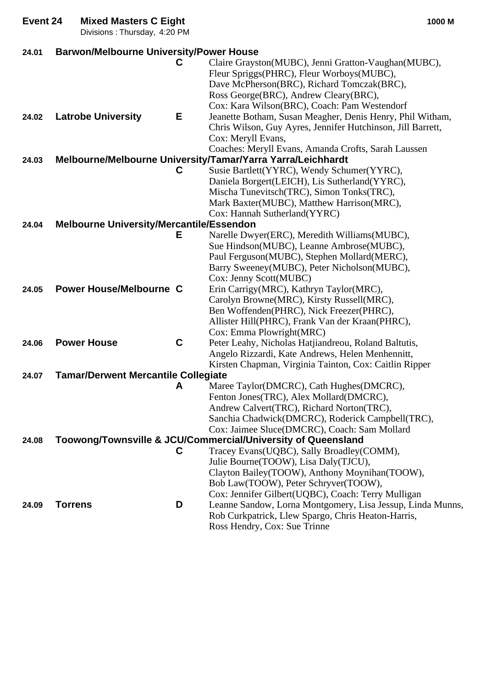| Event 24 | <b>Mixed Masters C Eight</b><br>Divisions: Thursday, 4:20 PM |             | 1000 M                                                                                                                                                                                                                                                                                           |
|----------|--------------------------------------------------------------|-------------|--------------------------------------------------------------------------------------------------------------------------------------------------------------------------------------------------------------------------------------------------------------------------------------------------|
| 24.01    | <b>Barwon/Melbourne University/Power House</b>               |             |                                                                                                                                                                                                                                                                                                  |
|          |                                                              | С           | Claire Grayston(MUBC), Jenni Gratton-Vaughan(MUBC),<br>Fleur Spriggs(PHRC), Fleur Worboys(MUBC),<br>Dave McPherson(BRC), Richard Tomczak(BRC),<br>Ross George(BRC), Andrew Cleary(BRC),<br>Cox: Kara Wilson(BRC), Coach: Pam Westendorf                                                          |
| 24.02    | <b>Latrobe University</b>                                    | Е           | Jeanette Botham, Susan Meagher, Denis Henry, Phil Witham,<br>Chris Wilson, Guy Ayres, Jennifer Hutchinson, Jill Barrett,<br>Cox: Meryll Evans,<br>Coaches: Meryll Evans, Amanda Crofts, Sarah Laussen                                                                                            |
| 24.03    |                                                              |             | Melbourne/Melbourne University/Tamar/Yarra Yarra/Leichhardt                                                                                                                                                                                                                                      |
|          |                                                              | C           | Susie Bartlett(YYRC), Wendy Schumer(YYRC),<br>Daniela Borgert(LEICH), Lis Sutherland(YYRC),<br>Mischa Tunevitsch(TRC), Simon Tonks(TRC),<br>Mark Baxter(MUBC), Matthew Harrison(MRC),<br>Cox: Hannah Sutherland(YYRC)                                                                            |
| 24.04    | <b>Melbourne University/Mercantile/Essendon</b>              |             |                                                                                                                                                                                                                                                                                                  |
|          |                                                              | Е           | Narelle Dwyer(ERC), Meredith Williams(MUBC),<br>Sue Hindson(MUBC), Leanne Ambrose(MUBC),<br>Paul Ferguson(MUBC), Stephen Mollard(MERC),<br>Barry Sweeney(MUBC), Peter Nicholson(MUBC),<br>Cox: Jenny Scott(MUBC)                                                                                 |
| 24.05    | <b>Power House/Melbourne C</b>                               |             | Erin Carrigy(MRC), Kathryn Taylor(MRC),<br>Carolyn Browne(MRC), Kirsty Russell(MRC),<br>Ben Woffenden(PHRC), Nick Freezer(PHRC),<br>Allister Hill(PHRC), Frank Van der Kraan(PHRC),<br>Cox: Emma Plowright(MRC)                                                                                  |
| 24.06    | <b>Power House</b>                                           | $\mathbf c$ | Peter Leahy, Nicholas Hatjiandreou, Roland Baltutis,<br>Angelo Rizzardi, Kate Andrews, Helen Menhennitt,<br>Kirsten Chapman, Virginia Tainton, Cox: Caitlin Ripper                                                                                                                               |
| 24.07    | <b>Tamar/Derwent Mercantile Collegiate</b>                   |             |                                                                                                                                                                                                                                                                                                  |
|          |                                                              | A           | Maree Taylor(DMCRC), Cath Hughes(DMCRC),<br>Fenton Jones(TRC), Alex Mollard(DMCRC),<br>Andrew Calvert(TRC), Richard Norton(TRC),<br>Sanchia Chadwick(DMCRC), Roderick Campbell(TRC),<br>Cox: Jaimee Sluce(DMCRC), Coach: Sam Mollard                                                             |
| 24.08    |                                                              | C           | Toowong/Townsville & JCU/Commercial/University of Queensland<br>Tracey Evans(UQBC), Sally Broadley(COMM),<br>Julie Bourne(TOOW), Lisa Daly(TJCU),<br>Clayton Bailey(TOOW), Anthony Moynihan(TOOW),<br>Bob Law(TOOW), Peter Schryver(TOOW),<br>Cox: Jennifer Gilbert(UQBC), Coach: Terry Mulligan |
| 24.09    | <b>Torrens</b>                                               | D           | Leanne Sandow, Lorna Montgomery, Lisa Jessup, Linda Munns,<br>Rob Curkpatrick, Llew Spargo, Chris Heaton-Harris,<br>Ross Hendry, Cox: Sue Trinne                                                                                                                                                 |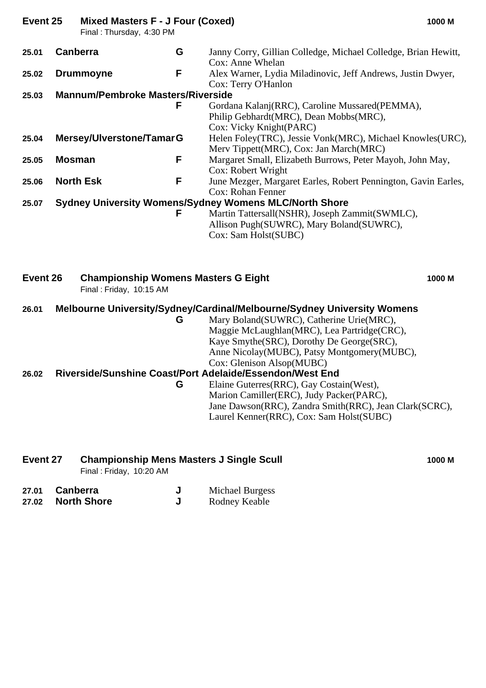| Event 25 | Mixed Masters F - J Four (Coxed) | 1000 M |
|----------|----------------------------------|--------|
|          |                                  |        |

Final : Thursday, 4:30 PM

| 25.01    | <b>Canberra</b>                          | G<br>Janny Corry, Gillian Colledge, Michael Colledge, Brian Hewitt,     |
|----------|------------------------------------------|-------------------------------------------------------------------------|
|          |                                          | Cox: Anne Whelan                                                        |
| 25.02    | <b>Drummoyne</b>                         | F<br>Alex Warner, Lydia Miladinovic, Jeff Andrews, Justin Dwyer,        |
|          |                                          | Cox: Terry O'Hanlon                                                     |
| 25.03    | <b>Mannum/Pembroke Masters/Riverside</b> |                                                                         |
|          |                                          | F<br>Gordana Kalanj(RRC), Caroline Mussared(PEMMA),                     |
|          |                                          | Philip Gebhardt(MRC), Dean Mobbs(MRC),                                  |
|          |                                          | Cox: Vicky Knight(PARC)                                                 |
| 25.04    | Mersey/Ulverstone/TamarG                 | Helen Foley(TRC), Jessie Vonk(MRC), Michael Knowles(URC),               |
|          |                                          | Merv Tippett(MRC), Cox: Jan March(MRC)                                  |
|          |                                          |                                                                         |
| 25.05    | <b>Mosman</b>                            | Margaret Small, Elizabeth Burrows, Peter Mayoh, John May,<br>F          |
|          |                                          | Cox: Robert Wright                                                      |
| 25.06    | <b>North Esk</b>                         | F<br>June Mezger, Margaret Earles, Robert Pennington, Gavin Earles,     |
|          |                                          | <b>Cox: Rohan Fenner</b>                                                |
| 25.07    |                                          | <b>Sydney University Womens/Sydney Womens MLC/North Shore</b>           |
|          |                                          | Martin Tattersall(NSHR), Joseph Zammit(SWMLC),<br>F                     |
|          |                                          | Allison Pugh(SUWRC), Mary Boland(SUWRC),                                |
|          |                                          |                                                                         |
|          |                                          | Cox: Sam Holst(SUBC)                                                    |
| Event 26 | Final: Friday, 10:15 AM                  | <b>Championship Womens Masters G Eight</b><br>1000 M                    |
|          |                                          |                                                                         |
| 26.01    |                                          | Melbourne University/Sydney/Cardinal/Melbourne/Sydney University Womens |
|          |                                          | Mary Boland(SUWRC), Catherine Urie(MRC),<br>G                           |
|          |                                          | Maggie McLaughlan(MRC), Lea Partridge(CRC),                             |
|          |                                          | Kaye Smythe(SRC), Dorothy De George(SRC),                               |
|          |                                          | Anne Nicolay(MUBC), Patsy Montgomery(MUBC),                             |
|          |                                          | Cox: Glenison Alsop(MUBC)                                               |
| 26.02    |                                          | Riverside/Sunshine Coast/Port Adelaide/Essendon/West End                |
|          |                                          | Elaine Guterres(RRC), Gay Costain(West),<br>G                           |
|          |                                          | Marion Camiller(ERC), Judy Packer(PARC),                                |
|          |                                          | Jane Dawson(RRC), Zandra Smith(RRC), Jean Clark(SCRC),                  |
|          |                                          | Laurel Kenner(RRC), Cox: Sam Holst(SUBC)                                |
|          |                                          |                                                                         |

| Event 27 | <b>Championship Mens Masters J Single Scull</b> | 1000 M |
|----------|-------------------------------------------------|--------|
|          | Final: Friday, 10:20 AM                         |        |

| 27.01 Canberra    | <b>Michael Burgess</b> |
|-------------------|------------------------|
| 27.02 North Shore | Rodney Keable          |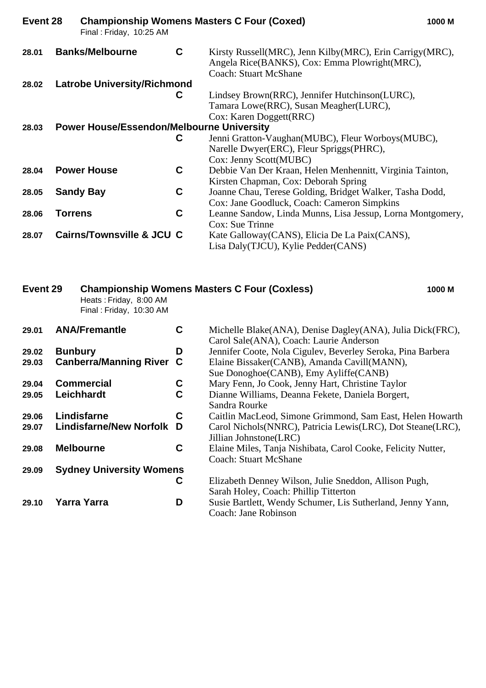| Event 28 |                | Final: Friday, 10:25 AM                          |   | <b>Championship Womens Masters C Four (Coxed)</b>                                                                                         | 1000 M |
|----------|----------------|--------------------------------------------------|---|-------------------------------------------------------------------------------------------------------------------------------------------|--------|
| 28.01    |                | <b>Banks/Melbourne</b>                           | C | Kirsty Russell(MRC), Jenn Kilby(MRC), Erin Carrigy(MRC),<br>Angela Rice(BANKS), Cox: Emma Plowright(MRC),<br><b>Coach: Stuart McShane</b> |        |
| 28.02    |                | <b>Latrobe University/Richmond</b>               |   |                                                                                                                                           |        |
|          |                |                                                  | C | Lindsey Brown(RRC), Jennifer Hutchinson(LURC),                                                                                            |        |
|          |                |                                                  |   | Tamara Lowe(RRC), Susan Meagher(LURC),                                                                                                    |        |
|          |                |                                                  |   | Cox: Karen Doggett(RRC)                                                                                                                   |        |
| 28.03    |                | <b>Power House/Essendon/Melbourne University</b> |   |                                                                                                                                           |        |
|          |                |                                                  | C | Jenni Gratton-Vaughan(MUBC), Fleur Worboys(MUBC),                                                                                         |        |
|          |                |                                                  |   | Narelle Dwyer(ERC), Fleur Spriggs(PHRC),                                                                                                  |        |
|          |                |                                                  |   | Cox: Jenny Scott(MUBC)                                                                                                                    |        |
| 28.04    |                | <b>Power House</b>                               | C | Debbie Van Der Kraan, Helen Menhennitt, Virginia Tainton,                                                                                 |        |
|          |                |                                                  |   | Kirsten Chapman, Cox: Deborah Spring                                                                                                      |        |
| 28.05    |                | <b>Sandy Bay</b>                                 | C | Joanne Chau, Terese Golding, Bridget Walker, Tasha Dodd,                                                                                  |        |
|          |                |                                                  |   | Cox: Jane Goodluck, Coach: Cameron Simpkins                                                                                               |        |
| 28.06    | <b>Torrens</b> |                                                  | C | Leanne Sandow, Linda Munns, Lisa Jessup, Lorna Montgomery,                                                                                |        |
|          |                |                                                  |   | Cox: Sue Trinne                                                                                                                           |        |
| 28.07    |                | <b>Cairns/Townsville &amp; JCU C</b>             |   | Kate Galloway (CANS), Elicia De La Paix (CANS),                                                                                           |        |
|          |                |                                                  |   | Lisa Daly (TJCU), Kylie Pedder (CANS)                                                                                                     |        |

| Event 29 | Heats: Friday, 8:00 AM<br>Final: Friday, 10:30 AM |                                                                                                                                           |                                                                                                    | 1000 M                                                                                                                                                                                                                                                                                                                                                                                                                                                                                                                                                                 |
|----------|---------------------------------------------------|-------------------------------------------------------------------------------------------------------------------------------------------|----------------------------------------------------------------------------------------------------|------------------------------------------------------------------------------------------------------------------------------------------------------------------------------------------------------------------------------------------------------------------------------------------------------------------------------------------------------------------------------------------------------------------------------------------------------------------------------------------------------------------------------------------------------------------------|
|          |                                                   | C                                                                                                                                         |                                                                                                    |                                                                                                                                                                                                                                                                                                                                                                                                                                                                                                                                                                        |
|          |                                                   | D                                                                                                                                         |                                                                                                    |                                                                                                                                                                                                                                                                                                                                                                                                                                                                                                                                                                        |
|          |                                                   | C                                                                                                                                         | Elaine Bissaker(CANB), Amanda Cavill(MANN),<br>Sue Donoghoe (CANB), Emy Ayliffe (CANB)             |                                                                                                                                                                                                                                                                                                                                                                                                                                                                                                                                                                        |
|          |                                                   | C                                                                                                                                         | Mary Fenn, Jo Cook, Jenny Hart, Christine Taylor                                                   |                                                                                                                                                                                                                                                                                                                                                                                                                                                                                                                                                                        |
|          |                                                   | C                                                                                                                                         | Dianne Williams, Deanna Fekete, Daniela Borgert,<br>Sandra Rourke                                  |                                                                                                                                                                                                                                                                                                                                                                                                                                                                                                                                                                        |
|          |                                                   | C                                                                                                                                         |                                                                                                    |                                                                                                                                                                                                                                                                                                                                                                                                                                                                                                                                                                        |
|          |                                                   | D                                                                                                                                         |                                                                                                    |                                                                                                                                                                                                                                                                                                                                                                                                                                                                                                                                                                        |
|          |                                                   | C                                                                                                                                         | <b>Coach: Stuart McShane</b>                                                                       |                                                                                                                                                                                                                                                                                                                                                                                                                                                                                                                                                                        |
|          |                                                   |                                                                                                                                           |                                                                                                    |                                                                                                                                                                                                                                                                                                                                                                                                                                                                                                                                                                        |
|          |                                                   | С<br>D                                                                                                                                    | Sarah Holey, Coach: Phillip Titterton<br>Coach: Jane Robinson                                      |                                                                                                                                                                                                                                                                                                                                                                                                                                                                                                                                                                        |
|          |                                                   | <b>ANA/Fremantle</b><br><b>Bunbury</b><br><b>Commercial</b><br><b>Leichhardt</b><br>Lindisfarne<br><b>Melbourne</b><br><b>Yarra Yarra</b> | <b>Canberra/Manning River</b><br><b>Lindisfarne/New Norfolk</b><br><b>Sydney University Womens</b> | <b>Championship Womens Masters C Four (Coxless)</b><br>Michelle Blake(ANA), Denise Dagley(ANA), Julia Dick(FRC),<br>Carol Sale(ANA), Coach: Laurie Anderson<br>Jennifer Coote, Nola Cigulev, Beverley Seroka, Pina Barbera<br>Caitlin MacLeod, Simone Grimmond, Sam East, Helen Howarth<br>Carol Nichols(NNRC), Patricia Lewis(LRC), Dot Steane(LRC),<br>Jillian Johnstone(LRC)<br>Elaine Miles, Tanja Nishibata, Carol Cooke, Felicity Nutter,<br>Elizabeth Denney Wilson, Julie Sneddon, Allison Pugh,<br>Susie Bartlett, Wendy Schumer, Lis Sutherland, Jenny Yann, |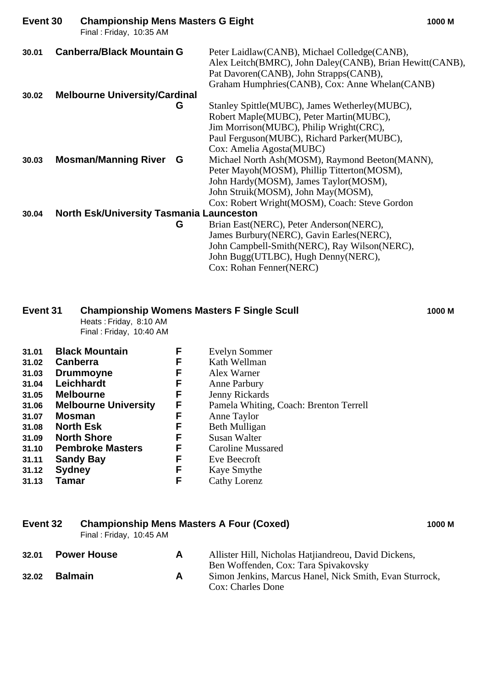| Event 30 | <b>Championship Mens Masters G Eight</b><br>Final: Friday, 10:35 AM |                                                                                                                                                                                                                                                                                                                                                          | 1000 M |
|----------|---------------------------------------------------------------------|----------------------------------------------------------------------------------------------------------------------------------------------------------------------------------------------------------------------------------------------------------------------------------------------------------------------------------------------------------|--------|
| 30.01    | <b>Canberra/Black Mountain G</b>                                    | Peter Laidlaw(CANB), Michael Colledge(CANB),<br>Alex Leitch(BMRC), John Daley(CANB), Brian Hewitt(CANB),<br>Pat Davoren(CANB), John Strapps(CANB),<br>Graham Humphries (CANB), Cox: Anne Whelan (CANB)                                                                                                                                                   |        |
| 30.02    | <b>Melbourne University/Cardinal</b>                                |                                                                                                                                                                                                                                                                                                                                                          |        |
| 30.03    | G<br><b>Mosman/Manning River G</b>                                  | Stanley Spittle(MUBC), James Wetherley(MUBC),<br>Robert Maple(MUBC), Peter Martin(MUBC),<br>Jim Morrison(MUBC), Philip Wright(CRC),<br>Paul Ferguson(MUBC), Richard Parker(MUBC),<br>Cox: Amelia Agosta (MUBC)<br>Michael North Ash(MOSM), Raymond Beeton(MANN),<br>Peter Mayoh(MOSM), Phillip Titterton(MOSM),<br>John Hardy(MOSM), James Taylor(MOSM), |        |
|          |                                                                     | John Struik(MOSM), John May(MOSM),<br>Cox: Robert Wright (MOSM), Coach: Steve Gordon                                                                                                                                                                                                                                                                     |        |
| 30.04    | <b>North Esk/University Tasmania Launceston</b>                     |                                                                                                                                                                                                                                                                                                                                                          |        |
|          | G                                                                   | Brian East(NERC), Peter Anderson(NERC),                                                                                                                                                                                                                                                                                                                  |        |
|          |                                                                     | James Burbury (NERC), Gavin Earles (NERC),                                                                                                                                                                                                                                                                                                               |        |
|          |                                                                     | John Campbell-Smith(NERC), Ray Wilson(NERC),                                                                                                                                                                                                                                                                                                             |        |

John Bugg(UTLBC), Hugh Denny(NERC), Cox: Rohan Fenner(NERC)

### **Event 31 Championship Womens Masters F Single Scull 1000 M**

Heats : Friday, 8:10 AM Final : Friday, 10:40 AM

| 31.01 | <b>Black Mountain</b>       | F  | <b>Evelyn Sommer</b>                   |
|-------|-----------------------------|----|----------------------------------------|
| 31.02 | Canberra                    | F  | Kath Wellman                           |
| 31.03 | <b>Drummoyne</b>            | F  | Alex Warner                            |
| 31.04 | Leichhardt                  | F  | Anne Parbury                           |
| 31.05 | <b>Melbourne</b>            | F. | Jenny Rickards                         |
| 31.06 | <b>Melbourne University</b> | F  | Pamela Whiting, Coach: Brenton Terrell |
| 31.07 | <b>Mosman</b>               | F  | Anne Taylor                            |
| 31.08 | <b>North Esk</b>            | F  | Beth Mulligan                          |
| 31.09 | <b>North Shore</b>          | F. | Susan Walter                           |
| 31.10 | <b>Pembroke Masters</b>     | F  | <b>Caroline Mussared</b>               |
| 31.11 | <b>Sandy Bay</b>            | F  | Eve Beecroft                           |
| 31.12 | <b>Sydney</b>               | F. | Kaye Smythe                            |
| 31.13 | <b>Tamar</b>                | F  | Cathy Lorenz                           |

# **Event 32 Championship Mens Masters A Four (Coxed) 1000 M**

Final : Friday, 10:45 AM

| 32.01 | <b>Power House</b> | Allister Hill, Nicholas Hatjiandreou, David Dickens,    |
|-------|--------------------|---------------------------------------------------------|
|       |                    | Ben Woffenden, Cox: Tara Spivakovsky                    |
| 32.02 | <b>Balmain</b>     | Simon Jenkins, Marcus Hanel, Nick Smith, Evan Sturrock, |
|       |                    | Cox: Charles Done                                       |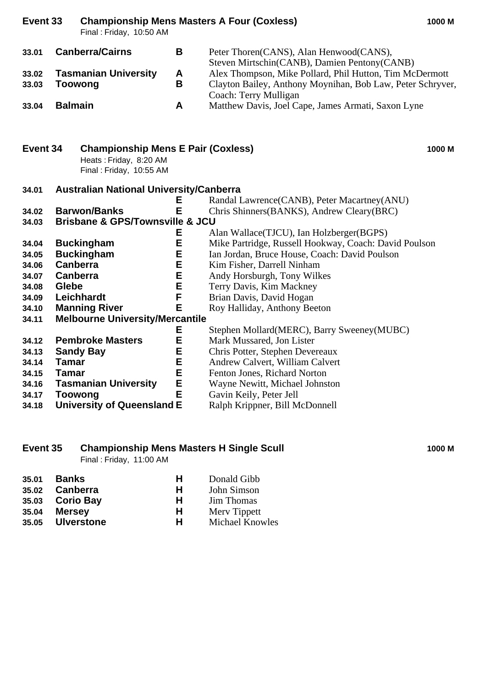**Event 33 Championship Mens Masters A Four (Coxless) 1000 M** Final : Friday, 10:50 AM **33.01 Canberra/Cairns B** Peter Thoren(CANS), Alan Henwood(CANS),

Steven Mirtschin(CANB), Damien Pentony(CANB)

**33.02 Tasmanian University A** Alex Thompson, Mike Pollard, Phil Hutton, Tim McDermott

**33.03 Toowong B** Clayton Bailey, Anthony Moynihan, Bob Law, Peter Schryver, Coach: Terry Mulligan

**33.04 Balmain A** Matthew Davis, Joel Cape, James Armati, Saxon Lyne

# **Event 34 Championship Mens E Pair (Coxless) 1000 M** Heats : Friday, 8:20 AM

Final : Friday, 10:55 AM

# **34.01 Australian National University/Canberra**

|       |                                                | Е | Randal Lawrence (CANB), Peter Macartney (ANU)         |
|-------|------------------------------------------------|---|-------------------------------------------------------|
| 34.02 | <b>Barwon/Banks</b>                            | Е | Chris Shinners (BANKS), Andrew Cleary (BRC)           |
| 34.03 | <b>Brisbane &amp; GPS/Townsville &amp; JCU</b> |   |                                                       |
|       |                                                | Ε | Alan Wallace (TJCU), Ian Holzberger (BGPS)            |
| 34.04 | <b>Buckingham</b>                              | E | Mike Partridge, Russell Hookway, Coach: David Poulson |
| 34.05 | <b>Buckingham</b>                              | E | Ian Jordan, Bruce House, Coach: David Poulson         |
| 34.06 | <b>Canberra</b>                                | E | Kim Fisher, Darrell Ninham                            |
| 34.07 | Canberra                                       | E | Andy Horsburgh, Tony Wilkes                           |
| 34.08 | Glebe                                          | Е | Terry Davis, Kim Mackney                              |
| 34.09 | Leichhardt                                     | F | Brian Davis, David Hogan                              |
| 34.10 | <b>Manning River</b>                           | E | Roy Halliday, Anthony Beeton                          |
| 34.11 | <b>Melbourne University/Mercantile</b>         |   |                                                       |
|       |                                                | Е | Stephen Mollard (MERC), Barry Sweeney (MUBC)          |
| 34.12 | <b>Pembroke Masters</b>                        | Е | Mark Mussared, Jon Lister                             |
| 34.13 | <b>Sandy Bay</b>                               | E | Chris Potter, Stephen Devereaux                       |
| 34.14 | Tamar                                          | E | Andrew Calvert, William Calvert                       |
| 34.15 | Tamar                                          | E | Fenton Jones, Richard Norton                          |
| 34.16 | <b>Tasmanian University</b>                    | E | Wayne Newitt, Michael Johnston                        |
| 34.17 | Toowong                                        | E | Gavin Keily, Peter Jell                               |

**34.18 University of Queensland E** Ralph Krippner, Bill McDonnell

### **Event 35 Championship Mens Masters H Single Scull 1000 M**

Final : Friday, 11:00 AM

| 35.01 | Banks            | н | Donald Gibb            |
|-------|------------------|---|------------------------|
|       | 35.02 Canberra   | н | John Simson            |
|       | 35.03 Corio Bay  | н | <b>Jim Thomas</b>      |
| 35.04 | Mersey           | Н | Mery Tippett           |
|       | 35.05 Ulverstone | н | <b>Michael Knowles</b> |

- 
- 
-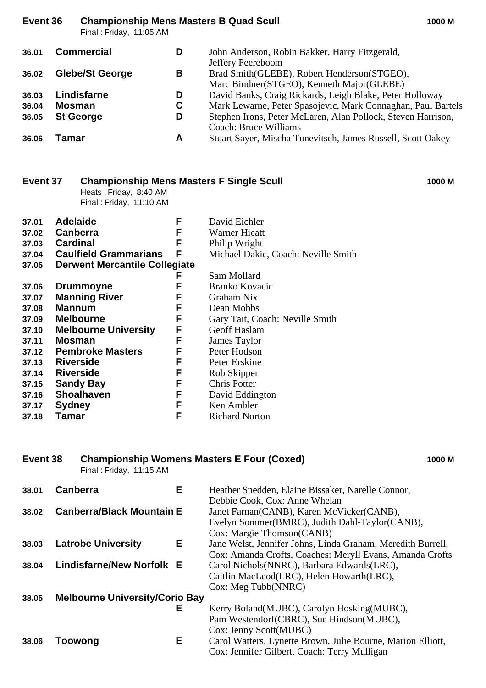# **Event 36 Championship Mens Masters B Quad Scull 1000 M**

Final : Friday, 11:05 AM

| 36.01 | <b>Commercial</b>      | D | John Anderson, Robin Bakker, Harry Fitzgerald,               |
|-------|------------------------|---|--------------------------------------------------------------|
|       |                        |   | Jeffery Peereboom                                            |
| 36.02 | <b>Glebe/St George</b> | В | Brad Smith(GLEBE), Robert Henderson(STGEO),                  |
|       |                        |   | Marc Bindner(STGEO), Kenneth Major(GLEBE)                    |
| 36.03 | Lindisfarne            | D | David Banks, Craig Rickards, Leigh Blake, Peter Holloway     |
| 36.04 | <b>Mosman</b>          | C | Mark Lewarne, Peter Spasojevic, Mark Connaghan, Paul Bartels |
| 36.05 | <b>St George</b>       | D | Stephen Irons, Peter McLaren, Alan Pollock, Steven Harrison, |
|       |                        |   | Coach: Bruce Williams                                        |
| 36.06 | Tamar                  | A | Stuart Sayer, Mischa Tunevitsch, James Russell, Scott Oakey  |

| <b>Championship Mens Masters F Single Scull</b><br>Event 37<br>Heats: Friday, 8:40 AM<br>Final: Friday, 11:10 AM |                                      |        |                                       | 1000 M |
|------------------------------------------------------------------------------------------------------------------|--------------------------------------|--------|---------------------------------------|--------|
| 37.01<br>37.02                                                                                                   | <b>Adelaide</b><br><b>Canberra</b>   | F<br>F | David Eichler<br><b>Warner Hieatt</b> |        |
| 37.03                                                                                                            | <b>Cardinal</b>                      | F      | Philip Wright                         |        |
| 37.04                                                                                                            | <b>Caulfield Grammarians</b>         | F      | Michael Dakic, Coach: Neville Smith   |        |
| 37.05                                                                                                            | <b>Derwent Mercantile Collegiate</b> |        |                                       |        |
|                                                                                                                  |                                      | F      | Sam Mollard                           |        |
| 37.06                                                                                                            | <b>Drummoyne</b>                     | F      | <b>Branko Kovacic</b>                 |        |
| 37.07                                                                                                            | <b>Manning River</b>                 | F      | Graham Nix                            |        |
| 37.08                                                                                                            | <b>Mannum</b>                        | F      | Dean Mobbs                            |        |
| 37.09                                                                                                            | <b>Melbourne</b>                     | F      | Gary Tait, Coach: Neville Smith       |        |
| 37.10                                                                                                            | <b>Melbourne University</b>          | F      | Geoff Haslam                          |        |
| 37.11                                                                                                            | <b>Mosman</b>                        | F      | James Taylor                          |        |
| 37.12                                                                                                            | <b>Pembroke Masters</b>              | F      | Peter Hodson                          |        |
| 37.13                                                                                                            | <b>Riverside</b>                     | F      | Peter Erskine                         |        |
| 37.14                                                                                                            | <b>Riverside</b>                     | F      | Rob Skipper                           |        |
| 37.15                                                                                                            | <b>Sandy Bay</b>                     | F      | Chris Potter                          |        |
| 37.16                                                                                                            | <b>Shoalhaven</b>                    | F      | David Eddington                       |        |
| 37.17                                                                                                            | <b>Sydney</b>                        | F      | Ken Ambler                            |        |
| 37.18                                                                                                            | Tamar                                | F      | <b>Richard Norton</b>                 |        |

# **Event 38 Championship Womens Masters E Four (Coxed) 1000 M**

Final : Friday, 11:15 AM

| 38.01 | E.<br><b>Canberra</b>                 | Heather Snedden, Elaine Bissaker, Narelle Connor,           |
|-------|---------------------------------------|-------------------------------------------------------------|
|       |                                       | Debbie Cook, Cox: Anne Whelan                               |
| 38.02 | <b>Canberra/Black Mountain E</b>      | Janet Farnan(CANB), Karen McVicker(CANB),                   |
|       |                                       | Evelyn Sommer(BMRC), Judith Dahl-Taylor(CANB),              |
|       |                                       | Cox: Margie Thomson(CANB)                                   |
| 38.03 | Е.<br><b>Latrobe University</b>       | Jane Welst, Jennifer Johns, Linda Graham, Meredith Burrell, |
|       |                                       | Cox: Amanda Crofts, Coaches: Meryll Evans, Amanda Crofts    |
| 38.04 | <b>Lindisfarne/New Norfolk E</b>      | Carol Nichols (NNRC), Barbara Edwards (LRC),                |
|       |                                       | Caitlin MacLeod(LRC), Helen Howarth(LRC),                   |
|       |                                       | Cox: Meg Tubb(NNRC)                                         |
| 38.05 | <b>Melbourne University/Corio Bay</b> |                                                             |
|       | Е                                     | Kerry Boland(MUBC), Carolyn Hosking(MUBC),                  |
|       |                                       | Pam Westendorf (CBRC), Sue Hindson (MUBC),                  |
|       |                                       | Cox: Jenny Scott(MUBC)                                      |
| 38.06 | Е<br>Toowong                          | Carol Watters, Lynette Brown, Julie Bourne, Marion Elliott, |
|       |                                       | Cox: Jennifer Gilbert, Coach: Terry Mulligan                |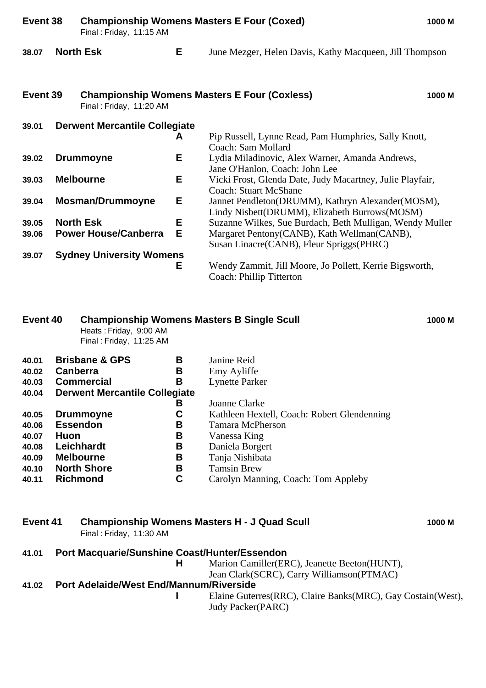| Event 38 |                                  | <b>Championship Womens Masters E Four (Coxed)</b><br>1000 M<br>Final: Friday, 11:15 AM |   |                                                                                                    |  |  |
|----------|----------------------------------|----------------------------------------------------------------------------------------|---|----------------------------------------------------------------------------------------------------|--|--|
| 38.07    |                                  | <b>North Esk</b>                                                                       | Е | June Mezger, Helen Davis, Kathy Macqueen, Jill Thompson                                            |  |  |
| Event 39 |                                  | Final: Friday, 11:20 AM                                                                |   | <b>Championship Womens Masters E Four (Coxless)</b><br>1000 M                                      |  |  |
| 39.01    |                                  | <b>Derwent Mercantile Collegiate</b>                                                   |   |                                                                                                    |  |  |
|          |                                  |                                                                                        | A | Pip Russell, Lynne Read, Pam Humphries, Sally Knott,<br>Coach: Sam Mollard                         |  |  |
| 39.02    |                                  | <b>Drummoyne</b>                                                                       | Е | Lydia Miladinovic, Alex Warner, Amanda Andrews,<br>Jane O'Hanlon, Coach: John Lee                  |  |  |
| 39.03    | E<br><b>Melbourne</b>            |                                                                                        |   | Vicki Frost, Glenda Date, Judy Macartney, Julie Playfair,<br><b>Coach: Stuart McShane</b>          |  |  |
| 39.04    | Е<br><b>Mosman/Drummoyne</b>     |                                                                                        |   | Jannet Pendleton(DRUMM), Kathryn Alexander(MOSM),<br>Lindy Nisbett(DRUMM), Elizabeth Burrows(MOSM) |  |  |
| 39.05    |                                  | <b>North Esk</b>                                                                       | E | Suzanne Wilkes, Sue Burdach, Beth Mulligan, Wendy Muller                                           |  |  |
| 39.06    | E<br><b>Power House/Canberra</b> |                                                                                        |   | Margaret Pentony(CANB), Kath Wellman(CANB),<br>Susan Linacre (CANB), Fleur Spriggs (PHRC)          |  |  |
| 39.07    |                                  | <b>Sydney University Womens</b>                                                        |   |                                                                                                    |  |  |
|          |                                  |                                                                                        | Е | Wendy Zammit, Jill Moore, Jo Pollett, Kerrie Bigsworth,<br>Coach: Phillip Titterton                |  |  |

### **Event 40 Championship Womens Masters B Single Scull 1000 M**

Heats : Friday, 9:00 AM

Final : Friday, 11:25 AM

| 40.01 | <b>Brisbane &amp; GPS</b><br>В       | Janine Reid                                 |
|-------|--------------------------------------|---------------------------------------------|
| 40.02 | <b>Canberra</b><br>В                 | Emy Ayliffe                                 |
| 40.03 | <b>Commercial</b><br>В               | <b>Lynette Parker</b>                       |
| 40.04 | <b>Derwent Mercantile Collegiate</b> |                                             |
|       | В                                    | Joanne Clarke                               |
| 40.05 | <b>Drummoyne</b><br>С                | Kathleen Hextell, Coach: Robert Glendenning |
| 40.06 | <b>Essendon</b><br>В                 | <b>Tamara McPherson</b>                     |
| 40.07 | В<br><b>Huon</b>                     | Vanessa King                                |
| 40.08 | <b>Leichhardt</b><br>В               | Daniela Borgert                             |
| 40.09 | В<br><b>Melbourne</b>                | Tanja Nishibata                             |
| 40.10 | <b>North Shore</b><br>В              | <b>Tamsin Brew</b>                          |
| 40.11 | С<br><b>Richmond</b>                 | Carolyn Manning, Coach: Tom Appleby         |
|       |                                      |                                             |

### **Event 41 Championship Womens Masters H - J Quad Scull 1000 M** Final : Friday, 11:30 AM

- **41.01 Port Macquarie/Sunshine Coast/Hunter/Essendon**
	- Marion Camiller(ERC), Jeanette Beeton(HUNT),
		- Jean Clark(SCRC), Carry Williamson(PTMAC)

### **41.02 Port Adelaide/West End/Mannum/Riverside**

**I** Elaine Guterres(RRC), Claire Banks(MRC), Gay Costain(West), Judy Packer(PARC)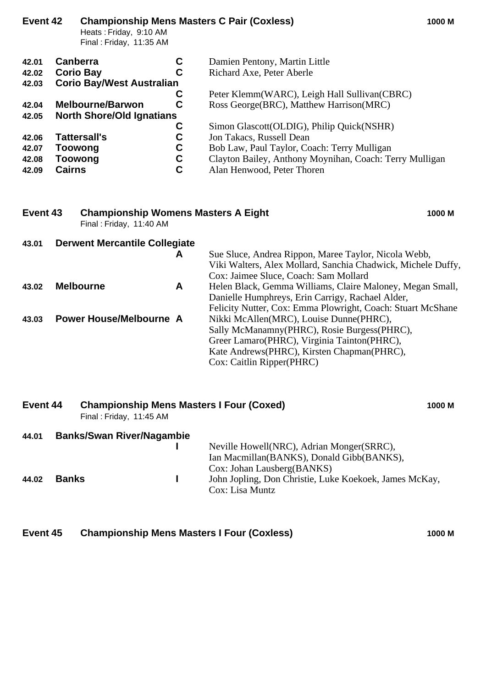| Event 42                                  |                     | Heats: Friday, 9:10 AM<br>Final: Friday, 11:35 AM |   | <b>Championship Mens Masters C Pair (Coxless)</b>       | 1000 M |
|-------------------------------------------|---------------------|---------------------------------------------------|---|---------------------------------------------------------|--------|
| 42.01                                     | <b>Canberra</b>     |                                                   | С | Damien Pentony, Martin Little                           |        |
| 42.02                                     | <b>Corio Bay</b>    |                                                   | С | Richard Axe, Peter Aberle                               |        |
| <b>Corio Bay/West Australian</b><br>42.03 |                     |                                                   |   |                                                         |        |
|                                           |                     |                                                   | С | Peter Klemm(WARC), Leigh Hall Sullivan(CBRC)            |        |
| 42.04                                     |                     | <b>Melbourne/Barwon</b>                           | C | Ross George (BRC), Matthew Harrison (MRC)               |        |
| 42.05                                     |                     | <b>North Shore/Old Ignatians</b>                  |   |                                                         |        |
|                                           |                     |                                                   | C | Simon Glascott (OLDIG), Philip Quick (NSHR)             |        |
| 42.06                                     | <b>Tattersall's</b> |                                                   | С | Jon Takacs, Russell Dean                                |        |
| 42.07                                     | Toowong             |                                                   | C | Bob Law, Paul Taylor, Coach: Terry Mulligan             |        |
| 42.08                                     | Toowong             |                                                   | C | Clayton Bailey, Anthony Moynihan, Coach: Terry Mulligan |        |
| 42.09                                     | <b>Cairns</b>       |                                                   | С | Alan Henwood, Peter Thoren                              |        |

### **Event 43 Championship Womens Masters A Eight 1000 M** Final : Friday, 11:40 AM

|                  | A | Sue Sluce, Andrea Rippon, Maree Taylor, Nicola Webb,                   |
|------------------|---|------------------------------------------------------------------------|
|                  |   | Viki Walters, Alex Mollard, Sanchia Chadwick, Michele Duffy,           |
|                  |   | Cox: Jaimee Sluce, Coach: Sam Mollard                                  |
| <b>Melbourne</b> | A | Helen Black, Gemma Williams, Claire Maloney, Megan Small,              |
|                  |   | Danielle Humphreys, Erin Carrigy, Rachael Alder,                       |
|                  |   | Felicity Nutter, Cox: Emma Plowright, Coach: Stuart McShane            |
|                  |   | Nikki McAllen(MRC), Louise Dunne(PHRC),                                |
|                  |   | Sally McManamny (PHRC), Rosie Burgess (PHRC),                          |
|                  |   | Greer Lamaro(PHRC), Virginia Tainton(PHRC),                            |
|                  |   | Kate Andrews (PHRC), Kirsten Chapman (PHRC),                           |
|                  |   | Cox: Caitlin Ripper(PHRC)                                              |
|                  |   | <b>Derwent Mercantile Collegiate</b><br><b>Power House/Melbourne A</b> |

| Event 44 |              | <b>Championship Mens Masters I Four (Coxed)</b><br>Final: Friday, 11:45 AM |  |                                                                                                         |  |
|----------|--------------|----------------------------------------------------------------------------|--|---------------------------------------------------------------------------------------------------------|--|
| 44.01    |              | <b>Banks/Swan River/Nagambie</b>                                           |  | Neville Howell (NRC), Adrian Monger (SRRC),<br>Ian Macmillan(BANKS), Donald Gibb(BANKS),                |  |
| 44.02    | <b>Banks</b> |                                                                            |  | Cox: Johan Lausberg(BANKS)<br>John Jopling, Don Christie, Luke Koekoek, James McKay,<br>Cox: Lisa Muntz |  |

**Event 45 Championship Mens Masters I Four (Coxless) 1000 M**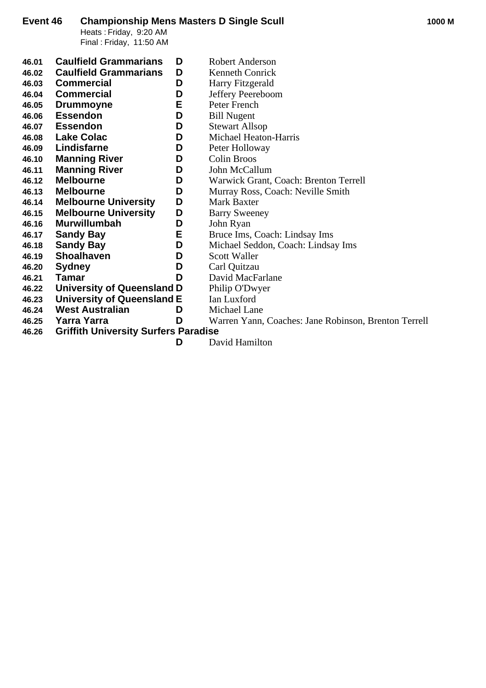Heats : Friday, 9:20 AM Final : Friday, 11:50 AM

| 46.01 | <b>Caulfield Grammarians</b>                | D | <b>Robert Anderson</b>                               |
|-------|---------------------------------------------|---|------------------------------------------------------|
| 46.02 | <b>Caulfield Grammarians</b>                | D | Kenneth Conrick                                      |
| 46.03 | <b>Commercial</b>                           | D | Harry Fitzgerald                                     |
| 46.04 | <b>Commercial</b>                           | D | Jeffery Peereboom                                    |
| 46.05 | <b>Drummoyne</b>                            | Е | Peter French                                         |
| 46.06 | <b>Essendon</b>                             | D | <b>Bill Nugent</b>                                   |
| 46.07 | <b>Essendon</b>                             | D | <b>Stewart Allsop</b>                                |
| 46.08 | <b>Lake Colac</b>                           | D | Michael Heaton-Harris                                |
| 46.09 | Lindisfarne                                 | D | Peter Holloway                                       |
| 46.10 | <b>Manning River</b>                        | D | Colin Broos                                          |
| 46.11 | <b>Manning River</b>                        | D | John McCallum                                        |
| 46.12 | <b>Melbourne</b>                            | D | Warwick Grant, Coach: Brenton Terrell                |
| 46.13 | <b>Melbourne</b>                            | D | Murray Ross, Coach: Neville Smith                    |
| 46.14 | <b>Melbourne University</b>                 | D | <b>Mark Baxter</b>                                   |
| 46.15 | <b>Melbourne University</b>                 | D | <b>Barry Sweeney</b>                                 |
| 46.16 | <b>Murwillumbah</b>                         | D | John Ryan                                            |
| 46.17 | <b>Sandy Bay</b>                            | Е | Bruce Ims, Coach: Lindsay Ims                        |
| 46.18 | <b>Sandy Bay</b>                            | D | Michael Seddon, Coach: Lindsay Ims                   |
| 46.19 | <b>Shoalhaven</b>                           | D | Scott Waller                                         |
| 46.20 | <b>Sydney</b>                               | D | Carl Quitzau                                         |
| 46.21 | Tamar                                       | D | David MacFarlane                                     |
| 46.22 | <b>University of Queensland D</b>           |   | Philip O'Dwyer                                       |
| 46.23 | University of Queensland E                  |   | Ian Luxford                                          |
| 46.24 | <b>West Australian</b>                      | D | Michael Lane                                         |
| 46.25 | Yarra Yarra                                 | D | Warren Yann, Coaches: Jane Robinson, Brenton Terrell |
| 46.26 | <b>Griffith University Surfers Paradise</b> |   |                                                      |
|       |                                             | D | David Hamilton                                       |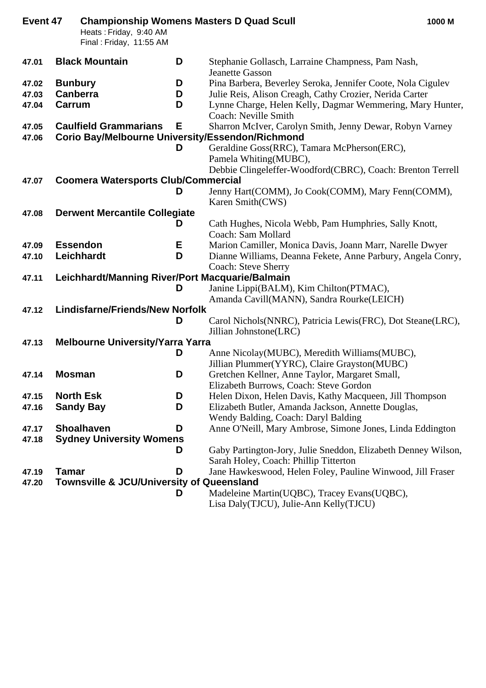| Event 47       |                 |                                                      |   | <b>Championship Womens Masters D Quad Scull</b><br>1000 M                                                    |  |
|----------------|-----------------|------------------------------------------------------|---|--------------------------------------------------------------------------------------------------------------|--|
|                |                 | Heats: Friday, 9:40 AM                               |   |                                                                                                              |  |
|                |                 | Final: Friday, 11:55 AM                              |   |                                                                                                              |  |
| 47.01          |                 | <b>Black Mountain</b>                                | D | Stephanie Gollasch, Larraine Champness, Pam Nash,                                                            |  |
|                |                 |                                                      |   | <b>Jeanette Gasson</b>                                                                                       |  |
| 47.02          | <b>Bunbury</b>  |                                                      | D | Pina Barbera, Beverley Seroka, Jennifer Coote, Nola Cigulev                                                  |  |
| 47.03          | <b>Canberra</b> |                                                      | D | Julie Reis, Alison Creagh, Cathy Crozier, Nerida Carter                                                      |  |
| 47.04          | Carrum          |                                                      | D | Lynne Charge, Helen Kelly, Dagmar Wemmering, Mary Hunter,                                                    |  |
|                |                 |                                                      |   | Coach: Neville Smith                                                                                         |  |
| 47.05<br>47.06 |                 | <b>Caulfield Grammarians</b>                         | Е | Sharron McIver, Carolyn Smith, Jenny Dewar, Robyn Varney<br>Corio Bay/Melbourne University/Essendon/Richmond |  |
|                |                 |                                                      | D | Geraldine Goss(RRC), Tamara McPherson(ERC),                                                                  |  |
|                |                 |                                                      |   | Pamela Whiting(MUBC),                                                                                        |  |
|                |                 |                                                      |   | Debbie Clingeleffer-Woodford(CBRC), Coach: Brenton Terrell                                                   |  |
| 47.07          |                 | <b>Coomera Watersports Club/Commercial</b>           |   |                                                                                                              |  |
|                |                 |                                                      | D | Jenny Hart(COMM), Jo Cook(COMM), Mary Fenn(COMM),                                                            |  |
|                |                 |                                                      |   | Karen Smith(CWS)                                                                                             |  |
| 47.08          |                 | <b>Derwent Mercantile Collegiate</b>                 |   |                                                                                                              |  |
|                |                 |                                                      | D | Cath Hughes, Nicola Webb, Pam Humphries, Sally Knott,                                                        |  |
|                |                 |                                                      |   | Coach: Sam Mollard                                                                                           |  |
| 47.09          |                 | <b>Essendon</b>                                      | Е | Marion Camiller, Monica Davis, Joann Marr, Narelle Dwyer                                                     |  |
| 47.10          |                 | Leichhardt                                           | D | Dianne Williams, Deanna Fekete, Anne Parbury, Angela Conry,                                                  |  |
|                |                 | Leichhardt/Manning River/Port Macquarie/Balmain      |   | <b>Coach: Steve Sherry</b>                                                                                   |  |
| 47.11          |                 |                                                      | D | Janine Lippi(BALM), Kim Chilton(PTMAC),                                                                      |  |
|                |                 |                                                      |   | Amanda Cavill(MANN), Sandra Rourke(LEICH)                                                                    |  |
| 47.12          |                 | <b>Lindisfarne/Friends/New Norfolk</b>               |   |                                                                                                              |  |
|                |                 |                                                      | D | Carol Nichols (NNRC), Patricia Lewis (FRC), Dot Steane (LRC),                                                |  |
|                |                 |                                                      |   | Jillian Johnstone(LRC)                                                                                       |  |
| 47.13          |                 | <b>Melbourne University/Yarra Yarra</b>              |   |                                                                                                              |  |
|                |                 |                                                      | D | Anne Nicolay (MUBC), Meredith Williams (MUBC),                                                               |  |
|                |                 |                                                      |   | Jillian Plummer(YYRC), Claire Grayston(MUBC)                                                                 |  |
| 47.14          | <b>Mosman</b>   |                                                      | D | Gretchen Kellner, Anne Taylor, Margaret Small,                                                               |  |
|                |                 |                                                      |   | Elizabeth Burrows, Coach: Steve Gordon                                                                       |  |
| 47.15          |                 | <b>North Esk</b>                                     | D | Helen Dixon, Helen Davis, Kathy Macqueen, Jill Thompson                                                      |  |
| 47.16          |                 | <b>Sandy Bay</b>                                     | D | Elizabeth Butler, Amanda Jackson, Annette Douglas,                                                           |  |
|                |                 |                                                      |   | Wendy Balding, Coach: Daryl Balding                                                                          |  |
| 47.17          |                 | <b>Shoalhaven</b>                                    | D | Anne O'Neill, Mary Ambrose, Simone Jones, Linda Eddington                                                    |  |
| 47.18          |                 | <b>Sydney University Womens</b>                      |   |                                                                                                              |  |
|                |                 |                                                      | D | Gaby Partington-Jory, Julie Sneddon, Elizabeth Denney Wilson,                                                |  |
|                |                 |                                                      |   | Sarah Holey, Coach: Phillip Titterton                                                                        |  |
| 47.19          | <b>Tamar</b>    | <b>Townsville &amp; JCU/University of Queensland</b> | D | Jane Hawkeswood, Helen Foley, Pauline Winwood, Jill Fraser                                                   |  |
| 47.20          |                 |                                                      |   |                                                                                                              |  |
|                |                 |                                                      | D | Madeleine Martin(UQBC), Tracey Evans(UQBC),                                                                  |  |
|                |                 |                                                      |   | Lisa Daly(TJCU), Julie-Ann Kelly(TJCU)                                                                       |  |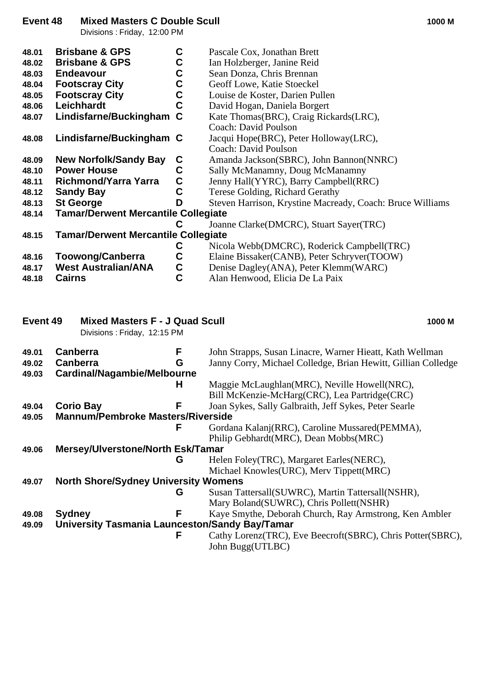### **Event 48 Mixed Masters C Double Scull 1000 M**

Divisions : Friday, 12:00 PM

| 48.01    | <b>Brisbane &amp; GPS</b>                                            | $\mathbf c$    | Pascale Cox, Jonathan Brett                                                       |
|----------|----------------------------------------------------------------------|----------------|-----------------------------------------------------------------------------------|
| 48.02    | <b>Brisbane &amp; GPS</b>                                            | $\mathbf c$    | Ian Holzberger, Janine Reid                                                       |
| 48.03    | <b>Endeavour</b>                                                     |                | Sean Donza, Chris Brennan                                                         |
| 48.04    | <b>Footscray City</b>                                                |                | Geoff Lowe, Katie Stoeckel                                                        |
| 48.05    | <b>Footscray City</b>                                                | C<br>C<br>C    | Louise de Koster, Darien Pullen                                                   |
| 48.06    | Leichhardt                                                           | $\overline{c}$ | David Hogan, Daniela Borgert                                                      |
| 48.07    | Lindisfarne/Buckingham C                                             |                | Kate Thomas(BRC), Craig Rickards(LRC),                                            |
|          |                                                                      |                | Coach: David Poulson                                                              |
|          |                                                                      |                |                                                                                   |
| 48.08    | Lindisfarne/Buckingham C                                             |                | Jacqui Hope(BRC), Peter Holloway(LRC),                                            |
|          |                                                                      |                | <b>Coach: David Poulson</b>                                                       |
| 48.09    | <b>New Norfolk/Sandy Bay</b>                                         | $\mathbf c$    | Amanda Jackson(SBRC), John Bannon(NNRC)                                           |
| 48.10    | <b>Power House</b>                                                   | $\mathbf C$    | Sally McManamny, Doug McManamny                                                   |
| 48.11    | <b>Richmond/Yarra Yarra</b>                                          | $\mathbf C$    | Jenny Hall(YYRC), Barry Campbell(RRC)                                             |
| 48.12    | <b>Sandy Bay</b>                                                     | $\mathbf C$    | Terese Golding, Richard Gerathy                                                   |
| 48.13    | <b>St George</b>                                                     | D              | Steven Harrison, Krystine Macready, Coach: Bruce Williams                         |
| 48.14    | <b>Tamar/Derwent Mercantile Collegiate</b>                           |                |                                                                                   |
|          |                                                                      | C              | Joanne Clarke(DMCRC), Stuart Sayer(TRC)                                           |
| 48.15    | <b>Tamar/Derwent Mercantile Collegiate</b>                           |                |                                                                                   |
|          |                                                                      | C              | Nicola Webb(DMCRC), Roderick Campbell(TRC)                                        |
| 48.16    | <b>Toowong/Canberra</b>                                              | $\mathbf C$    | Elaine Bissaker(CANB), Peter Schryver(TOOW)                                       |
|          | <b>West Australian/ANA</b>                                           |                | Denise Dagley(ANA), Peter Klemm(WARC)                                             |
| 48.17    |                                                                      |                |                                                                                   |
| 48.18    | <b>Cairns</b>                                                        | $\frac{c}{c}$  | Alan Henwood, Elicia De La Paix                                                   |
| Event 49 | <b>Mixed Masters F - J Quad Scull</b><br>Divisions: Friday, 12:15 PM |                | 1000 M                                                                            |
|          |                                                                      |                |                                                                                   |
| 49.01    | Canberra                                                             | F              | John Strapps, Susan Linacre, Warner Hieatt, Kath Wellman                          |
| 49.02    | <b>Canberra</b>                                                      | G              | Janny Corry, Michael Colledge, Brian Hewitt, Gillian Colledge                     |
| 49.03    | Cardinal/Nagambie/Melbourne                                          |                |                                                                                   |
|          |                                                                      | H              | Maggie McLaughlan(MRC), Neville Howell(NRC),                                      |
|          |                                                                      |                | Bill McKenzie-McHarg(CRC), Lea Partridge(CRC)                                     |
| 49.04    | <b>Corio Bay</b>                                                     | F              | Joan Sykes, Sally Galbraith, Jeff Sykes, Peter Searle                             |
| 49.05    | <b>Mannum/Pembroke Masters/Riverside</b>                             |                |                                                                                   |
|          |                                                                      | F              | Gordana Kalanj(RRC), Caroline Mussared(PEMMA),                                    |
|          |                                                                      |                | Philip Gebhardt(MRC), Dean Mobbs(MRC)                                             |
| 49.06    | <b>Mersey/Ulverstone/North Esk/Tamar</b>                             |                |                                                                                   |
|          |                                                                      | G              | Helen Foley(TRC), Margaret Earles(NERC),                                          |
|          |                                                                      |                | Michael Knowles (URC), Merv Tippett (MRC)                                         |
| 49.07    | <b>North Shore/Sydney University Womens</b>                          |                |                                                                                   |
|          |                                                                      | G              |                                                                                   |
|          |                                                                      |                | Susan Tattersall(SUWRC), Martin Tattersall(NSHR),                                 |
|          |                                                                      |                | Mary Boland(SUWRC), Chris Pollett(NSHR)                                           |
| 49.08    | <b>Sydney</b>                                                        | F              | Kaye Smythe, Deborah Church, Ray Armstrong, Ken Ambler                            |
| 49.09    | University Tasmania Launceston/Sandy Bay/Tamar                       |                |                                                                                   |
|          |                                                                      | F              | Cathy Lorenz (TRC), Eve Beecroft (SBRC), Chris Potter (SBRC),<br>John Bugg(UTLBC) |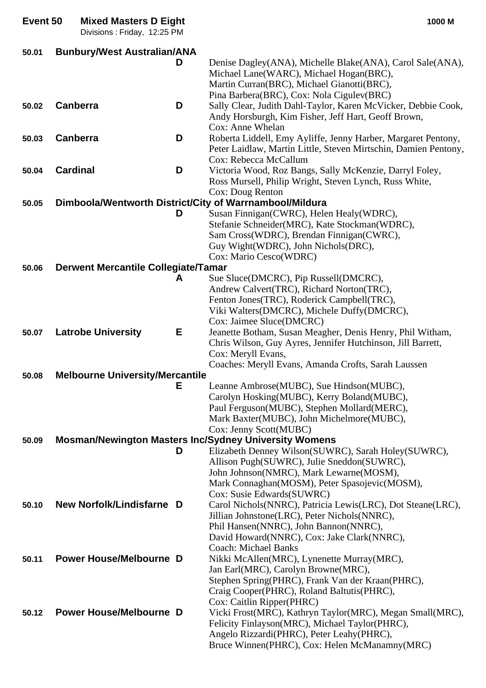| Event 50 | <b>Mixed Masters D Eight</b><br>Divisions: Friday, 12:25 PM |   | 1000 M                                                                                                                                                                                |
|----------|-------------------------------------------------------------|---|---------------------------------------------------------------------------------------------------------------------------------------------------------------------------------------|
| 50.01    | <b>Bunbury/West Australian/ANA</b>                          |   |                                                                                                                                                                                       |
|          |                                                             | D | Denise Dagley(ANA), Michelle Blake(ANA), Carol Sale(ANA),<br>Michael Lane(WARC), Michael Hogan(BRC),<br>Martin Curran(BRC), Michael Gianotti(BRC),                                    |
| 50.02    | <b>Canberra</b>                                             | D | Pina Barbera(BRC), Cox: Nola Cigulev(BRC)<br>Sally Clear, Judith Dahl-Taylor, Karen McVicker, Debbie Cook,<br>Andy Horsburgh, Kim Fisher, Jeff Hart, Geoff Brown,<br>Cox: Anne Whelan |
| 50.03    | <b>Canberra</b>                                             | D | Roberta Liddell, Emy Ayliffe, Jenny Harber, Margaret Pentony,<br>Peter Laidlaw, Martin Little, Steven Mirtschin, Damien Pentony,<br>Cox: Rebecca McCallum                             |
| 50.04    | <b>Cardinal</b>                                             | D | Victoria Wood, Roz Bangs, Sally McKenzie, Darryl Foley,<br>Ross Mursell, Philip Wright, Steven Lynch, Russ White,<br>Cox: Doug Renton                                                 |
| 50.05    |                                                             |   | Dimboola/Wentworth District/City of Warrnambool/Mildura                                                                                                                               |
|          |                                                             | D | Susan Finnigan(CWRC), Helen Healy(WDRC),                                                                                                                                              |
|          |                                                             |   | Stefanie Schneider(MRC), Kate Stockman(WDRC),<br>Sam Cross(WDRC), Brendan Finnigan(CWRC),<br>Guy Wight(WDRC), John Nichols(DRC),                                                      |
|          |                                                             |   | Cox: Mario Cesco(WDRC)                                                                                                                                                                |
| 50.06    | <b>Derwent Mercantile Collegiate/Tamar</b>                  | A | Sue Sluce(DMCRC), Pip Russell(DMCRC),<br>Andrew Calvert(TRC), Richard Norton(TRC),                                                                                                    |
|          |                                                             |   | Fenton Jones(TRC), Roderick Campbell(TRC),<br>Viki Walters(DMCRC), Michele Duffy(DMCRC),<br>Cox: Jaimee Sluce(DMCRC)                                                                  |
| 50.07    | <b>Latrobe University</b>                                   | Е | Jeanette Botham, Susan Meagher, Denis Henry, Phil Witham,<br>Chris Wilson, Guy Ayres, Jennifer Hutchinson, Jill Barrett,<br>Cox: Meryll Evans,                                        |
|          |                                                             |   | Coaches: Meryll Evans, Amanda Crofts, Sarah Laussen                                                                                                                                   |
| 50.08    | <b>Melbourne University/Mercantile</b>                      | Е | Leanne Ambrose(MUBC), Sue Hindson(MUBC),                                                                                                                                              |
|          |                                                             |   | Carolyn Hosking(MUBC), Kerry Boland(MUBC),                                                                                                                                            |
|          |                                                             |   | Paul Ferguson(MUBC), Stephen Mollard(MERC),                                                                                                                                           |
|          |                                                             |   | Mark Baxter(MUBC), John Michelmore(MUBC),                                                                                                                                             |
|          |                                                             |   | Cox: Jenny Scott(MUBC)                                                                                                                                                                |
| 50.09    |                                                             |   | <b>Mosman/Newington Masters Inc/Sydney University Womens</b>                                                                                                                          |
|          |                                                             | D | Elizabeth Denney Wilson(SUWRC), Sarah Holey(SUWRC),                                                                                                                                   |
|          |                                                             |   | Allison Pugh(SUWRC), Julie Sneddon(SUWRC),                                                                                                                                            |
|          |                                                             |   | John Johnson(NMRC), Mark Lewarne(MOSM),                                                                                                                                               |
|          |                                                             |   | Mark Connaghan(MOSM), Peter Spasojevic(MOSM),<br>Cox: Susie Edwards (SUWRC)                                                                                                           |
| 50.10    | New Norfolk/Lindisfarne D                                   |   | Carol Nichols(NNRC), Patricia Lewis(LRC), Dot Steane(LRC),                                                                                                                            |
|          |                                                             |   | Jillian Johnstone(LRC), Peter Nichols(NNRC),                                                                                                                                          |
|          |                                                             |   | Phil Hansen(NNRC), John Bannon(NNRC),                                                                                                                                                 |
|          |                                                             |   | David Howard(NNRC), Cox: Jake Clark(NNRC),                                                                                                                                            |
|          |                                                             |   | <b>Coach: Michael Banks</b>                                                                                                                                                           |
| 50.11    | <b>Power House/Melbourne D</b>                              |   | Nikki McAllen(MRC), Lynenette Murray(MRC),                                                                                                                                            |
|          |                                                             |   | Jan Earl(MRC), Carolyn Browne(MRC),                                                                                                                                                   |
|          |                                                             |   | Stephen Spring(PHRC), Frank Van der Kraan(PHRC),<br>Craig Cooper(PHRC), Roland Baltutis(PHRC),                                                                                        |
|          |                                                             |   | Cox: Caitlin Ripper(PHRC)                                                                                                                                                             |
| 50.12    | <b>Power House/Melbourne D</b>                              |   | Vicki Frost(MRC), Kathryn Taylor(MRC), Megan Small(MRC),                                                                                                                              |
|          |                                                             |   | Felicity Finlayson(MRC), Michael Taylor(PHRC),                                                                                                                                        |
|          |                                                             |   | Angelo Rizzardi(PHRC), Peter Leahy(PHRC),                                                                                                                                             |
|          |                                                             |   | Bruce Winnen(PHRC), Cox: Helen McManamny(MRC)                                                                                                                                         |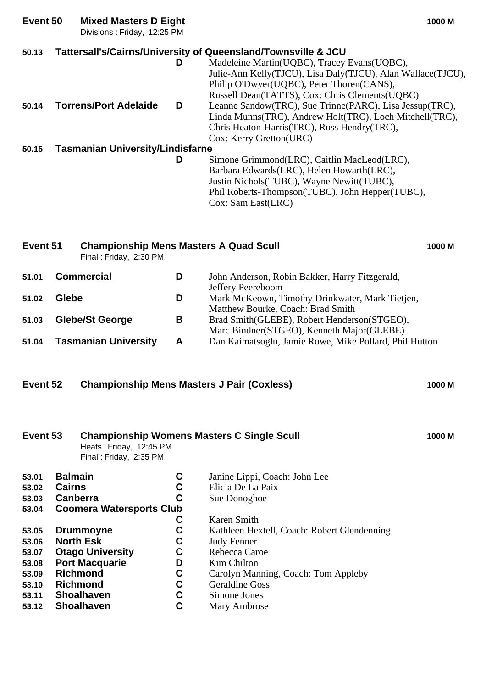| Event 50 | <b>Mixed Masters D Eight</b><br>Divisions: Friday, 12:25 PM             |   | 1000 M                                                                                                                                                                                                                                                                     |
|----------|-------------------------------------------------------------------------|---|----------------------------------------------------------------------------------------------------------------------------------------------------------------------------------------------------------------------------------------------------------------------------|
| 50.13    |                                                                         | D | Tattersall's/Cairns/University of Queensland/Townsville & JCU<br>Madeleine Martin(UQBC), Tracey Evans(UQBC),<br>Julie-Ann Kelly(TJCU), Lisa Daly(TJCU), Alan Wallace(TJCU),<br>Philip O'Dwyer(UQBC), Peter Thoren(CANS),<br>Russell Dean(TATTS), Cox: Chris Clements(UQBC) |
| 50.14    | <b>Torrens/Port Adelaide</b>                                            | D | Leanne Sandow(TRC), Sue Trinne(PARC), Lisa Jessup(TRC),<br>Linda Munns(TRC), Andrew Holt(TRC), Loch Mitchell(TRC),<br>Chris Heaton-Harris(TRC), Ross Hendry(TRC),<br>Cox: Kerry Gretton(URC)                                                                               |
| 50.15    | <b>Tasmanian University/Lindisfarne</b>                                 |   |                                                                                                                                                                                                                                                                            |
|          |                                                                         | D | Simone Grimmond(LRC), Caitlin MacLeod(LRC),<br>Barbara Edwards (LRC), Helen Howarth (LRC),<br>Justin Nichols(TUBC), Wayne Newitt(TUBC),<br>Phil Roberts-Thompson(TUBC), John Hepper(TUBC),<br>Cox: Sam East(LRC)                                                           |
| Event 51 | <b>Championship Mens Masters A Quad Scull</b><br>Final: Friday, 2:30 PM |   | 1000 M                                                                                                                                                                                                                                                                     |
| 51.01    | <b>Commercial</b>                                                       | D | John Anderson, Robin Bakker, Harry Fitzgerald,<br>Jeffery Peereboom                                                                                                                                                                                                        |
| 51.02    | Glebe                                                                   | D | Mark McKeown, Timothy Drinkwater, Mark Tietjen,<br>Matthew Bourke, Coach: Brad Smith                                                                                                                                                                                       |
| 51.03    | <b>Glebe/St George</b>                                                  | B | Brad Smith(GLEBE), Robert Henderson(STGEO),<br>Marc Bindner(STGEO), Kenneth Major(GLEBE)                                                                                                                                                                                   |
| 51.04    | <b>Tasmanian University</b>                                             | A | Dan Kaimatsoglu, Jamie Rowe, Mike Pollard, Phil Hutton                                                                                                                                                                                                                     |

**Event 52 Championship Mens Masters J Pair (Coxless) 1000 M**

**53.07 Otago University C<br>
<b>53.08 Port Macquarie D**<br> **53.09 Richmond C**<br> **53.10 Richmond C**<br> **53.11 Shoalhaven C**<br> **53.12 Shoalhaven C** 

**53.11 Shoalhaven**<br>**53.12 Shoalhaven** 

**53.08 Port Macquarie D** Kim Chilton

**53.10 Richmond C** Geraldine Goss<br> **53.11 Shoalhaven C** Simone Jones

**53.12 Shoalhaven C** Mary Ambrose

| <b>Championship Womens Masters C Single Scull</b><br>Event 53<br>Heats: Friday, 12:45 PM<br>Final: Friday, 2:35 PM |                                 |   |                                             | 1000 M |
|--------------------------------------------------------------------------------------------------------------------|---------------------------------|---|---------------------------------------------|--------|
| 53.01                                                                                                              | <b>Balmain</b>                  | C | Janine Lippi, Coach: John Lee               |        |
| 53.02                                                                                                              | <b>Cairns</b>                   | С | Elicia De La Paix                           |        |
| 53.03                                                                                                              | <b>Canberra</b>                 | С | Sue Donoghoe                                |        |
| 53.04                                                                                                              | <b>Coomera Watersports Club</b> |   |                                             |        |
|                                                                                                                    |                                 | С | Karen Smith                                 |        |
| 53.05                                                                                                              | <b>Drummoyne</b>                | С | Kathleen Hextell, Coach: Robert Glendenning |        |
| 53.06                                                                                                              | <b>North Esk</b>                | С | <b>Judy Fenner</b>                          |        |
| 53.07                                                                                                              | <b>Otago University</b>         | С | Rebecca Caroe                               |        |

**53.09 Richmond C** Carolyn Manning, Coach: Tom Appleby<br> **53.10 Richmond C** Geraldine Goss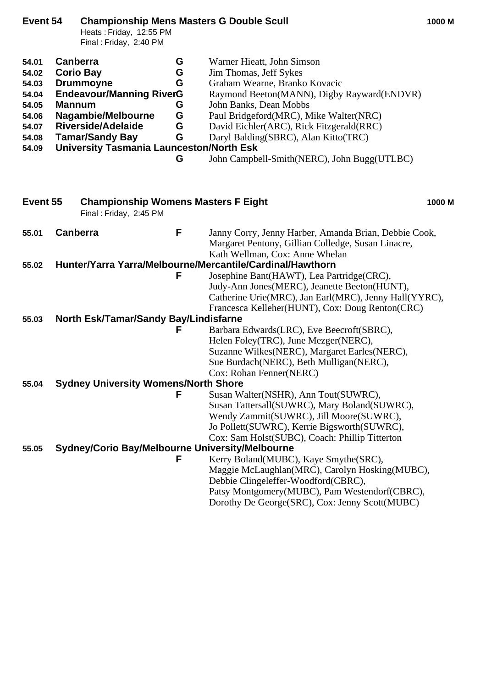| Event 54                                                                      |                                  | <b>Championship Mens Masters G Double Scull</b><br>Heats: Friday, 12:55 PM<br>Final: Friday, 2:40 PM                                                                                                    |                                      |                                                                                                                                                                                                                                                                                                                                            | 1000 M |
|-------------------------------------------------------------------------------|----------------------------------|---------------------------------------------------------------------------------------------------------------------------------------------------------------------------------------------------------|--------------------------------------|--------------------------------------------------------------------------------------------------------------------------------------------------------------------------------------------------------------------------------------------------------------------------------------------------------------------------------------------|--------|
| 54.01<br>54.02<br>54.03<br>54.04<br>54.05<br>54.06<br>54.07<br>54.08<br>54.09 | <b>Canberra</b><br><b>Mannum</b> | <b>Corio Bay</b><br><b>Drummoyne</b><br><b>Endeavour/Manning RiverG</b><br>Nagambie/Melbourne<br><b>Riverside/Adelaide</b><br><b>Tamar/Sandy Bay</b><br><b>University Tasmania Launceston/North Esk</b> | G<br>G<br>G<br>G<br>G<br>G<br>G<br>G | Warner Hieatt, John Simson<br>Jim Thomas, Jeff Sykes<br>Graham Wearne, Branko Kovacic<br>Raymond Beeton(MANN), Digby Rayward(ENDVR)<br>John Banks, Dean Mobbs<br>Paul Bridgeford(MRC), Mike Walter(NRC)<br>David Eichler(ARC), Rick Fitzgerald(RRC)<br>Daryl Balding(SBRC), Alan Kitto(TRC)<br>John Campbell-Smith(NERC), John Bugg(UTLBC) |        |
| Event 55                                                                      |                                  | <b>Championship Womens Masters F Eight</b><br>Final: Friday, 2:45 PM                                                                                                                                    |                                      |                                                                                                                                                                                                                                                                                                                                            | 1000 M |
| 55.01                                                                         | <b>Canberra</b>                  |                                                                                                                                                                                                         | F                                    | Janny Corry, Jenny Harber, Amanda Brian, Debbie Cook,<br>Margaret Pentony, Gillian Colledge, Susan Linacre,<br>Kath Wellman, Cox: Anne Whelan                                                                                                                                                                                              |        |
| 55.02                                                                         |                                  |                                                                                                                                                                                                         |                                      | Hunter/Yarra Yarra/Melbourne/Mercantile/Cardinal/Hawthorn                                                                                                                                                                                                                                                                                  |        |
|                                                                               |                                  |                                                                                                                                                                                                         | F                                    | Josephine Bant(HAWT), Lea Partridge(CRC),<br>Judy-Ann Jones(MERC), Jeanette Beeton(HUNT),<br>Catherine Urie(MRC), Jan Earl(MRC), Jenny Hall(YYRC),<br>Francesca Kelleher (HUNT), Cox: Doug Renton (CRC)                                                                                                                                    |        |
| 55.03                                                                         |                                  | North Esk/Tamar/Sandy Bay/Lindisfarne                                                                                                                                                                   |                                      |                                                                                                                                                                                                                                                                                                                                            |        |
|                                                                               |                                  |                                                                                                                                                                                                         | F                                    | Barbara Edwards(LRC), Eve Beecroft(SBRC),<br>Helen Foley(TRC), June Mezger(NERC),<br>Suzanne Wilkes(NERC), Margaret Earles(NERC),<br>Sue Burdach (NERC), Beth Mulligan (NERC),<br>Cox: Rohan Fenner(NERC)                                                                                                                                  |        |
| 55.04                                                                         |                                  | <b>Sydney University Womens/North Shore</b>                                                                                                                                                             |                                      |                                                                                                                                                                                                                                                                                                                                            |        |
|                                                                               |                                  |                                                                                                                                                                                                         | F                                    | Susan Walter(NSHR), Ann Tout(SUWRC),<br>Susan Tattersall(SUWRC), Mary Boland(SUWRC),<br>Wendy Zammit(SUWRC), Jill Moore(SUWRC),<br>Jo Pollett(SUWRC), Kerrie Bigsworth(SUWRC),<br>Cox: Sam Holst(SUBC), Coach: Phillip Titterton                                                                                                           |        |
| 55.05                                                                         |                                  | <b>Sydney/Corio Bay/Melbourne University/Melbourne</b>                                                                                                                                                  |                                      |                                                                                                                                                                                                                                                                                                                                            |        |
|                                                                               |                                  |                                                                                                                                                                                                         | F                                    | Kerry Boland(MUBC), Kaye Smythe(SRC),<br>Maggie McLaughlan(MRC), Carolyn Hosking(MUBC),<br>Debbie Clingeleffer-Woodford(CBRC),<br>Patsy Montgomery(MUBC), Pam Westendorf(CBRC),<br>Dorothy De George (SRC), Cox: Jenny Scott (MUBC)                                                                                                        |        |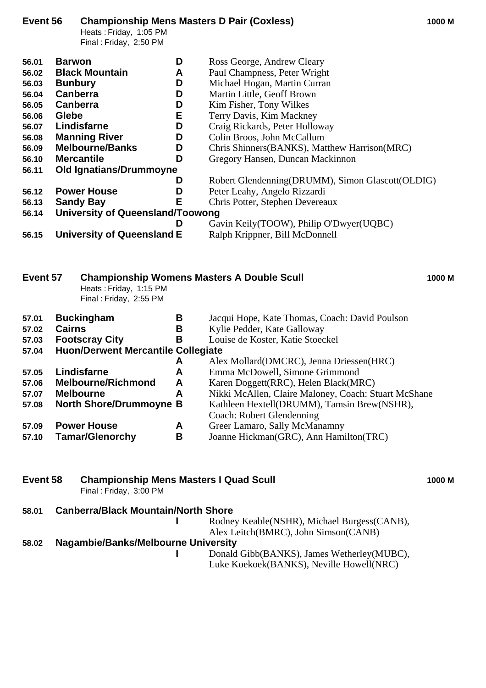# **Event 56 Championship Mens Masters D Pair (Coxless) 1000 M**

Heats : Friday, 1:05 PM Final : Friday, 2:50 PM

| 56.01 | D<br><b>Barwon</b>                | Ross George, Andrew Cleary                       |
|-------|-----------------------------------|--------------------------------------------------|
| 56.02 | <b>Black Mountain</b><br>A        | Paul Champness, Peter Wright                     |
| 56.03 | D<br><b>Bunbury</b>               | Michael Hogan, Martin Curran                     |
| 56.04 | Canberra<br>D                     | Martin Little, Geoff Brown                       |
| 56.05 | D<br><b>Canberra</b>              | Kim Fisher, Tony Wilkes                          |
| 56.06 | Е<br>Glebe                        | Terry Davis, Kim Mackney                         |
| 56.07 | Lindisfarne<br>D                  | Craig Rickards, Peter Holloway                   |
| 56.08 | <b>Manning River</b><br>D         | Colin Broos, John McCallum                       |
| 56.09 | <b>Melbourne/Banks</b><br>D       | Chris Shinners (BANKS), Matthew Harrison (MRC)   |
| 56.10 | D<br><b>Mercantile</b>            | Gregory Hansen, Duncan Mackinnon                 |
| 56.11 | Old Ignatians/Drummoyne           |                                                  |
|       | D                                 | Robert Glendenning(DRUMM), Simon Glascott(OLDIG) |
| 56.12 | <b>Power House</b><br>D           | Peter Leahy, Angelo Rizzardi                     |
| 56.13 | Е<br><b>Sandy Bay</b>             | Chris Potter, Stephen Devereaux                  |
| 56.14 | University of Queensland/Toowong  |                                                  |
|       | D                                 | Gavin Keily (TOOW), Philip O'Dwyer (UQBC)        |
| 56.15 | <b>University of Queensland E</b> | Ralph Krippner, Bill McDonnell                   |
|       |                                   |                                                  |

| Event 57 |               | Heats: Friday, 1:15 PM<br>Final: Friday, 2:55 PM |   | <b>Championship Womens Masters A Double Scull</b>    | 1000 M |  |  |
|----------|---------------|--------------------------------------------------|---|------------------------------------------------------|--------|--|--|
| 57.01    |               | <b>Buckingham</b>                                | В | Jacqui Hope, Kate Thomas, Coach: David Poulson       |        |  |  |
| 57.02    | <b>Cairns</b> |                                                  | в | Kylie Pedder, Kate Galloway                          |        |  |  |
| 57.03    |               | <b>Footscray City</b>                            | В | Louise de Koster, Katie Stoeckel                     |        |  |  |
| 57.04    |               | <b>Huon/Derwent Mercantile Collegiate</b>        |   |                                                      |        |  |  |
|          |               |                                                  | A | Alex Mollard (DMCRC), Jenna Driessen (HRC)           |        |  |  |
| 57.05    |               | Lindisfarne                                      | A | Emma McDowell, Simone Grimmond                       |        |  |  |
| 57.06    |               | <b>Melbourne/Richmond</b>                        | A | Karen Doggett(RRC), Helen Black(MRC)                 |        |  |  |
| 57.07    |               | <b>Melbourne</b>                                 | A | Nikki McAllen, Claire Maloney, Coach: Stuart McShane |        |  |  |
| 57.08    |               | <b>North Shore/Drummoyne B</b>                   |   | Kathleen Hextell(DRUMM), Tamsin Brew(NSHR),          |        |  |  |
|          |               |                                                  |   | Coach: Robert Glendenning                            |        |  |  |
|          |               |                                                  |   |                                                      |        |  |  |

**57.09 Power House A** Greer Lamaro, Sally McManamny<br>**57.10 Tamar/Glenorchy B** Joanne Hickman(GRC), Ann Hami **57.10 Tamar/Glenorchy B** Joanne Hickman(GRC), Ann Hamilton(TRC)

### **Event 58 Championship Mens Masters I Quad Scull 1000 M** Final : Friday, 3:00 PM

| 58.01 | <b>Canberra/Black Mountain/North Shore</b> |                                             |
|-------|--------------------------------------------|---------------------------------------------|
|       |                                            | Rodney Keable(NSHR), Michael Burgess(CANB), |
|       |                                            | Alex Leitch(BMRC), John Simson(CANB)        |
| 58.02 | Nagambie/Banks/Melbourne University        |                                             |
|       |                                            | Donald Gibb(BANKS), James Wetherley(MUBC),  |

Luke Koekoek(BANKS), Neville Howell(NRC)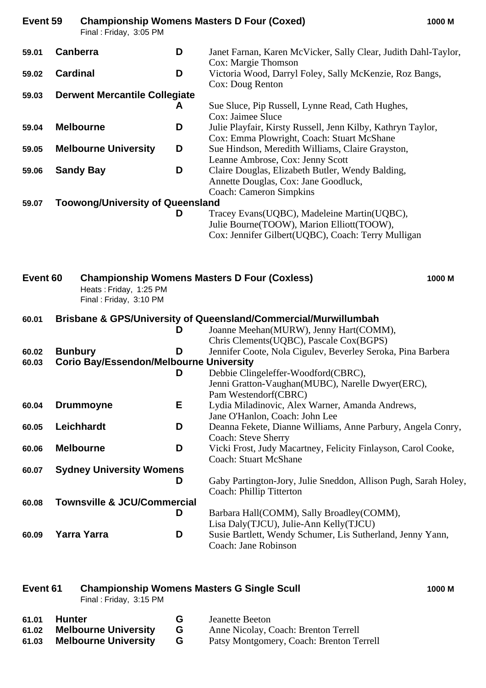| Event 59 | Final: Friday, 3:05 PM                         |   | <b>Championship Womens Masters D Four (Coxed)</b>                                                                    | 1000 M |
|----------|------------------------------------------------|---|----------------------------------------------------------------------------------------------------------------------|--------|
| 59.01    | <b>Canberra</b>                                | D | Janet Farnan, Karen McVicker, Sally Clear, Judith Dahl-Taylor,<br>Cox: Margie Thomson                                |        |
| 59.02    | <b>Cardinal</b>                                | D | Victoria Wood, Darryl Foley, Sally McKenzie, Roz Bangs,<br>Cox: Doug Renton                                          |        |
| 59.03    | <b>Derwent Mercantile Collegiate</b>           |   |                                                                                                                      |        |
|          |                                                | A | Sue Sluce, Pip Russell, Lynne Read, Cath Hughes,                                                                     |        |
|          |                                                |   | Cox: Jaimee Sluce                                                                                                    |        |
| 59.04    | <b>Melbourne</b>                               | D | Julie Playfair, Kirsty Russell, Jenn Kilby, Kathryn Taylor,                                                          |        |
|          |                                                |   | Cox: Emma Plowright, Coach: Stuart McShane                                                                           |        |
| 59.05    | <b>Melbourne University</b>                    | D | Sue Hindson, Meredith Williams, Claire Grayston,                                                                     |        |
|          |                                                | D | Leanne Ambrose, Cox: Jenny Scott                                                                                     |        |
| 59.06    | <b>Sandy Bay</b>                               |   | Claire Douglas, Elizabeth Butler, Wendy Balding,<br>Annette Douglas, Cox: Jane Goodluck,                             |        |
|          |                                                |   | <b>Coach: Cameron Simpkins</b>                                                                                       |        |
| 59.07    | <b>Toowong/University of Queensland</b>        |   |                                                                                                                      |        |
|          |                                                | D | Tracey Evans(UQBC), Madeleine Martin(UQBC),                                                                          |        |
|          |                                                |   | Julie Bourne(TOOW), Marion Elliott(TOOW),                                                                            |        |
|          |                                                |   | Cox: Jennifer Gilbert (UQBC), Coach: Terry Mulligan                                                                  |        |
|          | Final: Friday, 3:10 PM                         |   |                                                                                                                      |        |
| 60.01    |                                                | D | <b>Brisbane &amp; GPS/University of Queensland/Commercial/Murwillumbah</b><br>Joanne Meehan(MURW), Jenny Hart(COMM), |        |
|          |                                                |   | Chris Clements (UQBC), Pascale Cox (BGPS)                                                                            |        |
| 60.02    | <b>Bunbury</b>                                 | D | Jennifer Coote, Nola Cigulev, Beverley Seroka, Pina Barbera                                                          |        |
| 60.03    | <b>Corio Bay/Essendon/Melbourne University</b> |   |                                                                                                                      |        |
|          |                                                | D | Debbie Clingeleffer-Woodford(CBRC),                                                                                  |        |
|          |                                                |   | Jenni Gratton-Vaughan(MUBC), Narelle Dwyer(ERC),                                                                     |        |
| 60.04    | <b>Drummoyne</b>                               | Е | Pam Westendorf(CBRC)<br>Lydia Miladinovic, Alex Warner, Amanda Andrews,                                              |        |
|          |                                                |   | Jane O'Hanlon, Coach: John Lee                                                                                       |        |
| 60.05    | Leichhardt                                     | D | Deanna Fekete, Dianne Williams, Anne Parbury, Angela Conry,                                                          |        |
|          |                                                |   | <b>Coach: Steve Sherry</b>                                                                                           |        |
| 60.06    | <b>Melbourne</b>                               | D | Vicki Frost, Judy Macartney, Felicity Finlayson, Carol Cooke,                                                        |        |
|          |                                                |   | <b>Coach: Stuart McShane</b>                                                                                         |        |
| 60.07    | <b>Sydney University Womens</b>                |   |                                                                                                                      |        |
|          |                                                | D | Gaby Partington-Jory, Julie Sneddon, Allison Pugh, Sarah Holey,                                                      |        |
|          |                                                |   | Coach: Phillip Titterton                                                                                             |        |
| 60.08    | <b>Townsville &amp; JCU/Commercial</b>         |   |                                                                                                                      |        |
|          |                                                | D | Barbara Hall(COMM), Sally Broadley(COMM),                                                                            |        |
|          |                                                |   | Lisa Daly(TJCU), Julie-Ann Kelly(TJCU)                                                                               |        |
| 60.09    | <b>Yarra Yarra</b>                             | D | Susie Bartlett, Wendy Schumer, Lis Sutherland, Jenny Yann,                                                           |        |
|          |                                                |   | Coach: Jane Robinson                                                                                                 |        |

# **Event 61 Championship Womens Masters G Single Scull 1000 M**

Final : Friday, 3:15 PM

- **61.02 Melbourne University G** Anne Nicolay, Coach: Brenton Terrell
- **61.01 Hunter G** Jeanette Beeton<br> **61.02 Melbourne University G** Anne Nicolay, C<br> **61.03 Melbourne University G** Patsy Montgome **61.03 Melbourne University G** Patsy Montgomery, Coach: Brenton Terrell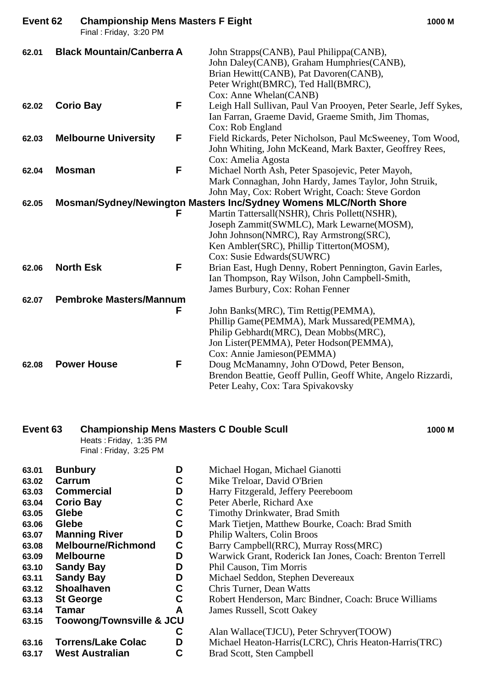| Event 62 |               | <b>Championship Mens Masters F Eight</b><br>Final: Friday, 3:20 PM |   |                                                                                                                                                                                                                 | 1000 M |
|----------|---------------|--------------------------------------------------------------------|---|-----------------------------------------------------------------------------------------------------------------------------------------------------------------------------------------------------------------|--------|
| 62.01    |               | <b>Black Mountain/Canberra A</b>                                   |   | John Strapps(CANB), Paul Philippa(CANB),<br>John Daley(CANB), Graham Humphries(CANB),<br>Brian Hewitt(CANB), Pat Davoren(CANB),<br>Peter Wright(BMRC), Ted Hall(BMRC),<br>Cox: Anne Whelan(CANB)                |        |
| 62.02    |               | <b>Corio Bay</b>                                                   | F | Leigh Hall Sullivan, Paul Van Prooyen, Peter Searle, Jeff Sykes,<br>Ian Farran, Graeme David, Graeme Smith, Jim Thomas,<br>Cox: Rob England                                                                     |        |
| 62.03    |               | <b>Melbourne University</b>                                        | F | Field Rickards, Peter Nicholson, Paul McSweeney, Tom Wood,<br>John Whiting, John McKeand, Mark Baxter, Geoffrey Rees,<br>Cox: Amelia Agosta                                                                     |        |
| 62.04    | <b>Mosman</b> |                                                                    | F | Michael North Ash, Peter Spasojevic, Peter Mayoh,<br>Mark Connaghan, John Hardy, James Taylor, John Struik,<br>John May, Cox: Robert Wright, Coach: Steve Gordon                                                |        |
| 62.05    |               |                                                                    |   | Mosman/Sydney/Newington Masters Inc/Sydney Womens MLC/North Shore                                                                                                                                               |        |
|          |               |                                                                    | F | Martin Tattersall(NSHR), Chris Pollett(NSHR),<br>Joseph Zammit(SWMLC), Mark Lewarne(MOSM),<br>John Johnson(NMRC), Ray Armstrong(SRC),<br>Ken Ambler(SRC), Phillip Titterton(MOSM),<br>Cox: Susie Edwards(SUWRC) |        |
| 62.06    |               | <b>North Esk</b>                                                   | F | Brian East, Hugh Denny, Robert Pennington, Gavin Earles,<br>Ian Thompson, Ray Wilson, John Campbell-Smith,<br>James Burbury, Cox: Rohan Fenner                                                                  |        |
| 62.07    |               | <b>Pembroke Masters/Mannum</b>                                     |   |                                                                                                                                                                                                                 |        |
|          |               |                                                                    | F | John Banks(MRC), Tim Rettig(PEMMA),<br>Phillip Game(PEMMA), Mark Mussared(PEMMA),<br>Philip Gebhardt(MRC), Dean Mobbs(MRC),<br>Jon Lister(PEMMA), Peter Hodson(PEMMA),<br>Cox: Annie Jamieson(PEMMA)            |        |
| 62.08    |               | <b>Power House</b>                                                 | F | Doug McManamny, John O'Dowd, Peter Benson,<br>Brendon Beattie, Geoff Pullin, Geoff White, Angelo Rizzardi,<br>Peter Leahy, Cox: Tara Spivakovsky                                                                |        |

### **Event 63 Championship Mens Masters C Double Scull 1000 M**

Heats : Friday, 1:35 PM Final : Friday, 3:25 PM

| 63.01 | <b>Bunbury</b>                      | D | Michael Hogan, Michael Gia    |
|-------|-------------------------------------|---|-------------------------------|
| 63.02 | Carrum                              | С | Mike Treloar, David O'Brien   |
| 63.03 | <b>Commercial</b>                   | D | Harry Fitzgerald, Jeffery Pee |
| 63.04 | <b>Corio Bay</b>                    | C | Peter Aberle, Richard Axe     |
| 63.05 | Glebe                               | C | Timothy Drinkwater, Brad St   |
| 63.06 | Glebe                               | С | Mark Tietjen, Matthew Bour    |
| 63.07 | <b>Manning River</b>                | D | Philip Walters, Colin Broos   |
| 63.08 | <b>Melbourne/Richmond</b>           | C | Barry Campbell(RRC), Murr     |
| 63.09 | <b>Melbourne</b>                    | D | Warwick Grant, Roderick Iar   |
| 63.10 | <b>Sandy Bay</b>                    | D | Phil Causon, Tim Morris       |
| 63.11 | <b>Sandy Bay</b>                    | D | Michael Seddon, Stephen De    |
| 63.12 | <b>Shoalhaven</b>                   | C | Chris Turner, Dean Watts      |
| 63.13 | <b>St George</b>                    | C | Robert Henderson, Marc Bin    |
| 63.14 | Tamar                               | A | James Russell, Scott Oakey    |
| 63.15 | <b>Toowong/Townsville &amp; JCU</b> |   |                               |
|       |                                     | С | Alan Wallace (TJCU), Peter S  |
| 63.16 | <b>Torrens/Lake Colac</b>           | D | Michael Heaton-Harris(LCR     |
| 63.17 | <b>West Australian</b>              | С | Brad Scott, Sten Campbell     |
|       |                                     |   |                               |

|       | 63.02 Carrum     |   | Mike Treloar, David O'Brien         |
|-------|------------------|---|-------------------------------------|
|       | 63.03 Commercial | D | Harry Fitzgerald, Jeffery Peereboom |
|       | 63.04 Corio Bay  |   | Peter Aberle, Richard Axe           |
| on ar | <b>Claha</b>     |   | Timothy Duinleveston, Dued Conith   |

**Michael Hogan, Michael Gianotti** 

- **63.05 Glebe C** Timothy Drinkwater, Brad Smith
- **Mark Tietjen, Matthew Bourke, Coach: Brad Smith**
- **Philip Walters, Colin Broos** 
	- **63.08 Exampbell**(RRC), Murray Ross(MRC)
	- Warwick Grant, Roderick Ian Jones, Coach: Brenton Terrell
	- **63.10 Sandy Bay D** Phil Causon, Tim Morris
	- **Michael Seddon, Stephen Devereaux**
- **Chris Turner, Dean Watts** 
	- **Robert Henderson, Marc Bindner, Coach: Bruce Williams**
	- **63.14 Tamar A** James Russell, Scott Oakey

**C** Alan Wallace(TJCU), Peter Schryver(TOOW) **Michael Heaton-Harris(LCRC), Chris Heaton-Harris(TRC) Brad Scott, Sten Campbell**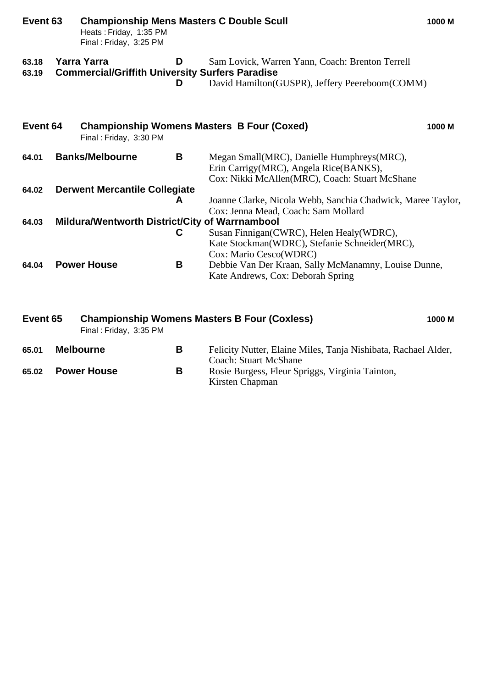| Event 63       | <b>Championship Mens Masters C Double Scull</b><br>Heats: Friday, 1:35 PM<br>Final: Friday, 3:25 PM |        |                                                                                                                                        | 1000 M |
|----------------|-----------------------------------------------------------------------------------------------------|--------|----------------------------------------------------------------------------------------------------------------------------------------|--------|
| 63.18<br>63.19 | <b>Yarra Yarra</b><br><b>Commercial/Griffith University Surfers Paradise</b>                        | D<br>D | Sam Lovick, Warren Yann, Coach: Brenton Terrell<br>David Hamilton (GUSPR), Jeffery Peereboom (COMM)                                    |        |
| Event 64       | Final: Friday, 3:30 PM                                                                              |        | <b>Championship Womens Masters B Four (Coxed)</b>                                                                                      | 1000 M |
| 64.01          | <b>Banks/Melbourne</b>                                                                              | B      | Megan Small(MRC), Danielle Humphreys(MRC),<br>Erin Carrigy(MRC), Angela Rice(BANKS),<br>Cox: Nikki McAllen(MRC), Coach: Stuart McShane |        |
| 64.02          | <b>Derwent Mercantile Collegiate</b>                                                                |        |                                                                                                                                        |        |
|                |                                                                                                     | A      | Joanne Clarke, Nicola Webb, Sanchia Chadwick, Maree Taylor,<br>Cox: Jenna Mead, Coach: Sam Mollard                                     |        |
| 64.03          | Mildura/Wentworth District/City of Warrnambool                                                      |        |                                                                                                                                        |        |
|                |                                                                                                     | C      | Susan Finnigan (CWRC), Helen Healy (WDRC),<br>Kate Stockman(WDRC), Stefanie Schneider(MRC),<br>Cox: Mario Cesco(WDRC)                  |        |
| 64.04          | <b>Power House</b>                                                                                  | B      | Debbie Van Der Kraan, Sally McManamny, Louise Dunne,<br>Kate Andrews, Cox: Deborah Spring                                              |        |

| Event 65 | Final: Friday, 3:35 PM |   | <b>Championship Womens Masters B Four (Coxless)</b>                                     | 1000 M |
|----------|------------------------|---|-----------------------------------------------------------------------------------------|--------|
| 65.01    | <b>Melbourne</b>       | В | Felicity Nutter, Elaine Miles, Tanja Nishibata, Rachael Alder,<br>Coach: Stuart McShane |        |
| 65.02    | <b>Power House</b>     | В | Rosie Burgess, Fleur Spriggs, Virginia Tainton,<br>Kirsten Chapman                      |        |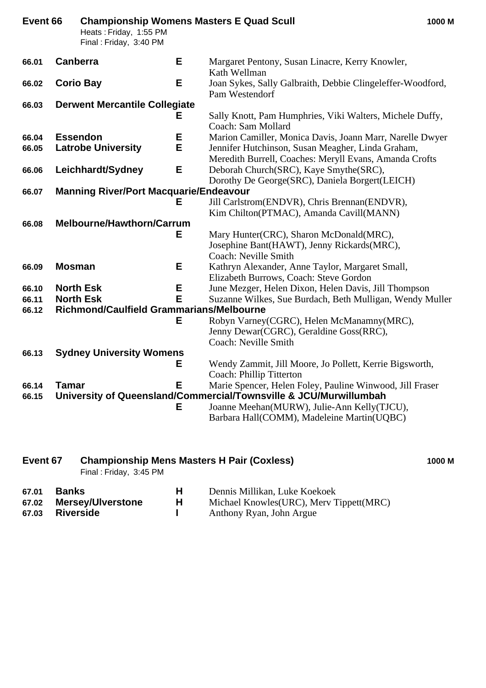| Event 66 |               | <b>Championship Womens Masters E Quad Scull</b><br>Heats: Friday, 1:55 PM<br>Final: Friday, 3:40 PM |   |                                                                                                               | 1000 M |
|----------|---------------|-----------------------------------------------------------------------------------------------------|---|---------------------------------------------------------------------------------------------------------------|--------|
| 66.01    |               | <b>Canberra</b>                                                                                     | E | Margaret Pentony, Susan Linacre, Kerry Knowler,<br>Kath Wellman                                               |        |
| 66.02    |               | <b>Corio Bay</b>                                                                                    | E | Joan Sykes, Sally Galbraith, Debbie Clingeleffer-Woodford,<br>Pam Westendorf                                  |        |
| 66.03    |               | <b>Derwent Mercantile Collegiate</b>                                                                |   |                                                                                                               |        |
|          |               |                                                                                                     | Е | Sally Knott, Pam Humphries, Viki Walters, Michele Duffy,<br>Coach: Sam Mollard                                |        |
| 66.04    |               | <b>Essendon</b>                                                                                     | Е | Marion Camiller, Monica Davis, Joann Marr, Narelle Dwyer                                                      |        |
| 66.05    |               | <b>Latrobe University</b>                                                                           | E | Jennifer Hutchinson, Susan Meagher, Linda Graham,<br>Meredith Burrell, Coaches: Meryll Evans, Amanda Crofts   |        |
| 66.06    |               | Leichhardt/Sydney                                                                                   | E | Deborah Church(SRC), Kaye Smythe(SRC),                                                                        |        |
|          |               |                                                                                                     |   | Dorothy De George(SRC), Daniela Borgert(LEICH)                                                                |        |
| 66.07    |               | <b>Manning River/Port Macquarie/Endeavour</b>                                                       |   |                                                                                                               |        |
|          |               |                                                                                                     | Е | Jill Carlstrom(ENDVR), Chris Brennan(ENDVR),                                                                  |        |
|          |               |                                                                                                     |   | Kim Chilton(PTMAC), Amanda Cavill(MANN)                                                                       |        |
| 66.08    |               | <b>Melbourne/Hawthorn/Carrum</b>                                                                    | Е |                                                                                                               |        |
|          |               |                                                                                                     |   | Mary Hunter(CRC), Sharon McDonald(MRC),<br>Josephine Bant(HAWT), Jenny Rickards(MRC),<br>Coach: Neville Smith |        |
| 66.09    | <b>Mosman</b> |                                                                                                     | Е | Kathryn Alexander, Anne Taylor, Margaret Small,                                                               |        |
|          |               |                                                                                                     |   | Elizabeth Burrows, Coach: Steve Gordon                                                                        |        |
| 66.10    |               | <b>North Esk</b>                                                                                    | Е | June Mezger, Helen Dixon, Helen Davis, Jill Thompson                                                          |        |
| 66.11    |               | <b>North Esk</b>                                                                                    | E | Suzanne Wilkes, Sue Burdach, Beth Mulligan, Wendy Muller                                                      |        |
| 66.12    |               | Richmond/Caulfield Grammarians/Melbourne                                                            |   |                                                                                                               |        |
|          |               |                                                                                                     | Е | Robyn Varney(CGRC), Helen McManamny(MRC),                                                                     |        |
|          |               |                                                                                                     |   | Jenny Dewar(CGRC), Geraldine Goss(RRC),                                                                       |        |
|          |               |                                                                                                     |   | Coach: Neville Smith                                                                                          |        |
| 66.13    |               | <b>Sydney University Womens</b>                                                                     |   |                                                                                                               |        |
|          |               |                                                                                                     | Е | Wendy Zammit, Jill Moore, Jo Pollett, Kerrie Bigsworth,                                                       |        |
| 66.14    | <b>Tamar</b>  |                                                                                                     | E | Coach: Phillip Titterton<br>Marie Spencer, Helen Foley, Pauline Winwood, Jill Fraser                          |        |
| 66.15    |               |                                                                                                     |   | University of Queensland/Commercial/Townsville & JCU/Murwillumbah                                             |        |
|          |               |                                                                                                     | Е | Joanne Meehan(MURW), Julie-Ann Kelly(TJCU),                                                                   |        |
|          |               |                                                                                                     |   | Barbara Hall(COMM), Madeleine Martin(UQBC)                                                                    |        |
|          |               |                                                                                                     |   |                                                                                                               |        |

| Event 67 |       | <b>Championship Mens Masters H Pair (Coxless)</b><br>Final: Friday, 3:45 PM |  |  |                               |  | 1000 M |
|----------|-------|-----------------------------------------------------------------------------|--|--|-------------------------------|--|--------|
| 67.01    | Banks |                                                                             |  |  | Dennis Millikan, Luke Koekoek |  |        |

| 07.UT | <b>DAIINS</b>           | Dennis Minikali, Luke Noekoek             |
|-------|-------------------------|-------------------------------------------|
|       | 67.02 Mersey/Ulverstone | Michael Knowles (URC), Merv Tippett (MRC) |
|       | 67.03 Riverside         | Anthony Ryan, John Argue                  |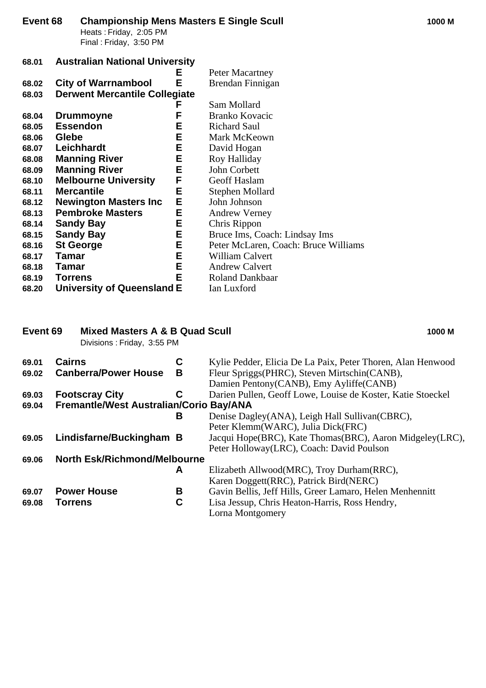| Event 68 | Heats: Friday, 2:05 PM<br>Final: Friday, 3:50 PM |    | <b>Championship Mens Masters E Single Scull</b> | 1000 M |
|----------|--------------------------------------------------|----|-------------------------------------------------|--------|
| 68.01    | <b>Australian National University</b>            |    |                                                 |        |
|          |                                                  | E, | Peter Macartney                                 |        |
| 68.02    | <b>City of Warrnambool</b>                       | E  | Brendan Finnigan                                |        |
| 68.03    | <b>Derwent Mercantile Collegiate</b>             |    |                                                 |        |
|          |                                                  | F  | Sam Mollard                                     |        |
| 68.04    | <b>Drummoyne</b>                                 | F  | Branko Kovacic                                  |        |
| 68.05    | <b>Essendon</b>                                  | Е  | <b>Richard Saul</b>                             |        |
| 68.06    | <b>Glebe</b>                                     | Е  | Mark McKeown                                    |        |
| 68.07    | Leichhardt                                       | Е  | David Hogan                                     |        |
| 68.08    | <b>Manning River</b>                             | E  | Roy Halliday                                    |        |
| 68.09    | <b>Manning River</b>                             | E  | John Corbett                                    |        |
| 68.10    | <b>Melbourne University</b>                      | F  | <b>Geoff Haslam</b>                             |        |
| 68.11    | <b>Mercantile</b>                                | Е  | Stephen Mollard                                 |        |
| 68.12    | <b>Newington Masters Inc.</b>                    | E  | John Johnson                                    |        |
| 68.13    | <b>Pembroke Masters</b>                          | E  | <b>Andrew Verney</b>                            |        |
| 68.14    | <b>Sandy Bay</b>                                 | E  | Chris Rippon                                    |        |
| 68.15    | <b>Sandy Bay</b>                                 | Е  | Bruce Ims, Coach: Lindsay Ims                   |        |
| 68.16    | <b>St George</b>                                 | Е  | Peter McLaren, Coach: Bruce Williams            |        |
| 68.17    | Tamar                                            | E  | William Calvert                                 |        |
| 68.18    | Tamar                                            | E  | <b>Andrew Calvert</b>                           |        |
| 68.19    | <b>Torrens</b>                                   | E  | <b>Roland Dankbaar</b>                          |        |
| 68.20    | <b>University of Queensland E</b>                |    | Ian Luxford                                     |        |

### **Event 69 Mixed Masters A & B Quad Scull 1000 M**

Divisions : Friday, 3:55 PM

| 69.01 | <b>Cairns</b>                           | С | Kylie Pedder, Elicia De La Paix, Peter Thoren, Alan Henwood                             |
|-------|-----------------------------------------|---|-----------------------------------------------------------------------------------------|
| 69.02 | <b>Canberra/Power House</b>             | B | Fleur Spriggs(PHRC), Steven Mirtschin(CANB),<br>Damien Pentony(CANB), Emy Ayliffe(CANB) |
| 69.03 | <b>Footscray City</b>                   | C | Darien Pullen, Geoff Lowe, Louise de Koster, Katie Stoeckel                             |
| 69.04 | Fremantle/West Australian/Corio Bay/ANA |   |                                                                                         |
|       |                                         | В | Denise Dagley(ANA), Leigh Hall Sullivan(CBRC),                                          |
|       |                                         |   | Peter Klemm(WARC), Julia Dick(FRC)                                                      |
| 69.05 | Lindisfarne/Buckingham B                |   | Jacqui Hope(BRC), Kate Thomas(BRC), Aaron Midgeley(LRC),                                |
|       |                                         |   | Peter Holloway (LRC), Coach: David Poulson                                              |
| 69.06 | <b>North Esk/Richmond/Melbourne</b>     |   |                                                                                         |
|       |                                         | A | Elizabeth Allwood(MRC), Troy Durham(RRC),                                               |
|       |                                         |   | Karen Doggett(RRC), Patrick Bird(NERC)                                                  |
| 69.07 | <b>Power House</b>                      | В | Gavin Bellis, Jeff Hills, Greer Lamaro, Helen Menhennitt                                |
| 69.08 | <b>Torrens</b>                          | C | Lisa Jessup, Chris Heaton-Harris, Ross Hendry,                                          |
|       |                                         |   | Lorna Montgomery                                                                        |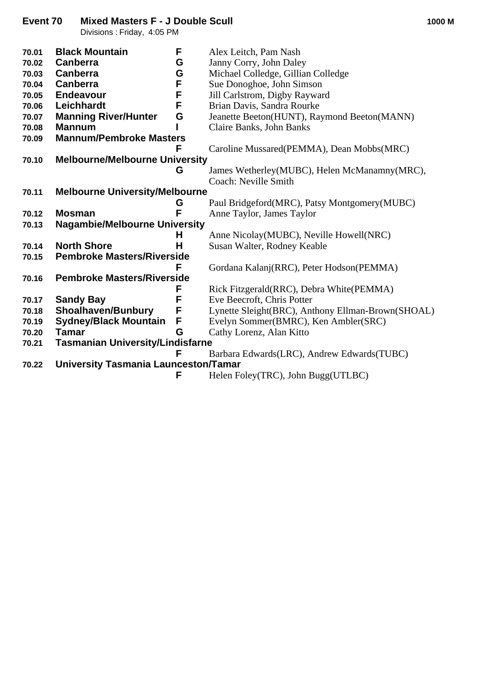Divisions : Friday, 4:05 PM

| 70.01 | <b>Black Mountain</b>                       | F | Alex Leitch, Pam Nash                             |
|-------|---------------------------------------------|---|---------------------------------------------------|
| 70.02 | <b>Canberra</b>                             | G | Janny Corry, John Daley                           |
| 70.03 | <b>Canberra</b>                             | G | Michael Colledge, Gillian Colledge                |
| 70.04 | <b>Canberra</b>                             | F | Sue Donoghoe, John Simson                         |
| 70.05 | <b>Endeavour</b>                            | F | Jill Carlstrom, Digby Rayward                     |
| 70.06 | Leichhardt                                  | F | Brian Davis, Sandra Rourke                        |
| 70.07 | <b>Manning River/Hunter</b>                 | G | Jeanette Beeton(HUNT), Raymond Beeton(MANN)       |
| 70.08 | <b>Mannum</b>                               |   | Claire Banks, John Banks                          |
| 70.09 | <b>Mannum/Pembroke Masters</b>              |   |                                                   |
|       |                                             |   | Caroline Mussared (PEMMA), Dean Mobbs (MRC)       |
| 70.10 | <b>Melbourne/Melbourne University</b>       |   |                                                   |
|       |                                             | G | James Wetherley(MUBC), Helen McManamny(MRC),      |
|       |                                             |   | Coach: Neville Smith                              |
| 70.11 | <b>Melbourne University/Melbourne</b>       |   |                                                   |
|       |                                             | G | Paul Bridgeford(MRC), Patsy Montgomery(MUBC)      |
| 70.12 | <b>Mosman</b>                               | F | Anne Taylor, James Taylor                         |
| 70.13 | <b>Nagambie/Melbourne University</b>        |   |                                                   |
|       |                                             | Н | Anne Nicolay(MUBC), Neville Howell(NRC)           |
| 70.14 | <b>North Shore</b>                          | н | Susan Walter, Rodney Keable                       |
| 70.15 | <b>Pembroke Masters/Riverside</b>           |   |                                                   |
|       |                                             | F | Gordana Kalanj(RRC), Peter Hodson(PEMMA)          |
| 70.16 | <b>Pembroke Masters/Riverside</b>           |   |                                                   |
|       |                                             | F | Rick Fitzgerald(RRC), Debra White(PEMMA)          |
| 70.17 | <b>Sandy Bay</b>                            | F | Eve Beecroft, Chris Potter                        |
| 70.18 | <b>Shoalhaven/Bunbury</b>                   | F | Lynette Sleight(BRC), Anthony Ellman-Brown(SHOAL) |
| 70.19 | <b>Sydney/Black Mountain</b>                | F | Evelyn Sommer(BMRC), Ken Ambler(SRC)              |
| 70.20 | Tamar                                       | G | Cathy Lorenz, Alan Kitto                          |
| 70.21 | <b>Tasmanian University/Lindisfarne</b>     |   |                                                   |
|       |                                             | F | Barbara Edwards (LRC), Andrew Edwards (TUBC)      |
| 70.22 | <b>University Tasmania Launceston/Tamar</b> |   |                                                   |
|       |                                             | F | Helen Foley(TRC), John Bugg(UTLBC)                |
|       |                                             |   |                                                   |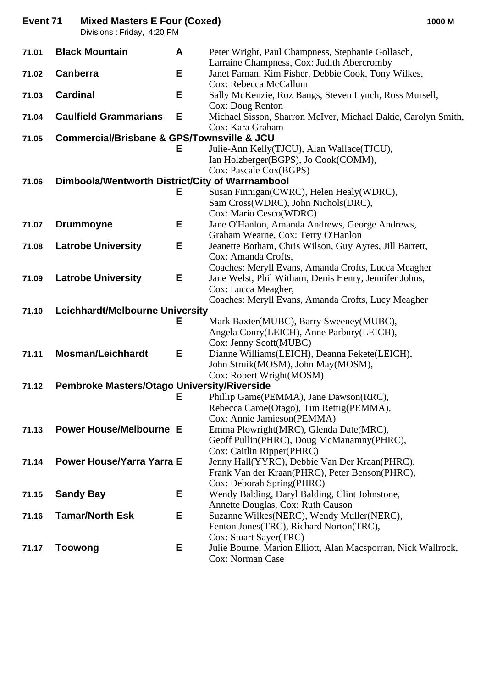| Event 71 | <b>Mixed Masters E Four (Coxed)</b><br>Divisions : Friday, 4:20 PM |   |                                                                                                   | 1000 M |
|----------|--------------------------------------------------------------------|---|---------------------------------------------------------------------------------------------------|--------|
| 71.01    | <b>Black Mountain</b>                                              | A | Peter Wright, Paul Champness, Stephanie Gollasch,                                                 |        |
| 71.02    | <b>Canberra</b>                                                    | Е | Larraine Champness, Cox: Judith Abercromby<br>Janet Farnan, Kim Fisher, Debbie Cook, Tony Wilkes, |        |
|          |                                                                    |   | Cox: Rebecca McCallum                                                                             |        |
| 71.03    | <b>Cardinal</b>                                                    | Е | Sally McKenzie, Roz Bangs, Steven Lynch, Ross Mursell,                                            |        |
| 71.04    | <b>Caulfield Grammarians</b>                                       | E | Cox: Doug Renton<br>Michael Sisson, Sharron McIver, Michael Dakic, Carolyn Smith,                 |        |
|          |                                                                    |   | Cox: Kara Graham                                                                                  |        |
| 71.05    | <b>Commercial/Brisbane &amp; GPS/Townsville &amp; JCU</b>          |   |                                                                                                   |        |
|          |                                                                    | Е | Julie-Ann Kelly(TJCU), Alan Wallace(TJCU),                                                        |        |
|          |                                                                    |   | Ian Holzberger(BGPS), Jo Cook(COMM),                                                              |        |
|          |                                                                    |   | Cox: Pascale Cox(BGPS)                                                                            |        |
| 71.06    | Dimboola/Wentworth District/City of Warrnambool                    |   |                                                                                                   |        |
|          |                                                                    | Е | Susan Finnigan(CWRC), Helen Healy(WDRC),<br>Sam Cross(WDRC), John Nichols(DRC),                   |        |
|          |                                                                    |   | Cox: Mario Cesco(WDRC)                                                                            |        |
| 71.07    | <b>Drummoyne</b>                                                   | Е | Jane O'Hanlon, Amanda Andrews, George Andrews,                                                    |        |
|          |                                                                    |   | Graham Wearne, Cox: Terry O'Hanlon                                                                |        |
| 71.08    | <b>Latrobe University</b>                                          | Е | Jeanette Botham, Chris Wilson, Guy Ayres, Jill Barrett,                                           |        |
|          |                                                                    |   | Cox: Amanda Crofts,                                                                               |        |
|          |                                                                    |   | Coaches: Meryll Evans, Amanda Crofts, Lucca Meagher                                               |        |
| 71.09    | <b>Latrobe University</b>                                          | Е | Jane Welst, Phil Witham, Denis Henry, Jennifer Johns,                                             |        |
|          |                                                                    |   | Cox: Lucca Meagher,                                                                               |        |
| 71.10    | Leichhardt/Melbourne University                                    |   | Coaches: Meryll Evans, Amanda Crofts, Lucy Meagher                                                |        |
|          |                                                                    | Е | Mark Baxter(MUBC), Barry Sweeney(MUBC),                                                           |        |
|          |                                                                    |   | Angela Conry(LEICH), Anne Parbury(LEICH),                                                         |        |
|          |                                                                    |   | Cox: Jenny Scott(MUBC)                                                                            |        |
| 71.11    | <b>Mosman/Leichhardt</b>                                           | Е | Dianne Williams(LEICH), Deanna Fekete(LEICH),                                                     |        |
|          |                                                                    |   | John Struik(MOSM), John May(MOSM),                                                                |        |
|          |                                                                    |   | Cox: Robert Wright(MOSM)                                                                          |        |
| 71.12    | Pembroke Masters/Otago University/Riverside                        | Е | Phillip Game(PEMMA), Jane Dawson(RRC),                                                            |        |
|          |                                                                    |   | Rebecca Caroe (Otago), Tim Rettig (PEMMA),                                                        |        |
|          |                                                                    |   | Cox: Annie Jamieson(PEMMA)                                                                        |        |
| 71.13    | <b>Power House/Melbourne E</b>                                     |   | Emma Plowright (MRC), Glenda Date (MRC),                                                          |        |
|          |                                                                    |   | Geoff Pullin(PHRC), Doug McManamny(PHRC),                                                         |        |
|          |                                                                    |   | Cox: Caitlin Ripper(PHRC)                                                                         |        |
| 71.14    | <b>Power House/Yarra Yarra E</b>                                   |   | Jenny Hall(YYRC), Debbie Van Der Kraan(PHRC),                                                     |        |
|          |                                                                    |   | Frank Van der Kraan(PHRC), Peter Benson(PHRC),                                                    |        |
|          |                                                                    | Е | Cox: Deborah Spring(PHRC)                                                                         |        |
| 71.15    | <b>Sandy Bay</b>                                                   |   | Wendy Balding, Daryl Balding, Clint Johnstone,<br>Annette Douglas, Cox: Ruth Causon               |        |
| 71.16    | <b>Tamar/North Esk</b>                                             | Е | Suzanne Wilkes(NERC), Wendy Muller(NERC),                                                         |        |
|          |                                                                    |   | Fenton Jones (TRC), Richard Norton (TRC),                                                         |        |
|          |                                                                    |   | Cox: Stuart Sayer(TRC)                                                                            |        |
| 71.17    | <b>Toowong</b>                                                     | Е | Julie Bourne, Marion Elliott, Alan Macsporran, Nick Wallrock,                                     |        |
|          |                                                                    |   | Cox: Norman Case                                                                                  |        |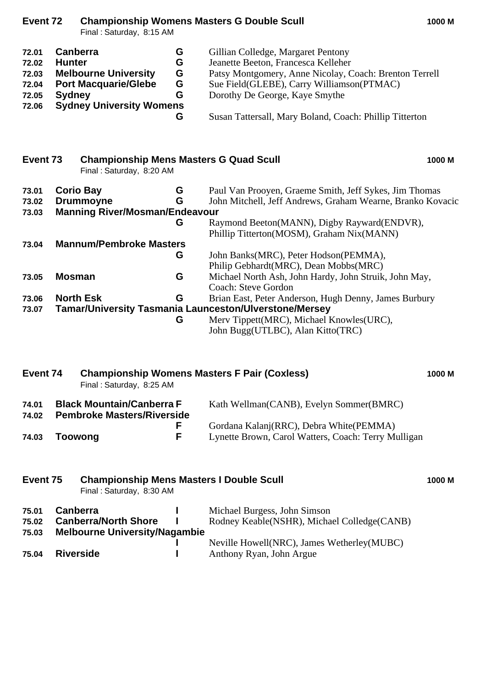| Event 72                                           |                                            | Final: Saturday, 8:15 AM                                                                      |                            | <b>Championship Womens Masters G Double Scull</b>                                                                                                                                                                                                                             | 1000 M |
|----------------------------------------------------|--------------------------------------------|-----------------------------------------------------------------------------------------------|----------------------------|-------------------------------------------------------------------------------------------------------------------------------------------------------------------------------------------------------------------------------------------------------------------------------|--------|
| 72.01<br>72.02<br>72.03<br>72.04<br>72.05<br>72.06 | Canberra<br><b>Hunter</b><br><b>Sydney</b> | <b>Melbourne University</b><br><b>Port Macquarie/Glebe</b><br><b>Sydney University Womens</b> | G<br>G<br>G<br>G<br>G<br>G | Gillian Colledge, Margaret Pentony<br>Jeanette Beeton, Francesca Kelleher<br>Patsy Montgomery, Anne Nicolay, Coach: Brenton Terrell<br>Sue Field(GLEBE), Carry Williamson(PTMAC)<br>Dorothy De George, Kaye Smythe<br>Susan Tattersall, Mary Boland, Coach: Phillip Titterton |        |
|                                                    |                                            |                                                                                               |                            |                                                                                                                                                                                                                                                                               |        |
| Event 73                                           |                                            | <b>Championship Mens Masters G Quad Scull</b><br>Final: Saturday, 8:20 AM                     |                            |                                                                                                                                                                                                                                                                               | 1000 M |
| 73.01<br>73.02<br>73.03                            |                                            | <b>Corio Bay</b><br><b>Drummoyne</b><br><b>Manning River/Mosman/Endeavour</b>                 | G<br>G<br>G                | Paul Van Prooyen, Graeme Smith, Jeff Sykes, Jim Thomas<br>John Mitchell, Jeff Andrews, Graham Wearne, Branko Kovacic<br>Raymond Beeton(MANN), Digby Rayward(ENDVR),                                                                                                           |        |
| 73.04                                              |                                            | <b>Mannum/Pembroke Masters</b>                                                                | G                          | Phillip Titterton(MOSM), Graham Nix(MANN)<br>John Banks(MRC), Peter Hodson(PEMMA),<br>Philip Gebhardt(MRC), Dean Mobbs(MRC)                                                                                                                                                   |        |
| 73.05                                              | <b>Mosman</b>                              |                                                                                               | G                          | Michael North Ash, John Hardy, John Struik, John May,                                                                                                                                                                                                                         |        |
| 73.06<br>73.07                                     |                                            | <b>North Esk</b>                                                                              | G<br>G                     | Coach: Steve Gordon<br>Brian East, Peter Anderson, Hugh Denny, James Burbury<br><b>Tamar/University Tasmania Launceston/Ulverstone/Mersey</b><br>Merv Tippett(MRC), Michael Knowles(URC),<br>John Bugg(UTLBC), Alan Kitto(TRC)                                                |        |
| Event 74                                           |                                            | Final: Saturday, 8:25 AM                                                                      |                            | <b>Championship Womens Masters F Pair (Coxless)</b>                                                                                                                                                                                                                           | 1000 M |
| 74.01<br>74.02                                     |                                            | <b>Black Mountain/Canberra F</b><br><b>Pembroke Masters/Riverside</b>                         |                            | Kath Wellman(CANB), Evelyn Sommer(BMRC)                                                                                                                                                                                                                                       |        |
| 74.03                                              | <b>Toowong</b>                             |                                                                                               | F<br>F                     | Gordana Kalanj(RRC), Debra White(PEMMA)<br>Lynette Brown, Carol Watters, Coach: Terry Mulligan                                                                                                                                                                                |        |
| Event 75                                           |                                            | <b>Championship Mens Masters I Double Scull</b><br>Final: Saturday, 8:30 AM                   |                            |                                                                                                                                                                                                                                                                               | 1000 M |
| 75.01<br>75.02<br>75.03                            | <b>Canberra</b>                            | <b>Canberra/North Shore</b><br><b>Melbourne University/Nagambie</b>                           |                            | Michael Burgess, John Simson<br>Rodney Keable(NSHR), Michael Colledge(CANB)                                                                                                                                                                                                   |        |
| 75.04                                              | <b>Riverside</b>                           |                                                                                               |                            | Neville Howell(NRC), James Wetherley(MUBC)<br>Anthony Ryan, John Argue                                                                                                                                                                                                        |        |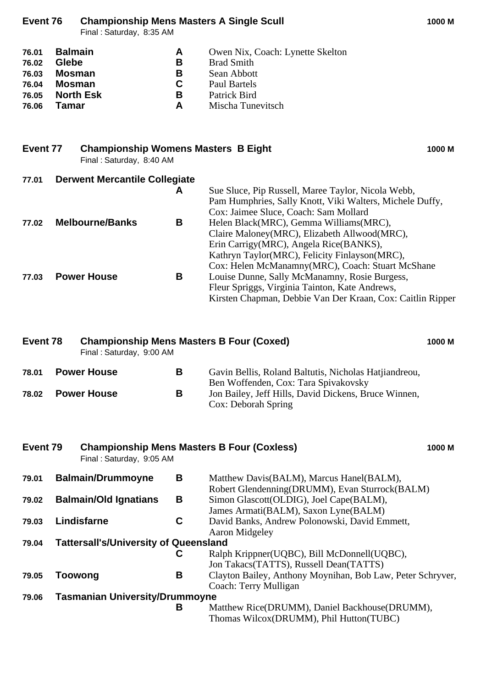### **Event 76 Championship Mens Masters A Single Scull 1000 M**

Final : Saturday, 8:35 AM

| 76.01 | <b>Balmain</b>   | A  | Owen Nix, Coach: Lynette Skelton |
|-------|------------------|----|----------------------------------|
| 76.02 | <b>Glebe</b>     | В  | <b>Brad Smith</b>                |
| 76.03 | <b>Mosman</b>    | В  | Sean Abbott                      |
| 76.04 | Mosman           | C. | Paul Bartels                     |
| 76.05 | <b>North Esk</b> | В  | Patrick Bird                     |
| 76.06 | Tamar            | A  | Mischa Tunevitsch                |

|       | <b>Championship Womens Masters B Eight</b><br>Event 77<br>Final: Saturday, 8:40 AM |                                      |   |                                                          | 1000 M |
|-------|------------------------------------------------------------------------------------|--------------------------------------|---|----------------------------------------------------------|--------|
| 77.01 |                                                                                    | <b>Derwent Mercantile Collegiate</b> |   |                                                          |        |
|       |                                                                                    |                                      | A | Sue Sluce, Pip Russell, Maree Taylor, Nicola Webb,       |        |
|       |                                                                                    |                                      |   | Pam Humphries, Sally Knott, Viki Walters, Michele Duffy, |        |
|       |                                                                                    |                                      |   | Cox: Jaimee Sluce, Coach: Sam Mollard                    |        |
| 77.02 |                                                                                    | <b>Melbourne/Banks</b>               | В | Helen Black(MRC), Gemma Williams(MRC),                   |        |
|       |                                                                                    |                                      |   | Claire Maloney(MRC), Elizabeth Allwood(MRC),             |        |
|       |                                                                                    |                                      |   | Erin Carrigy (MRC), Angela Rice (BANKS),                 |        |
|       |                                                                                    |                                      |   | Kathryn Taylor(MRC), Felicity Finlayson(MRC),            |        |
|       |                                                                                    |                                      |   | Cox: Helen McManamny(MRC), Coach: Stuart McShane         |        |
| 77.03 |                                                                                    | <b>Power House</b>                   | в | Louise Dunne, Sally McManamny, Rosie Burgess,            |        |

Fleur Spriggs, Virginia Tainton, Kate Andrews,

Kirsten Chapman, Debbie Van Der Kraan, Cox: Caitlin Ripper

| Event 78 |  | <b>Championship Mens Masters B Four (Coxed)</b><br>Final: Saturday, 9:00 AM |   |                                                                                                                     | 1000 M |
|----------|--|-----------------------------------------------------------------------------|---|---------------------------------------------------------------------------------------------------------------------|--------|
| 78.01    |  | <b>Power House</b>                                                          | в | Gavin Bellis, Roland Baltutis, Nicholas Hatjiandreou,                                                               |        |
| 78.02    |  | <b>Power House</b>                                                          | B | Ben Woffenden, Cox: Tara Spivakovsky<br>Jon Bailey, Jeff Hills, David Dickens, Bruce Winnen,<br>Cox: Deborah Spring |        |

| Event 79 |         | <b>Championship Mens Masters B Four (Coxless)</b><br>Final: Saturday, 9:05 AM |   |                                                                                                                                     | 1000 M |
|----------|---------|-------------------------------------------------------------------------------|---|-------------------------------------------------------------------------------------------------------------------------------------|--------|
| 79.01    |         | <b>Balmain/Drummoyne</b>                                                      | В | Matthew Davis (BALM), Marcus Hanel (BALM),                                                                                          |        |
| 79.02    |         | <b>Balmain/Old Ignatians</b>                                                  | В | Robert Glendenning(DRUMM), Evan Sturrock(BALM)<br>Simon Glascott (OLDIG), Joel Cape (BALM),<br>James Armati(BALM), Saxon Lyne(BALM) |        |
| 79.03    |         | Lindisfarne                                                                   | C | David Banks, Andrew Polonowski, David Emmett,<br><b>Aaron Midgeley</b>                                                              |        |
| 79.04    |         | <b>Tattersall's/University of Queensland</b>                                  |   |                                                                                                                                     |        |
|          |         |                                                                               | С | Ralph Krippner(UQBC), Bill McDonnell(UQBC),<br>Jon Takacs (TATTS), Russell Dean (TATTS)                                             |        |
| 79.05    | Toowong |                                                                               | В | Clayton Bailey, Anthony Moynihan, Bob Law, Peter Schryver,<br>Coach: Terry Mulligan                                                 |        |
| 79.06    |         | <b>Tasmanian University/Drummoyne</b>                                         |   |                                                                                                                                     |        |
|          |         |                                                                               | В | Matthew Rice(DRUMM), Daniel Backhouse(DRUMM),<br>Thomas Wilcox(DRUMM), Phil Hutton(TUBC)                                            |        |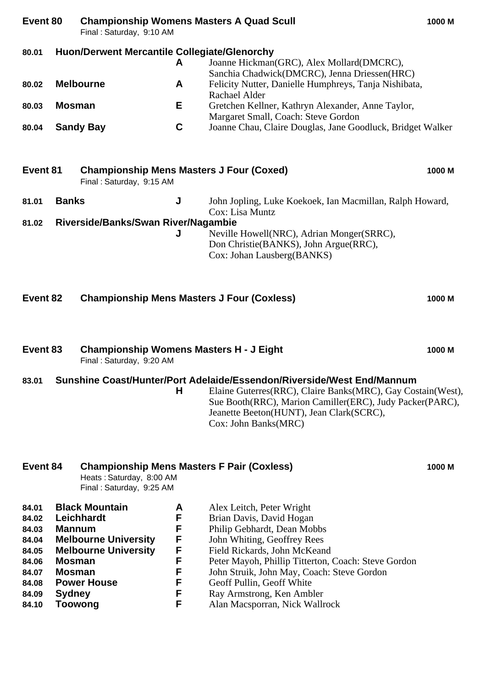| Event 80                                                                               | <b>Championship Womens Masters A Quad Scull</b><br>Final: Saturday, 9:10 AM |                                                                                                                         |                                                |                                                                                                                                                                                                                                                                                                                                                      | 1000 M |
|----------------------------------------------------------------------------------------|-----------------------------------------------------------------------------|-------------------------------------------------------------------------------------------------------------------------|------------------------------------------------|------------------------------------------------------------------------------------------------------------------------------------------------------------------------------------------------------------------------------------------------------------------------------------------------------------------------------------------------------|--------|
| 80.01                                                                                  |                                                                             | <b>Huon/Derwent Mercantile Collegiate/Glenorchy</b>                                                                     | A                                              | Joanne Hickman(GRC), Alex Mollard(DMCRC),<br>Sanchia Chadwick(DMCRC), Jenna Driessen(HRC)                                                                                                                                                                                                                                                            |        |
| 80.02                                                                                  |                                                                             | <b>Melbourne</b>                                                                                                        | A                                              | Felicity Nutter, Danielle Humphreys, Tanja Nishibata,<br>Rachael Alder                                                                                                                                                                                                                                                                               |        |
| 80.03                                                                                  | <b>Mosman</b>                                                               |                                                                                                                         | Е                                              | Gretchen Kellner, Kathryn Alexander, Anne Taylor,<br>Margaret Small, Coach: Steve Gordon                                                                                                                                                                                                                                                             |        |
| 80.04                                                                                  |                                                                             | <b>Sandy Bay</b>                                                                                                        | $\mathbf c$                                    | Joanne Chau, Claire Douglas, Jane Goodluck, Bridget Walker                                                                                                                                                                                                                                                                                           |        |
| Event 81                                                                               |                                                                             | <b>Championship Mens Masters J Four (Coxed)</b><br>Final: Saturday, 9:15 AM                                             |                                                |                                                                                                                                                                                                                                                                                                                                                      | 1000 M |
| 81.01                                                                                  | <b>Banks</b>                                                                |                                                                                                                         | J                                              | John Jopling, Luke Koekoek, Ian Macmillan, Ralph Howard,<br>Cox: Lisa Muntz                                                                                                                                                                                                                                                                          |        |
| 81.02                                                                                  |                                                                             | Riverside/Banks/Swan River/Nagambie                                                                                     | J                                              | Neville Howell(NRC), Adrian Monger(SRRC),<br>Don Christie(BANKS), John Argue(RRC),<br>Cox: Johan Lausberg(BANKS)                                                                                                                                                                                                                                     |        |
| Event 82                                                                               |                                                                             | <b>Championship Mens Masters J Four (Coxless)</b>                                                                       |                                                |                                                                                                                                                                                                                                                                                                                                                      | 1000 M |
| Event 83                                                                               |                                                                             | <b>Championship Womens Masters H - J Eight</b><br>Final: Saturday, 9:20 AM                                              |                                                |                                                                                                                                                                                                                                                                                                                                                      | 1000 M |
| 83.01                                                                                  |                                                                             |                                                                                                                         | н                                              | Sunshine Coast/Hunter/Port Adelaide/Essendon/Riverside/West End/Mannum<br>Elaine Guterres(RRC), Claire Banks(MRC), Gay Costain(West),<br>Sue Booth(RRC), Marion Camiller(ERC), Judy Packer(PARC),<br>Jeanette Beeton(HUNT), Jean Clark(SCRC),<br>Cox: John Banks(MRC)                                                                                |        |
| Event 84                                                                               |                                                                             | <b>Championship Mens Masters F Pair (Coxless)</b><br>Heats: Saturday, 8:00 AM<br>Final: Saturday, 9:25 AM               |                                                |                                                                                                                                                                                                                                                                                                                                                      | 1000 M |
| 84.01<br>84.02<br>84.03<br>84.04<br>84.05<br>84.06<br>84.07<br>84.08<br>84.09<br>84.10 | <b>Mannum</b><br><b>Mosman</b><br><b>Mosman</b><br><b>Sydney</b><br>Toowong | <b>Black Mountain</b><br>Leichhardt<br><b>Melbourne University</b><br><b>Melbourne University</b><br><b>Power House</b> | A<br>F<br>F<br>F<br>F<br>F<br>F<br>F<br>F<br>F | Alex Leitch, Peter Wright<br>Brian Davis, David Hogan<br>Philip Gebhardt, Dean Mobbs<br>John Whiting, Geoffrey Rees<br>Field Rickards, John McKeand<br>Peter Mayoh, Phillip Titterton, Coach: Steve Gordon<br>John Struik, John May, Coach: Steve Gordon<br>Geoff Pullin, Geoff White<br>Ray Armstrong, Ken Ambler<br>Alan Macsporran, Nick Wallrock |        |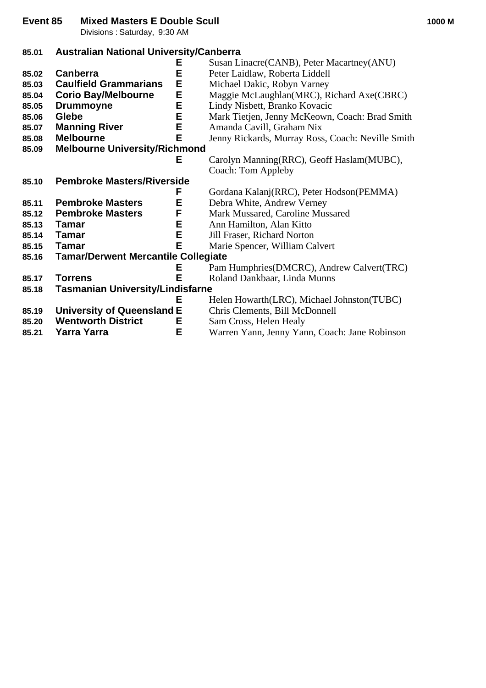**Event 85 Mixed Masters E Double Scull 1000 M**

Divisions : Saturday, 9:30 AM

# **85.01 Australian National University/Canberra**

|       | Е                                          | Susan Linacre(CANB), Peter Macartney(ANU)         |
|-------|--------------------------------------------|---------------------------------------------------|
| 85.02 | E<br><b>Canberra</b>                       | Peter Laidlaw, Roberta Liddell                    |
| 85.03 | E<br><b>Caulfield Grammarians</b>          | Michael Dakic, Robyn Varney                       |
| 85.04 | Е<br><b>Corio Bay/Melbourne</b>            | Maggie McLaughlan(MRC), Richard Axe(CBRC)         |
| 85.05 | E<br><b>Drummoyne</b>                      | Lindy Nisbett, Branko Kovacic                     |
| 85.06 | E<br>Glebe                                 | Mark Tietjen, Jenny McKeown, Coach: Brad Smith    |
| 85.07 | E<br><b>Manning River</b>                  | Amanda Cavill, Graham Nix                         |
| 85.08 | E<br><b>Melbourne</b>                      | Jenny Rickards, Murray Ross, Coach: Neville Smith |
| 85.09 | <b>Melbourne University/Richmond</b>       |                                                   |
|       | Е                                          | Carolyn Manning (RRC), Geoff Haslam (MUBC),       |
|       |                                            | Coach: Tom Appleby                                |
| 85.10 | <b>Pembroke Masters/Riverside</b>          |                                                   |
|       | F                                          | Gordana Kalanj(RRC), Peter Hodson(PEMMA)          |
| 85.11 | E<br><b>Pembroke Masters</b>               | Debra White, Andrew Verney                        |
| 85.12 | F<br><b>Pembroke Masters</b>               | Mark Mussared, Caroline Mussared                  |
| 85.13 | E<br>Tamar                                 | Ann Hamilton, Alan Kitto                          |
| 85.14 | E<br><b>Tamar</b>                          | Jill Fraser, Richard Norton                       |
| 85.15 | E<br><b>Tamar</b>                          | Marie Spencer, William Calvert                    |
| 85.16 | <b>Tamar/Derwent Mercantile Collegiate</b> |                                                   |
|       | Е                                          | Pam Humphries(DMCRC), Andrew Calvert(TRC)         |
| 85.17 | E<br><b>Torrens</b>                        | Roland Dankbaar, Linda Munns                      |
| 85.18 | <b>Tasmanian University/Lindisfarne</b>    |                                                   |
|       | Е                                          | Helen Howarth(LRC), Michael Johnston(TUBC)        |
| 85.19 | <b>University of Queensland E</b>          | Chris Clements, Bill McDonnell                    |
| 85.20 | <b>Wentworth District</b><br>Е             | Sam Cross, Helen Healy                            |
| 85.21 | E<br>Yarra Yarra                           | Warren Yann, Jenny Yann, Coach: Jane Robinson     |
|       |                                            |                                                   |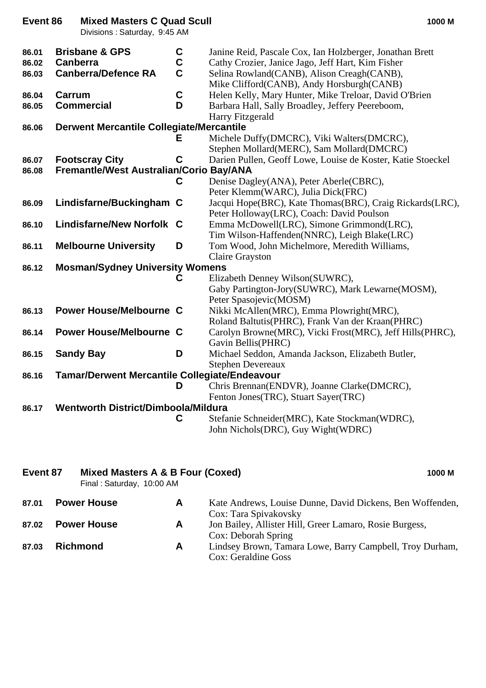## **Event 86 Mixed Masters C Quad Scull 1000 M**

Divisions : Saturday, 9:45 AM

| 86.01<br>86.02<br>86.03 | <b>Brisbane &amp; GPS</b><br><b>Canberra</b><br><b>Canberra/Defence RA</b> | $\frac{c}{c}$<br>$\mathbf C$ | Janine Reid, Pascale Cox, Ian Holzberger, Jonathan Brett<br>Cathy Crozier, Janice Jago, Jeff Hart, Kim Fisher<br>Selina Rowland(CANB), Alison Creagh(CANB),<br>Mike Clifford(CANB), Andy Horsburgh(CANB) |
|-------------------------|----------------------------------------------------------------------------|------------------------------|----------------------------------------------------------------------------------------------------------------------------------------------------------------------------------------------------------|
| 86.04<br>86.05          | Carrum<br><b>Commercial</b>                                                | $\mathbf c$<br>D             | Helen Kelly, Mary Hunter, Mike Treloar, David O'Brien<br>Barbara Hall, Sally Broadley, Jeffery Peereboom,<br>Harry Fitzgerald                                                                            |
| 86.06                   | <b>Derwent Mercantile Collegiate/Mercantile</b>                            |                              |                                                                                                                                                                                                          |
|                         |                                                                            | Е                            | Michele Duffy(DMCRC), Viki Walters(DMCRC),<br>Stephen Mollard(MERC), Sam Mollard(DMCRC)                                                                                                                  |
| 86.07                   | <b>Footscray City</b>                                                      | C                            | Darien Pullen, Geoff Lowe, Louise de Koster, Katie Stoeckel                                                                                                                                              |
| 86.08                   | Fremantle/West Australian/Corio Bay/ANA                                    |                              |                                                                                                                                                                                                          |
|                         |                                                                            | С                            | Denise Dagley(ANA), Peter Aberle(CBRC),                                                                                                                                                                  |
|                         |                                                                            |                              | Peter Klemm(WARC), Julia Dick(FRC)                                                                                                                                                                       |
| 86.09                   | Lindisfarne/Buckingham C                                                   |                              | Jacqui Hope(BRC), Kate Thomas(BRC), Craig Rickards(LRC),                                                                                                                                                 |
| 86.10                   | Lindisfarne/New Norfolk C                                                  |                              | Peter Holloway(LRC), Coach: David Poulson<br>Emma McDowell(LRC), Simone Grimmond(LRC),                                                                                                                   |
|                         |                                                                            |                              | Tim Wilson-Haffenden(NNRC), Leigh Blake(LRC)                                                                                                                                                             |
| 86.11                   | <b>Melbourne University</b>                                                | D                            | Tom Wood, John Michelmore, Meredith Williams,                                                                                                                                                            |
|                         |                                                                            |                              | <b>Claire Grayston</b>                                                                                                                                                                                   |
| 86.12                   | <b>Mosman/Sydney University Womens</b>                                     |                              |                                                                                                                                                                                                          |
|                         |                                                                            |                              | Elizabeth Denney Wilson(SUWRC),                                                                                                                                                                          |
|                         |                                                                            |                              | Gaby Partington-Jory(SUWRC), Mark Lewarne(MOSM),                                                                                                                                                         |
|                         |                                                                            |                              | Peter Spasojevic(MOSM)                                                                                                                                                                                   |
| 86.13                   | <b>Power House/Melbourne C</b>                                             |                              | Nikki McAllen(MRC), Emma Plowright(MRC),                                                                                                                                                                 |
|                         |                                                                            |                              | Roland Baltutis(PHRC), Frank Van der Kraan(PHRC)                                                                                                                                                         |
| 86.14                   | <b>Power House/Melbourne C</b>                                             |                              | Carolyn Browne(MRC), Vicki Frost(MRC), Jeff Hills(PHRC),                                                                                                                                                 |
|                         |                                                                            |                              | Gavin Bellis(PHRC)                                                                                                                                                                                       |
| 86.15                   | <b>Sandy Bay</b>                                                           | D                            | Michael Seddon, Amanda Jackson, Elizabeth Butler,<br><b>Stephen Devereaux</b>                                                                                                                            |
| 86.16                   | <b>Tamar/Derwent Mercantile Collegiate/Endeavour</b>                       |                              |                                                                                                                                                                                                          |
|                         |                                                                            | D                            | Chris Brennan(ENDVR), Joanne Clarke(DMCRC),                                                                                                                                                              |
|                         |                                                                            |                              | Fenton Jones(TRC), Stuart Sayer(TRC)                                                                                                                                                                     |
| 86.17                   | Wentworth District/Dimboola/Mildura                                        |                              |                                                                                                                                                                                                          |
|                         |                                                                            | C                            | Stefanie Schneider(MRC), Kate Stockman(WDRC),                                                                                                                                                            |
|                         |                                                                            |                              | John Nichols(DRC), Guy Wight(WDRC)                                                                                                                                                                       |
| $E$ <sub>Vont</sub> 27  | Mived Masters A & B Four (Caved)                                           |                              | <b>A QQQ BA</b>                                                                                                                                                                                          |

#### **Event 87 Mixed Masters A & B Four (Coxed) 1000 M** Final : Saturday, 10:00 AM

| 87.01 | <b>Power House</b> | A | Kate Andrews, Louise Dunne, David Dickens, Ben Woffenden,<br>Cox: Tara Spivakovsky |
|-------|--------------------|---|------------------------------------------------------------------------------------|
| 87.02 | <b>Power House</b> | A | Jon Bailey, Allister Hill, Greer Lamaro, Rosie Burgess,<br>Cox: Deborah Spring     |
| 87.03 | <b>Richmond</b>    | A | Lindsey Brown, Tamara Lowe, Barry Campbell, Troy Durham,<br>Cox: Geraldine Goss    |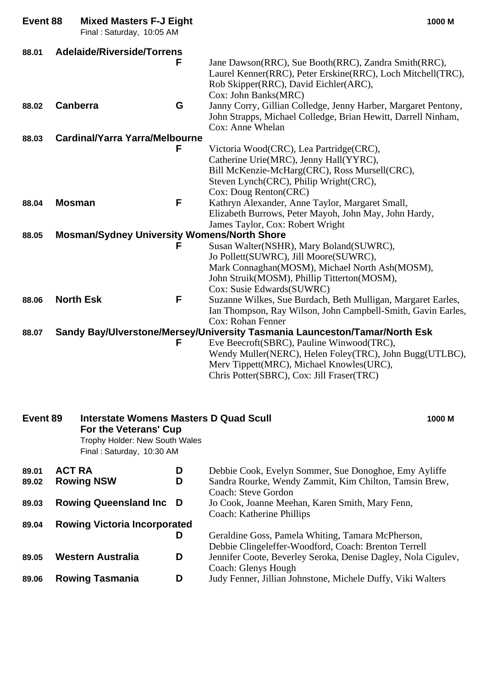| Event 88       |                 | <b>Mixed Masters F-J Eight</b><br>Final: Saturday, 10:05 AM                                                                    |        | 1000 M                                                                                                                                                                                                                                                                                                                                         |
|----------------|-----------------|--------------------------------------------------------------------------------------------------------------------------------|--------|------------------------------------------------------------------------------------------------------------------------------------------------------------------------------------------------------------------------------------------------------------------------------------------------------------------------------------------------|
| 88.01          |                 | <b>Adelaide/Riverside/Torrens</b>                                                                                              | F      | Jane Dawson(RRC), Sue Booth(RRC), Zandra Smith(RRC),<br>Laurel Kenner(RRC), Peter Erskine(RRC), Loch Mitchell(TRC),<br>Rob Skipper(RRC), David Eichler(ARC),<br>Cox: John Banks(MRC)                                                                                                                                                           |
| 88.02          | <b>Canberra</b> |                                                                                                                                | G      | Janny Corry, Gillian Colledge, Jenny Harber, Margaret Pentony,<br>John Strapps, Michael Colledge, Brian Hewitt, Darrell Ninham,<br>Cox: Anne Whelan                                                                                                                                                                                            |
| 88.03          |                 | <b>Cardinal/Yarra Yarra/Melbourne</b>                                                                                          | F      | Victoria Wood(CRC), Lea Partridge(CRC),<br>Catherine Urie(MRC), Jenny Hall(YYRC),<br>Bill McKenzie-McHarg(CRC), Ross Mursell(CRC),<br>Steven Lynch(CRC), Philip Wright(CRC),<br>Cox: Doug Renton(CRC)                                                                                                                                          |
| 88.04          | <b>Mosman</b>   |                                                                                                                                | F      | Kathryn Alexander, Anne Taylor, Margaret Small,<br>Elizabeth Burrows, Peter Mayoh, John May, John Hardy,<br>James Taylor, Cox: Robert Wright                                                                                                                                                                                                   |
| 88.05          |                 | <b>Mosman/Sydney University Womens/North Shore</b>                                                                             |        |                                                                                                                                                                                                                                                                                                                                                |
| 88.06          |                 | <b>North Esk</b>                                                                                                               | F<br>F | Susan Walter(NSHR), Mary Boland(SUWRC),<br>Jo Pollett(SUWRC), Jill Moore(SUWRC),<br>Mark Connaghan(MOSM), Michael North Ash(MOSM),<br>John Struik(MOSM), Phillip Titterton(MOSM),<br>Cox: Susie Edwards(SUWRC)<br>Suzanne Wilkes, Sue Burdach, Beth Mulligan, Margaret Earles,<br>Ian Thompson, Ray Wilson, John Campbell-Smith, Gavin Earles, |
| 88.07          |                 |                                                                                                                                |        | Cox: Rohan Fenner<br>Sandy Bay/Ulverstone/Mersey/University Tasmania Launceston/Tamar/North Esk                                                                                                                                                                                                                                                |
|                |                 |                                                                                                                                | F      | Eve Beecroft(SBRC), Pauline Winwood(TRC),<br>Wendy Muller(NERC), Helen Foley(TRC), John Bugg(UTLBC),<br>Merv Tippett(MRC), Michael Knowles(URC),<br>Chris Potter(SBRC), Cox: Jill Fraser(TRC)                                                                                                                                                  |
| Event 89       |                 | Interstate Womens Masters D Quad Scull<br>For the Veterans' Cup<br>Trophy Holder: New South Wales<br>Final: Saturday, 10:30 AM |        | 1000 M                                                                                                                                                                                                                                                                                                                                         |
| 89.01<br>89.02 | <b>ACT RA</b>   | <b>Rowing NSW</b>                                                                                                              | D<br>D | Debbie Cook, Evelyn Sommer, Sue Donoghoe, Emy Ayliffe<br>Sandra Rourke, Wendy Zammit, Kim Chilton, Tamsin Brew,                                                                                                                                                                                                                                |
| 89.03          |                 | <b>Rowing Queensland Inc.</b>                                                                                                  | D      | <b>Coach: Steve Gordon</b><br>Jo Cook, Joanne Meehan, Karen Smith, Mary Fenn,<br>Coach: Katherine Phillips                                                                                                                                                                                                                                     |
| 89.04          |                 | <b>Rowing Victoria Incorporated</b>                                                                                            | D      | Geraldine Goss, Pamela Whiting, Tamara McPherson,                                                                                                                                                                                                                                                                                              |

**89.05 Western Australia D** Jennifer Coote, Beverley Seroka, Denise Dagley, Nola Cigulev,

**89.06 Rowing Tasmania D** Judy Fenner, Jillian Johnstone, Michele Duffy, Viki Walters

Coach: Glenys Hough

Debbie Clingeleffer-Woodford, Coach: Brenton Terrell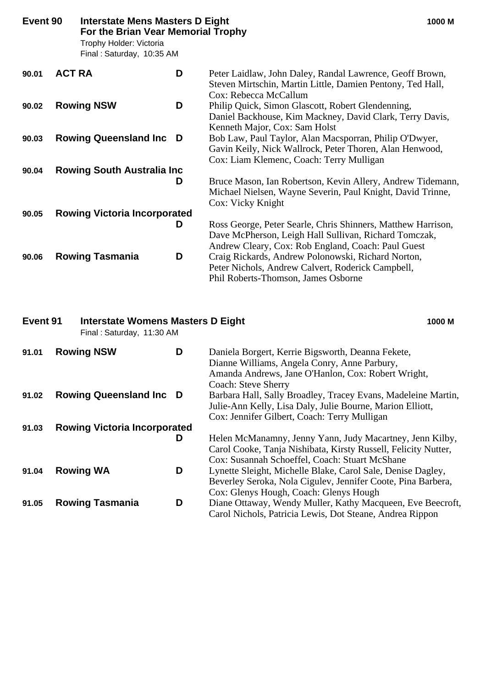| Event 90 |               | <b>Interstate Mens Masters D Eight</b><br>For the Brian Vear Memorial Trophy<br>Trophy Holder: Victoria<br>Final: Saturday, 10:35 AM |   | 1000 M                                                                                                                                                                      |
|----------|---------------|--------------------------------------------------------------------------------------------------------------------------------------|---|-----------------------------------------------------------------------------------------------------------------------------------------------------------------------------|
| 90.01    | <b>ACT RA</b> |                                                                                                                                      | D | Peter Laidlaw, John Daley, Randal Lawrence, Geoff Brown,<br>Steven Mirtschin, Martin Little, Damien Pentony, Ted Hall,<br>Cox: Rebecca McCallum                             |
| 90.02    |               | <b>Rowing NSW</b>                                                                                                                    | D | Philip Quick, Simon Glascott, Robert Glendenning,<br>Daniel Backhouse, Kim Mackney, David Clark, Terry Davis,<br>Kenneth Major, Cox: Sam Holst                              |
| 90.03    |               | <b>Rowing Queensland Inc D</b>                                                                                                       |   | Bob Law, Paul Taylor, Alan Macsporran, Philip O'Dwyer,<br>Gavin Keily, Nick Wallrock, Peter Thoren, Alan Henwood,<br>Cox: Liam Klemenc, Coach: Terry Mulligan               |
| 90.04    |               | <b>Rowing South Australia Inc.</b>                                                                                                   | D | Bruce Mason, Ian Robertson, Kevin Allery, Andrew Tidemann,<br>Michael Nielsen, Wayne Severin, Paul Knight, David Trinne,<br>Cox: Vicky Knight                               |
| 90.05    |               | <b>Rowing Victoria Incorporated</b>                                                                                                  | D | Ross George, Peter Searle, Chris Shinners, Matthew Harrison,<br>Dave McPherson, Leigh Hall Sullivan, Richard Tomczak,<br>Andrew Cleary, Cox: Rob England, Coach: Paul Guest |
| 90.06    |               | <b>Rowing Tasmania</b>                                                                                                               | D | Craig Rickards, Andrew Polonowski, Richard Norton,<br>Peter Nichols, Andrew Calvert, Roderick Campbell,<br>Phil Roberts-Thomson, James Osborne                              |

# **Event 91 Interstate Womens Masters D Eight 1000 M** Final : Saturday, 11:30 AM **91.01 Rowing NSW D** Daniela Borgert, Kerrie Bigsworth, Deanna Fekete,

|       |                                     |   | Dianne Williams, Angela Conry, Anne Parbury,                   |
|-------|-------------------------------------|---|----------------------------------------------------------------|
|       |                                     |   | Amanda Andrews, Jane O'Hanlon, Cox: Robert Wright,             |
|       |                                     |   | <b>Coach: Steve Sherry</b>                                     |
| 91.02 | <b>Rowing Queensland Inc D</b>      |   | Barbara Hall, Sally Broadley, Tracey Evans, Madeleine Martin,  |
|       |                                     |   | Julie-Ann Kelly, Lisa Daly, Julie Bourne, Marion Elliott,      |
|       |                                     |   | Cox: Jennifer Gilbert, Coach: Terry Mulligan                   |
| 91.03 | <b>Rowing Victoria Incorporated</b> |   |                                                                |
|       |                                     | D | Helen McManamny, Jenny Yann, Judy Macartney, Jenn Kilby,       |
|       |                                     |   | Carol Cooke, Tanja Nishibata, Kirsty Russell, Felicity Nutter, |
|       |                                     |   | Cox: Susannah Schoeffel, Coach: Stuart McShane                 |
| 91.04 | <b>Rowing WA</b>                    | D | Lynette Sleight, Michelle Blake, Carol Sale, Denise Dagley,    |
|       |                                     |   | Beverley Seroka, Nola Cigulev, Jennifer Coote, Pina Barbera,   |
|       |                                     |   | Cox: Glenys Hough, Coach: Glenys Hough                         |
| 91.05 | <b>Rowing Tasmania</b>              | D | Diane Ottaway, Wendy Muller, Kathy Macqueen, Eve Beecroft,     |
|       |                                     |   | Carol Nichols, Patricia Lewis, Dot Steane, Andrea Rippon       |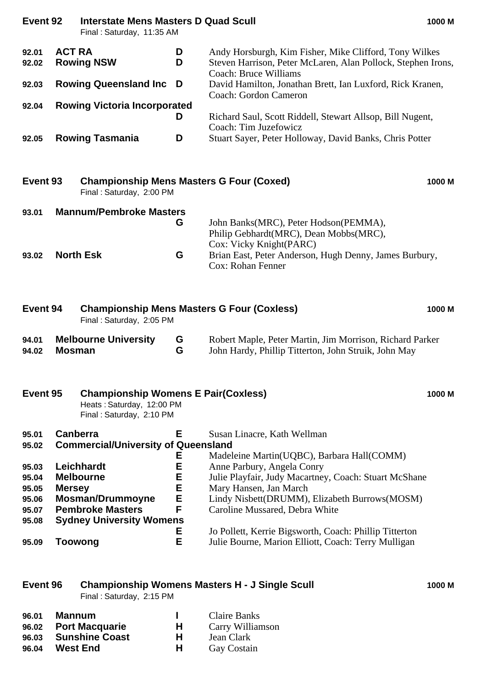# **Event 92 Interstate Mens Masters D Quad Scull 1000 M**

Final : Saturday, 11:35 AM

| 92.01 | <b>ACT RA</b>                       | D | Andy Horsburgh, Kim Fisher, Mike Clifford, Tony Wilkes       |
|-------|-------------------------------------|---|--------------------------------------------------------------|
| 92.02 | <b>Rowing NSW</b>                   | D | Steven Harrison, Peter McLaren, Alan Pollock, Stephen Irons, |
|       |                                     |   | Coach: Bruce Williams                                        |
| 92.03 | <b>Rowing Queensland Inc D</b>      |   | David Hamilton, Jonathan Brett, Ian Luxford, Rick Kranen,    |
|       |                                     |   | Coach: Gordon Cameron                                        |
| 92.04 | <b>Rowing Victoria Incorporated</b> |   |                                                              |
|       |                                     |   | Richard Saul, Scott Riddell, Stewart Allsop, Bill Nugent,    |
|       |                                     |   | Coach: Tim Juzefowicz                                        |
| 92.05 | <b>Rowing Tasmania</b>              | D | Stuart Sayer, Peter Holloway, David Banks, Chris Potter      |

| Event 93 |                  | <b>Championship Mens Masters G Four (Coxed)</b><br>Final: Saturday, 2:00 PM |   |                                                                                                            | 1000 M |
|----------|------------------|-----------------------------------------------------------------------------|---|------------------------------------------------------------------------------------------------------------|--------|
| 93.01    |                  | <b>Mannum/Pembroke Masters</b>                                              | G | John Banks(MRC), Peter Hodson(PEMMA),<br>Philip Gebhardt(MRC), Dean Mobbs(MRC),<br>Cox: Vicky Knight(PARC) |        |
| 93.02    | <b>North Esk</b> |                                                                             | G | Brian East, Peter Anderson, Hugh Denny, James Burbury,<br>Cox: Rohan Fenner                                |        |

| Event 94<br>Final: Saturday, 2:05 PM |                 | <b>Championship Mens Masters G Four (Coxless)</b>                                                   |        | 1000 M                                                                                                           |        |
|--------------------------------------|-----------------|-----------------------------------------------------------------------------------------------------|--------|------------------------------------------------------------------------------------------------------------------|--------|
| 94.01<br>94.02                       | <b>Mosman</b>   | <b>Melbourne University</b>                                                                         | G<br>G | Robert Maple, Peter Martin, Jim Morrison, Richard Parker<br>John Hardy, Phillip Titterton, John Struik, John May |        |
| Event 95                             |                 | <b>Championship Womens E Pair(Coxless)</b><br>Heats: Saturday, 12:00 PM<br>Final: Saturday, 2:10 PM |        |                                                                                                                  | 1000 M |
| 95.01<br>95.02                       | <b>Canberra</b> | <b>Commercial/University of Queensland</b>                                                          | Е      | Susan Linacre, Kath Wellman                                                                                      |        |

| 95.02 | <b>Commercial/University of Queensland</b> |    |                                                        |
|-------|--------------------------------------------|----|--------------------------------------------------------|
|       |                                            | Е  | Madeleine Martin(UQBC), Barbara Hall(COMM)             |
| 95.03 | <b>Leichhardt</b>                          | Ε  | Anne Parbury, Angela Conry                             |
| 95.04 | <b>Melbourne</b>                           | Е  | Julie Playfair, Judy Macartney, Coach: Stuart McShane  |
| 95.05 | <b>Mersey</b>                              | Е  | Mary Hansen, Jan March                                 |
| 95.06 | <b>Mosman/Drummoyne</b>                    | E. | Lindy Nisbett(DRUMM), Elizabeth Burrows(MOSM)          |
| 95.07 | <b>Pembroke Masters</b>                    | F  | Caroline Mussared, Debra White                         |
| 95.08 | <b>Sydney University Womens</b>            |    |                                                        |
|       |                                            | Е  | Jo Pollett, Kerrie Bigsworth, Coach: Phillip Titterton |
| 95.09 | Toowong                                    | Е  | Julie Bourne, Marion Elliott, Coach: Terry Mulligan    |

| Event 96 | <b>Championship Womens Masters H - J Single Scull</b> | 1000 M |
|----------|-------------------------------------------------------|--------|
|          | Final: Saturday, 2:15 PM                              |        |

| 96.01 | Mannum               |    | Claire Banks     |
|-------|----------------------|----|------------------|
|       | 96.02 Port Macquarie | H. | Carry Williamson |
|       | 96.03 Sunshine Coast | н. | Jean Clark       |
| 96.04 | <b>West End</b>      | н. | Gay Costain      |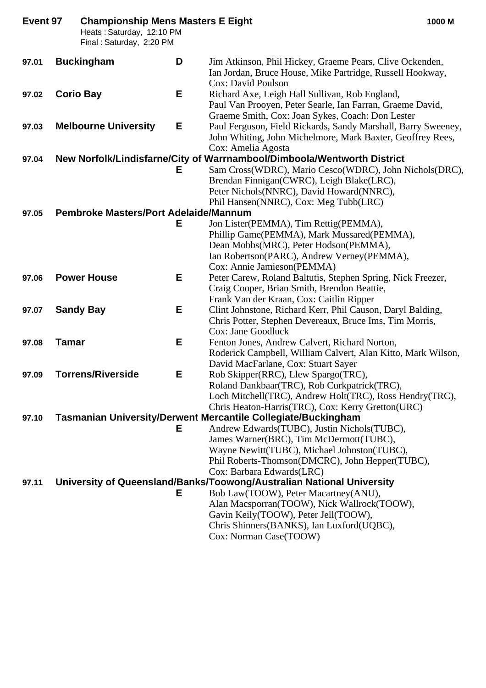| Event 97 |              | <b>Championship Mens Masters E Eight</b><br>Heats: Saturday, 12:10 PM<br>Final: Saturday, 2:20 PM |   |                                                                                                                                                                 | 1000 M |
|----------|--------------|---------------------------------------------------------------------------------------------------|---|-----------------------------------------------------------------------------------------------------------------------------------------------------------------|--------|
| 97.01    |              | <b>Buckingham</b>                                                                                 | D | Jim Atkinson, Phil Hickey, Graeme Pears, Clive Ockenden,<br>Ian Jordan, Bruce House, Mike Partridge, Russell Hookway,<br>Cox: David Poulson                     |        |
| 97.02    |              | <b>Corio Bay</b>                                                                                  | E | Richard Axe, Leigh Hall Sullivan, Rob England,<br>Paul Van Prooyen, Peter Searle, Ian Farran, Graeme David,<br>Graeme Smith, Cox: Joan Sykes, Coach: Don Lester |        |
| 97.03    |              | <b>Melbourne University</b>                                                                       | Е | Paul Ferguson, Field Rickards, Sandy Marshall, Barry Sweeney,<br>John Whiting, John Michelmore, Mark Baxter, Geoffrey Rees,<br>Cox: Amelia Agosta               |        |
| 97.04    |              |                                                                                                   |   | New Norfolk/Lindisfarne/City of Warrnambool/Dimboola/Wentworth District                                                                                         |        |
|          |              |                                                                                                   | Е | Sam Cross(WDRC), Mario Cesco(WDRC), John Nichols(DRC),                                                                                                          |        |
|          |              |                                                                                                   |   | Brendan Finnigan(CWRC), Leigh Blake(LRC),                                                                                                                       |        |
|          |              |                                                                                                   |   | Peter Nichols(NNRC), David Howard(NNRC),                                                                                                                        |        |
|          |              |                                                                                                   |   | Phil Hansen(NNRC), Cox: Meg Tubb(LRC)                                                                                                                           |        |
| 97.05    |              | <b>Pembroke Masters/Port Adelaide/Mannum</b>                                                      |   |                                                                                                                                                                 |        |
|          |              |                                                                                                   | Е | Jon Lister(PEMMA), Tim Rettig(PEMMA),                                                                                                                           |        |
|          |              |                                                                                                   |   | Phillip Game(PEMMA), Mark Mussared(PEMMA),                                                                                                                      |        |
|          |              |                                                                                                   |   | Dean Mobbs(MRC), Peter Hodson(PEMMA),                                                                                                                           |        |
|          |              |                                                                                                   |   | Ian Robertson(PARC), Andrew Verney(PEMMA),                                                                                                                      |        |
|          |              |                                                                                                   |   | Cox: Annie Jamieson(PEMMA)                                                                                                                                      |        |
| 97.06    |              | <b>Power House</b>                                                                                | Е | Peter Carew, Roland Baltutis, Stephen Spring, Nick Freezer,                                                                                                     |        |
|          |              |                                                                                                   |   | Craig Cooper, Brian Smith, Brendon Beattie,                                                                                                                     |        |
|          |              |                                                                                                   |   | Frank Van der Kraan, Cox: Caitlin Ripper                                                                                                                        |        |
| 97.07    |              | <b>Sandy Bay</b>                                                                                  | E | Clint Johnstone, Richard Kerr, Phil Causon, Daryl Balding,                                                                                                      |        |
|          |              |                                                                                                   |   | Chris Potter, Stephen Devereaux, Bruce Ims, Tim Morris,                                                                                                         |        |
|          | <b>Tamar</b> |                                                                                                   | Е | Cox: Jane Goodluck<br>Fenton Jones, Andrew Calvert, Richard Norton,                                                                                             |        |
| 97.08    |              |                                                                                                   |   | Roderick Campbell, William Calvert, Alan Kitto, Mark Wilson,                                                                                                    |        |
|          |              |                                                                                                   |   | David MacFarlane, Cox: Stuart Sayer                                                                                                                             |        |
| 97.09    |              | <b>Torrens/Riverside</b>                                                                          | Е | Rob Skipper(RRC), Llew Spargo(TRC),                                                                                                                             |        |
|          |              |                                                                                                   |   | Roland Dankbaar (TRC), Rob Curkpatrick (TRC),                                                                                                                   |        |
|          |              |                                                                                                   |   | Loch Mitchell(TRC), Andrew Holt(TRC), Ross Hendry(TRC),                                                                                                         |        |
|          |              |                                                                                                   |   | Chris Heaton-Harris(TRC), Cox: Kerry Gretton(URC)                                                                                                               |        |
| 97.10    |              |                                                                                                   |   | <b>Tasmanian University/Derwent Mercantile Collegiate/Buckingham</b>                                                                                            |        |
|          |              |                                                                                                   | Е | Andrew Edwards (TUBC), Justin Nichols (TUBC),                                                                                                                   |        |
|          |              |                                                                                                   |   | James Warner(BRC), Tim McDermott(TUBC),                                                                                                                         |        |
|          |              |                                                                                                   |   | Wayne Newitt(TUBC), Michael Johnston(TUBC),                                                                                                                     |        |
|          |              |                                                                                                   |   | Phil Roberts-Thomson(DMCRC), John Hepper(TUBC),                                                                                                                 |        |
|          |              |                                                                                                   |   | Cox: Barbara Edwards(LRC)                                                                                                                                       |        |
| 97.11    |              |                                                                                                   |   | University of Queensland/Banks/Toowong/Australian National University                                                                                           |        |
|          |              |                                                                                                   | Е | Bob Law(TOOW), Peter Macartney(ANU),                                                                                                                            |        |
|          |              |                                                                                                   |   | Alan Macsporran(TOOW), Nick Wallrock(TOOW),                                                                                                                     |        |
|          |              |                                                                                                   |   | Gavin Keily(TOOW), Peter Jell(TOOW),                                                                                                                            |        |
|          |              |                                                                                                   |   | Chris Shinners (BANKS), Ian Luxford (UQBC),                                                                                                                     |        |
|          |              |                                                                                                   |   | Cox: Norman Case(TOOW)                                                                                                                                          |        |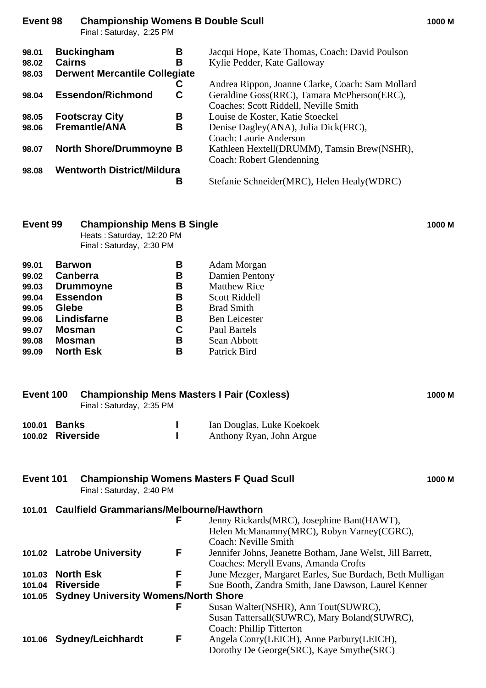|                         | Final: Saturday, 2:25 PM                                                             |                                                                                                                                          |
|-------------------------|--------------------------------------------------------------------------------------|------------------------------------------------------------------------------------------------------------------------------------------|
| 98.01<br>98.02<br>98.03 | <b>Buckingham</b><br>В<br><b>Cairns</b><br>в<br><b>Derwent Mercantile Collegiate</b> | Jacqui Hope, Kate Thomas, Coach: David Poulson<br>Kylie Pedder, Kate Galloway                                                            |
| 98.04                   | С<br><b>Essendon/Richmond</b><br>C                                                   | Andrea Rippon, Joanne Clarke, Coach: Sam Mollard<br>Geraldine Goss(RRC), Tamara McPherson(ERC),<br>Coaches: Scott Riddell, Neville Smith |
| 98.05<br>98.06          | <b>Footscray City</b><br>В<br><b>Fremantle/ANA</b><br>в                              | Louise de Koster, Katie Stoeckel<br>Denise Dagley(ANA), Julia Dick(FRC),<br>Coach: Laurie Anderson                                       |
| 98.07                   | <b>North Shore/Drummoyne B</b>                                                       | Kathleen Hextell(DRUMM), Tamsin Brew(NSHR),<br>Coach: Robert Glendenning                                                                 |
| 98.08                   | <b>Wentworth District/Mildura</b><br>В                                               | Stefanie Schneider(MRC), Helen Healy(WDRC)                                                                                               |

**Event 98 Championship Womens B Double Scull 1000 M**

| Event 99 | <b>Championship Mens B Single</b><br>Heats: Saturday, 12:20 PM<br>Final: Saturday, 2:30 PM |   |                       |  |  |
|----------|--------------------------------------------------------------------------------------------|---|-----------------------|--|--|
| 99.01    | <b>Barwon</b>                                                                              | В | Adam Morgan           |  |  |
| 99.02    | Canberra                                                                                   | В | <b>Damien Pentony</b> |  |  |
| 99.03    | <b>Drummoyne</b>                                                                           | В | <b>Matthew Rice</b>   |  |  |
| 99.04    | <b>Essendon</b>                                                                            | В | Scott Riddell         |  |  |

| 99.05 | <b>Glebe</b> | в | <b>Brad Smith</b>    |
|-------|--------------|---|----------------------|
| 99.06 | Lindisfarne  | в | <b>Ben Leicester</b> |
| 99.07 | Mosman       | C | Paul Bartels         |
| 99.08 | Mosman       | в | Sean Abbott          |

| 99.09 North Esk | Patrick Bird |
|-----------------|--------------|

| Event 100                                                 |                                                                                   | <b>Championship Mens Masters I Pair (Coxless)</b><br>Final: Saturday, 2:35 PM |   |                                                                                                                   | 1000 M |
|-----------------------------------------------------------|-----------------------------------------------------------------------------------|-------------------------------------------------------------------------------|---|-------------------------------------------------------------------------------------------------------------------|--------|
| 100.01<br>100.02                                          | <b>Banks</b>                                                                      | <b>Riverside</b>                                                              |   | Ian Douglas, Luke Koekoek<br>Anthony Ryan, John Argue                                                             |        |
| Event 101                                                 |                                                                                   | Final: Saturday, 2:40 PM                                                      |   | <b>Championship Womens Masters F Quad Scull</b>                                                                   | 1000 M |
| <b>Caulfield Grammarians/Melbourne/Hawthorn</b><br>101.01 |                                                                                   |                                                                               |   |                                                                                                                   |        |
|                                                           |                                                                                   |                                                                               | F | Jenny Rickards (MRC), Josephine Bant (HAWT),<br>Helen McManamny(MRC), Robyn Varney(CGRC),<br>Coach: Neville Smith |        |
| 101.02                                                    | F<br><b>Latrobe University</b>                                                    |                                                                               |   | Jennifer Johns, Jeanette Botham, Jane Welst, Jill Barrett,<br>Coaches: Meryll Evans, Amanda Crofts                |        |
| 101.03                                                    | F<br><b>North Esk</b><br>June Mezger, Margaret Earles, Sue Burdach, Beth Mulligan |                                                                               |   |                                                                                                                   |        |
| 101.04                                                    | F<br><b>Riverside</b>                                                             |                                                                               |   | Sue Booth, Zandra Smith, Jane Dawson, Laurel Kenner                                                               |        |
| 101.05                                                    |                                                                                   | <b>Sydney University Womens/North Shore</b>                                   |   |                                                                                                                   |        |
|                                                           |                                                                                   |                                                                               | F | Susan Walter(NSHR), Ann Tout(SUWRC),<br>Susan Tattersall(SUWRC), Mary Boland(SUWRC),<br>Coach: Phillip Titterton  |        |
| 101.06                                                    |                                                                                   | <b>Sydney/Leichhardt</b>                                                      | F | Angela Conry(LEICH), Anne Parbury(LEICH),<br>Dorothy De George (SRC), Kaye Smythe (SRC)                           |        |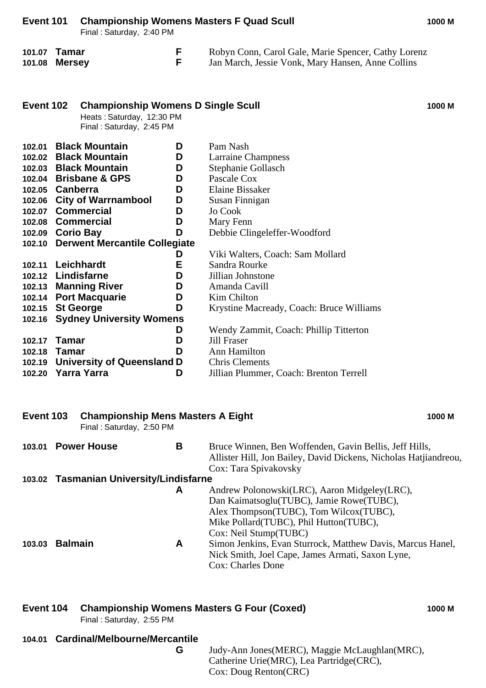| Event 101<br>Final: Saturday, 2:40 PM |                        |                                                                                                    | <b>Championship Womens Masters F Quad Scull</b> |                                                                                                          |        |
|---------------------------------------|------------------------|----------------------------------------------------------------------------------------------------|-------------------------------------------------|----------------------------------------------------------------------------------------------------------|--------|
| 101.07<br>101.08                      | Tamar<br><b>Mersey</b> |                                                                                                    | F<br>F                                          | Robyn Conn, Carol Gale, Marie Spencer, Cathy Lorenz<br>Jan March, Jessie Vonk, Mary Hansen, Anne Collins |        |
| Event 102                             |                        | <b>Championship Womens D Single Scull</b><br>Heats: Saturday, 12:30 PM<br>Final: Saturday, 2:45 PM |                                                 |                                                                                                          | 1000 M |
| 102.01                                |                        | <b>Black Mountain</b>                                                                              | D                                               | Pam Nash                                                                                                 |        |
|                                       |                        | 102.02 Black Mountain                                                                              | D                                               | <b>Larraine Champness</b>                                                                                |        |
|                                       |                        | 102.03 Black Mountain                                                                              | D                                               | Stephanie Gollasch                                                                                       |        |
|                                       |                        | 102.04 Brisbane & GPS                                                                              | D                                               | Pascale Cox                                                                                              |        |
|                                       | 102.05 Canberra        |                                                                                                    | D                                               | <b>Elaine Bissaker</b>                                                                                   |        |
|                                       |                        | 102.06 City of Warrnambool                                                                         | D                                               | Susan Finnigan                                                                                           |        |
|                                       |                        | 102.07 Commercial                                                                                  | D                                               | Jo Cook                                                                                                  |        |
|                                       |                        | 102.08 Commercial                                                                                  | D                                               | Mary Fenn                                                                                                |        |
|                                       | 102.09 Corio Bay       |                                                                                                    | D                                               | Debbie Clingeleffer-Woodford                                                                             |        |
|                                       |                        | 102.10 Derwent Mercantile Collegiate                                                               |                                                 |                                                                                                          |        |
|                                       |                        |                                                                                                    | D                                               | Viki Walters, Coach: Sam Mollard                                                                         |        |
| 102.11                                |                        | Leichhardt                                                                                         | E                                               | Sandra Rourke                                                                                            |        |
|                                       |                        | 102.12 Lindisfarne                                                                                 | D                                               | Jillian Johnstone                                                                                        |        |
|                                       |                        | 102.13 Manning River                                                                               | D                                               | Amanda Cavill                                                                                            |        |
| 102.14                                |                        | <b>Port Macquarie</b>                                                                              | D                                               | <b>Kim Chilton</b>                                                                                       |        |
| 102.15                                | <b>St George</b>       |                                                                                                    | D                                               | Krystine Macready, Coach: Bruce Williams                                                                 |        |
| 102.16                                |                        | <b>Sydney University Womens</b>                                                                    |                                                 |                                                                                                          |        |
|                                       |                        |                                                                                                    | D                                               | Wendy Zammit, Coach: Phillip Titterton                                                                   |        |
| 102.17                                | <b>Tamar</b>           |                                                                                                    | D                                               | <b>Jill Fraser</b>                                                                                       |        |
| 102.18                                | <b>Tamar</b>           |                                                                                                    | D                                               | Ann Hamilton                                                                                             |        |
| 102.19                                |                        | <b>University of Queensland D</b>                                                                  |                                                 | <b>Chris Clements</b>                                                                                    |        |
| 102.20                                |                        | <b>Yarra Yarra</b>                                                                                 | D                                               | Jillian Plummer, Coach: Brenton Terrell                                                                  |        |

| Event 103 |                | <b>Championship Mens Masters A Eight</b><br>Final: Saturday, 2:50 PM |        | 1000 M                                                                                                                                                                                                                                                                                                                    |
|-----------|----------------|----------------------------------------------------------------------|--------|---------------------------------------------------------------------------------------------------------------------------------------------------------------------------------------------------------------------------------------------------------------------------------------------------------------------------|
| 103.01    |                | <b>Power House</b>                                                   | B      | Bruce Winnen, Ben Woffenden, Gavin Bellis, Jeff Hills,<br>Allister Hill, Jon Bailey, David Dickens, Nicholas Hatjiandreou,<br>Cox: Tara Spivakovsky                                                                                                                                                                       |
|           |                | 103.02 Tasmanian University/Lindisfarne                              |        |                                                                                                                                                                                                                                                                                                                           |
| 103.03    | <b>Balmain</b> |                                                                      | A<br>A | Andrew Polonowski(LRC), Aaron Midgeley(LRC),<br>Dan Kaimatsoglu(TUBC), Jamie Rowe(TUBC),<br>Alex Thompson(TUBC), Tom Wilcox(TUBC),<br>Mike Pollard (TUBC), Phil Hutton (TUBC),<br>Cox: Neil Stump(TUBC)<br>Simon Jenkins, Evan Sturrock, Matthew Davis, Marcus Hanel,<br>Nick Smith, Joel Cape, James Armati, Saxon Lyne, |
|           |                |                                                                      |        | <b>Cox: Charles Done</b>                                                                                                                                                                                                                                                                                                  |

### **Event 104 Championship Womens Masters G Four (Coxed) 1000 M**

Final : Saturday, 2:55 PM

### **104.01 Cardinal/Melbourne/Mercantile**

**G** Judy-Ann Jones(MERC), Maggie McLaughlan(MRC), Catherine Urie(MRC), Lea Partridge(CRC), Cox: Doug Renton(CRC)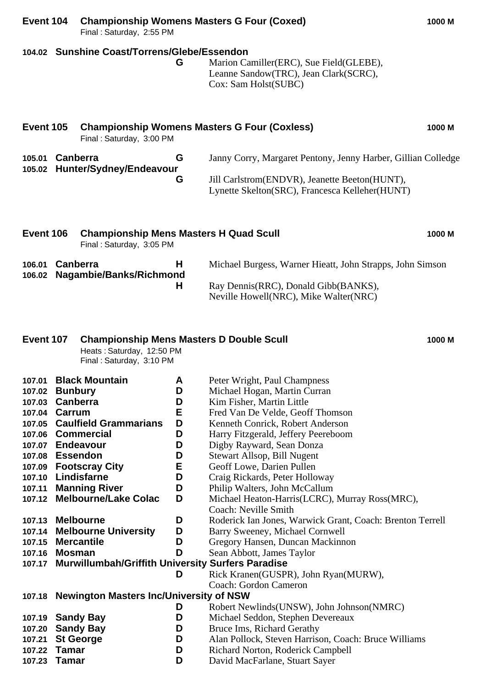|                                                                                                                                                                                                  |                                 | Final: Saturday, 2:55 PM                                                                                                                                                                                                                                             |                                                                                   |                                                                                                                                                                                                                                                                                                                                                                                                                                                                                                                                                                                                                                                                                  |        |
|--------------------------------------------------------------------------------------------------------------------------------------------------------------------------------------------------|---------------------------------|----------------------------------------------------------------------------------------------------------------------------------------------------------------------------------------------------------------------------------------------------------------------|-----------------------------------------------------------------------------------|----------------------------------------------------------------------------------------------------------------------------------------------------------------------------------------------------------------------------------------------------------------------------------------------------------------------------------------------------------------------------------------------------------------------------------------------------------------------------------------------------------------------------------------------------------------------------------------------------------------------------------------------------------------------------------|--------|
|                                                                                                                                                                                                  |                                 | 104.02 Sunshine Coast/Torrens/Glebe/Essendon                                                                                                                                                                                                                         | G                                                                                 | Marion Camiller(ERC), Sue Field(GLEBE),<br>Leanne Sandow(TRC), Jean Clark(SCRC),<br>Cox: Sam Holst(SUBC)                                                                                                                                                                                                                                                                                                                                                                                                                                                                                                                                                                         |        |
| <b>Event 105</b>                                                                                                                                                                                 |                                 | Final: Saturday, 3:00 PM                                                                                                                                                                                                                                             |                                                                                   | <b>Championship Womens Masters G Four (Coxless)</b>                                                                                                                                                                                                                                                                                                                                                                                                                                                                                                                                                                                                                              | 1000 M |
| 105.01<br>105.02                                                                                                                                                                                 | Canberra                        | Hunter/Sydney/Endeavour                                                                                                                                                                                                                                              | G<br>G                                                                            | Janny Corry, Margaret Pentony, Jenny Harber, Gillian Colledge<br>Jill Carlstrom(ENDVR), Jeanette Beeton(HUNT),<br>Lynette Skelton(SRC), Francesca Kelleher(HUNT)                                                                                                                                                                                                                                                                                                                                                                                                                                                                                                                 |        |
| Event 106                                                                                                                                                                                        |                                 | <b>Championship Mens Masters H Quad Scull</b><br>Final: Saturday, 3:05 PM                                                                                                                                                                                            |                                                                                   |                                                                                                                                                                                                                                                                                                                                                                                                                                                                                                                                                                                                                                                                                  | 1000 M |
| 106.01<br>106.02                                                                                                                                                                                 | <b>Canberra</b>                 | Nagambie/Banks/Richmond                                                                                                                                                                                                                                              | н<br>H.                                                                           | Michael Burgess, Warner Hieatt, John Strapps, John Simson<br>Ray Dennis(RRC), Donald Gibb(BANKS),<br>Neville Howell(NRC), Mike Walter(NRC)                                                                                                                                                                                                                                                                                                                                                                                                                                                                                                                                       |        |
| Event 107                                                                                                                                                                                        |                                 | <b>Championship Mens Masters D Double Scull</b><br>Heats: Saturday, 12:50 PM<br>Final: Saturday, 3:10 PM                                                                                                                                                             |                                                                                   |                                                                                                                                                                                                                                                                                                                                                                                                                                                                                                                                                                                                                                                                                  | 1000 M |
| 107.01<br>107.02<br>107.03 Canberra<br>107.04<br>107.05<br>107.07 Endeavour<br>107.08 Essendon<br>107.09<br>107.10<br>107.11<br>107.13 Melbourne<br>107.14<br>107.15 Mercantile<br>107.16 Mosman | <b>Bunbury</b><br><b>Carrum</b> | <b>Black Mountain</b><br><b>Caulfield Grammarians</b><br>107.06 Commercial<br><b>Footscray City</b><br>Lindisfarne<br><b>Manning River</b><br>107.12 Melbourne/Lake Colac<br><b>Melbourne University</b><br>107.17 Murwillumbah/Griffith University Surfers Paradise | A<br>D<br>D<br>Е<br>D<br>D<br>D<br>D<br>Е<br>D<br>D<br>D<br>D<br>D<br>D<br>D<br>D | Peter Wright, Paul Champness<br>Michael Hogan, Martin Curran<br>Kim Fisher, Martin Little<br>Fred Van De Velde, Geoff Thomson<br>Kenneth Conrick, Robert Anderson<br>Harry Fitzgerald, Jeffery Peereboom<br>Digby Rayward, Sean Donza<br>Stewart Allsop, Bill Nugent<br>Geoff Lowe, Darien Pullen<br>Craig Rickards, Peter Holloway<br>Philip Walters, John McCallum<br>Michael Heaton-Harris(LCRC), Murray Ross(MRC),<br>Coach: Neville Smith<br>Roderick Ian Jones, Warwick Grant, Coach: Brenton Terrell<br>Barry Sweeney, Michael Cornwell<br>Gregory Hansen, Duncan Mackinnon<br>Sean Abbott, James Taylor<br>Rick Kranen(GUSPR), John Ryan(MURW),<br>Coach: Gordon Cameron |        |
| 107.19 Sandy Bay<br>107.20<br>107.21<br>107.22<br>107.23                                                                                                                                         | Tamar<br>Tamar                  | 107.18 Newington Masters Inc/University of NSW<br><b>Sandy Bay</b><br><b>St George</b>                                                                                                                                                                               | D<br>D<br>D<br>D<br>D<br>D                                                        | Robert Newlinds (UNSW), John Johnson (NMRC)<br>Michael Seddon, Stephen Devereaux<br>Bruce Ims, Richard Gerathy<br>Alan Pollock, Steven Harrison, Coach: Bruce Williams<br>Richard Norton, Roderick Campbell<br>David MacFarlane, Stuart Sayer                                                                                                                                                                                                                                                                                                                                                                                                                                    |        |

**Event 104 Championship Womens Masters G Four (Coxed) 1000 M**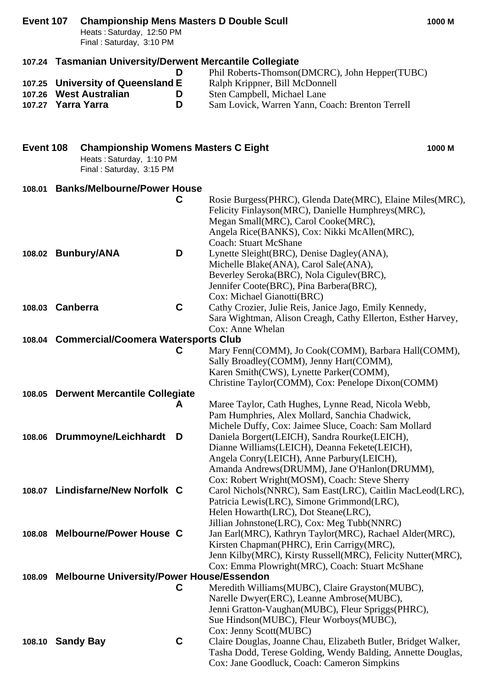| Event 107        |                                                                                                                           | <b>Championship Mens Masters D Double Scull</b><br>Heats: Saturday, 12:50 PM<br>Final: Saturday, 3:10 PM |             |                                                                                                                                                                                                                                       | 1000 M |  |
|------------------|---------------------------------------------------------------------------------------------------------------------------|----------------------------------------------------------------------------------------------------------|-------------|---------------------------------------------------------------------------------------------------------------------------------------------------------------------------------------------------------------------------------------|--------|--|
|                  |                                                                                                                           |                                                                                                          |             | 107.24 Tasmanian University/Derwent Mercantile Collegiate                                                                                                                                                                             |        |  |
| 107.26<br>107.27 |                                                                                                                           | 107.25 University of Queensland E<br><b>West Australian</b><br>Yarra Yarra                               | D<br>D<br>D | Phil Roberts-Thomson(DMCRC), John Hepper(TUBC)<br>Ralph Krippner, Bill McDonnell<br>Sten Campbell, Michael Lane<br>Sam Lovick, Warren Yann, Coach: Brenton Terrell                                                                    |        |  |
|                  |                                                                                                                           |                                                                                                          |             |                                                                                                                                                                                                                                       |        |  |
|                  | Event 108<br><b>Championship Womens Masters C Eight</b><br>1000 M<br>Heats: Saturday, 1:10 PM<br>Final: Saturday, 3:15 PM |                                                                                                          |             |                                                                                                                                                                                                                                       |        |  |
| 108.01           |                                                                                                                           | <b>Banks/Melbourne/Power House</b>                                                                       |             |                                                                                                                                                                                                                                       |        |  |
|                  |                                                                                                                           |                                                                                                          | C           | Rosie Burgess(PHRC), Glenda Date(MRC), Elaine Miles(MRC),<br>Felicity Finlayson(MRC), Danielle Humphreys(MRC),<br>Megan Small(MRC), Carol Cooke(MRC),<br>Angela Rice(BANKS), Cox: Nikki McAllen(MRC),<br><b>Coach: Stuart McShane</b> |        |  |
|                  |                                                                                                                           | 108.02 Bunbury/ANA                                                                                       | D           | Lynette Sleight (BRC), Denise Dagley (ANA),<br>Michelle Blake(ANA), Carol Sale(ANA),<br>Beverley Seroka(BRC), Nola Cigulev(BRC),<br>Jennifer Coote(BRC), Pina Barbera(BRC),<br>Cox: Michael Gianotti(BRC)                             |        |  |
| 108.03 Canberra  |                                                                                                                           |                                                                                                          | C           | Cathy Crozier, Julie Reis, Janice Jago, Emily Kennedy,<br>Sara Wightman, Alison Creagh, Cathy Ellerton, Esther Harvey,<br>Cox: Anne Whelan                                                                                            |        |  |
|                  |                                                                                                                           | 108.04 Commercial/Coomera Watersports Club                                                               |             |                                                                                                                                                                                                                                       |        |  |
|                  |                                                                                                                           |                                                                                                          | C           | Mary Fenn(COMM), Jo Cook(COMM), Barbara Hall(COMM),<br>Sally Broadley(COMM), Jenny Hart(COMM),<br>Karen Smith(CWS), Lynette Parker(COMM),                                                                                             |        |  |
|                  |                                                                                                                           |                                                                                                          |             | Christine Taylor(COMM), Cox: Penelope Dixon(COMM)                                                                                                                                                                                     |        |  |
| 108.05           |                                                                                                                           | <b>Derwent Mercantile Collegiate</b>                                                                     | A           | Maree Taylor, Cath Hughes, Lynne Read, Nicola Webb,                                                                                                                                                                                   |        |  |
|                  |                                                                                                                           |                                                                                                          |             | Pam Humphries, Alex Mollard, Sanchia Chadwick,<br>Michele Duffy, Cox: Jaimee Sluce, Coach: Sam Mollard                                                                                                                                |        |  |
|                  |                                                                                                                           | 108.06 Drummoyne/Leichhardt D                                                                            |             | Daniela Borgert(LEICH), Sandra Rourke(LEICH),<br>Dianne Williams(LEICH), Deanna Fekete(LEICH),                                                                                                                                        |        |  |
|                  |                                                                                                                           |                                                                                                          |             | Angela Conry(LEICH), Anne Parbury(LEICH),<br>Amanda Andrews(DRUMM), Jane O'Hanlon(DRUMM),                                                                                                                                             |        |  |
|                  |                                                                                                                           |                                                                                                          |             | Cox: Robert Wright(MOSM), Coach: Steve Sherry                                                                                                                                                                                         |        |  |
| 108.07           |                                                                                                                           | <b>Lindisfarne/New Norfolk C</b>                                                                         |             | Carol Nichols(NNRC), Sam East(LRC), Caitlin MacLeod(LRC),                                                                                                                                                                             |        |  |
|                  |                                                                                                                           |                                                                                                          |             | Patricia Lewis(LRC), Simone Grimmond(LRC),<br>Helen Howarth(LRC), Dot Steane(LRC),                                                                                                                                                    |        |  |
|                  |                                                                                                                           |                                                                                                          |             | Jillian Johnstone(LRC), Cox: Meg Tubb(NNRC)                                                                                                                                                                                           |        |  |
|                  |                                                                                                                           | 108.08 Melbourne/Power House C                                                                           |             | Jan Earl(MRC), Kathryn Taylor(MRC), Rachael Alder(MRC),<br>Kirsten Chapman(PHRC), Erin Carrigy(MRC),                                                                                                                                  |        |  |
|                  |                                                                                                                           |                                                                                                          |             | Jenn Kilby(MRC), Kirsty Russell(MRC), Felicity Nutter(MRC),                                                                                                                                                                           |        |  |
|                  |                                                                                                                           |                                                                                                          |             | Cox: Emma Plowright (MRC), Coach: Stuart McShane                                                                                                                                                                                      |        |  |
| 108.09           |                                                                                                                           | <b>Melbourne University/Power House/Essendon</b>                                                         | C           | Meredith Williams(MUBC), Claire Grayston(MUBC),                                                                                                                                                                                       |        |  |
|                  |                                                                                                                           |                                                                                                          |             | Narelle Dwyer(ERC), Leanne Ambrose(MUBC),                                                                                                                                                                                             |        |  |
|                  |                                                                                                                           |                                                                                                          |             | Jenni Gratton-Vaughan(MUBC), Fleur Spriggs(PHRC),                                                                                                                                                                                     |        |  |
|                  |                                                                                                                           |                                                                                                          |             | Sue Hindson(MUBC), Fleur Worboys(MUBC),<br>Cox: Jenny Scott(MUBC)                                                                                                                                                                     |        |  |
| 108.10 Sandy Bay |                                                                                                                           |                                                                                                          | C           | Claire Douglas, Joanne Chau, Elizabeth Butler, Bridget Walker,                                                                                                                                                                        |        |  |
|                  |                                                                                                                           |                                                                                                          |             | Tasha Dodd, Terese Golding, Wendy Balding, Annette Douglas,<br>Cox: Jane Goodluck, Coach: Cameron Simpkins                                                                                                                            |        |  |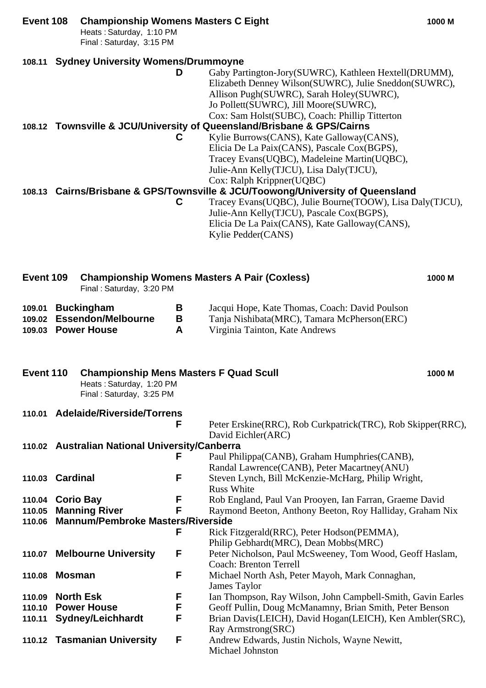# **Event 108 Championship Womens Masters C Eight 1000 M** Heats : Saturday, 1:10 PM

Final : Saturday, 3:15 PM

# **108.11 Sydney University Womens/Drummoyne**

**D** Gaby Partington-Jory(SUWRC), Kathleen Hextell(DRUMM), Elizabeth Denney Wilson(SUWRC), Julie Sneddon(SUWRC), Allison Pugh(SUWRC), Sarah Holey(SUWRC), Jo Pollett(SUWRC), Jill Moore(SUWRC), Cox: Sam Holst(SUBC), Coach: Phillip Titterton

# **108.12 Townsville & JCU/University of Queensland/Brisbane & GPS/Cairns**

**C** Kylie Burrows(CANS), Kate Galloway(CANS), Elicia De La Paix(CANS), Pascale Cox(BGPS), Tracey Evans(UQBC), Madeleine Martin(UQBC), Julie-Ann Kelly(TJCU), Lisa Daly(TJCU), Cox: Ralph Krippner(UQBC)

# **108.13 Cairns/Brisbane & GPS/Townsville & JCU/Toowong/University of Queensland**

**C** Tracey Evans(UQBC), Julie Bourne(TOOW), Lisa Daly(TJCU), Julie-Ann Kelly(TJCU), Pascale Cox(BGPS), Elicia De La Paix(CANS), Kate Galloway(CANS), Kylie Pedder(CANS)

| Event 109                                      |                                                                  | Final: Saturday, 3:20 PM                                                                              |             | <b>Championship Womens Masters A Pair (Coxless)</b>                                                                             | 1000 M |
|------------------------------------------------|------------------------------------------------------------------|-------------------------------------------------------------------------------------------------------|-------------|---------------------------------------------------------------------------------------------------------------------------------|--------|
| 109.01<br>109.02                               |                                                                  | <b>Buckingham</b><br><b>Essendon/Melbourne</b><br>109.03 Power House                                  | B<br>B<br>A | Jacqui Hope, Kate Thomas, Coach: David Poulson<br>Tanja Nishibata(MRC), Tamara McPherson(ERC)<br>Virginia Tainton, Kate Andrews |        |
| Event 110                                      |                                                                  | <b>Championship Mens Masters F Quad Scull</b><br>Heats: Saturday, 1:20 PM<br>Final: Saturday, 3:25 PM |             |                                                                                                                                 | 1000 M |
|                                                |                                                                  | 110.01 Adelaide/Riverside/Torrens                                                                     | F           | Peter Erskine(RRC), Rob Curkpatrick(TRC), Rob Skipper(RRC),<br>David Eichler(ARC)                                               |        |
| 110.02 Australian National University/Canberra |                                                                  |                                                                                                       |             |                                                                                                                                 |        |
|                                                |                                                                  |                                                                                                       | F           | Paul Philippa(CANB), Graham Humphries(CANB),                                                                                    |        |
|                                                |                                                                  |                                                                                                       |             | Randal Lawrence(CANB), Peter Macartney(ANU)                                                                                     |        |
| 110.03 Cardinal                                |                                                                  |                                                                                                       | F           | Steven Lynch, Bill McKenzie-McHarg, Philip Wright,<br><b>Russ White</b>                                                         |        |
| 110.04 Corio Bay                               |                                                                  |                                                                                                       | F           | Rob England, Paul Van Prooyen, Ian Farran, Graeme David                                                                         |        |
| 110.05                                         |                                                                  |                                                                                                       | F           | Raymond Beeton, Anthony Beeton, Roy Halliday, Graham Nix                                                                        |        |
| 110.06                                         | <b>Manning River</b><br><b>Mannum/Pembroke Masters/Riverside</b> |                                                                                                       |             |                                                                                                                                 |        |
|                                                |                                                                  |                                                                                                       | F           | Rick Fitzgerald(RRC), Peter Hodson(PEMMA),                                                                                      |        |
|                                                |                                                                  |                                                                                                       |             | Philip Gebhardt(MRC), Dean Mobbs(MRC)                                                                                           |        |
|                                                |                                                                  | 110.07 Melbourne University                                                                           | F           | Peter Nicholson, Paul McSweeney, Tom Wood, Geoff Haslam,                                                                        |        |
|                                                |                                                                  |                                                                                                       |             | <b>Coach: Brenton Terrell</b>                                                                                                   |        |
| 110.08 Mosman                                  |                                                                  |                                                                                                       | F           | Michael North Ash, Peter Mayoh, Mark Connaghan,                                                                                 |        |
|                                                |                                                                  |                                                                                                       |             | <b>James Taylor</b>                                                                                                             |        |
| 110.09                                         |                                                                  | <b>North Esk</b>                                                                                      | F           | Ian Thompson, Ray Wilson, John Campbell-Smith, Gavin Earles                                                                     |        |
| 110.10                                         |                                                                  | <b>Power House</b>                                                                                    | F           | Geoff Pullin, Doug McManamny, Brian Smith, Peter Benson                                                                         |        |
| 110.11                                         |                                                                  | <b>Sydney/Leichhardt</b>                                                                              | F           | Brian Davis(LEICH), David Hogan(LEICH), Ken Ambler(SRC),                                                                        |        |
|                                                |                                                                  |                                                                                                       |             | Ray Armstrong(SRC)                                                                                                              |        |
|                                                |                                                                  | 110.12 Tasmanian University                                                                           | F           | Andrew Edwards, Justin Nichols, Wayne Newitt,                                                                                   |        |
|                                                |                                                                  |                                                                                                       |             | Michael Johnston                                                                                                                |        |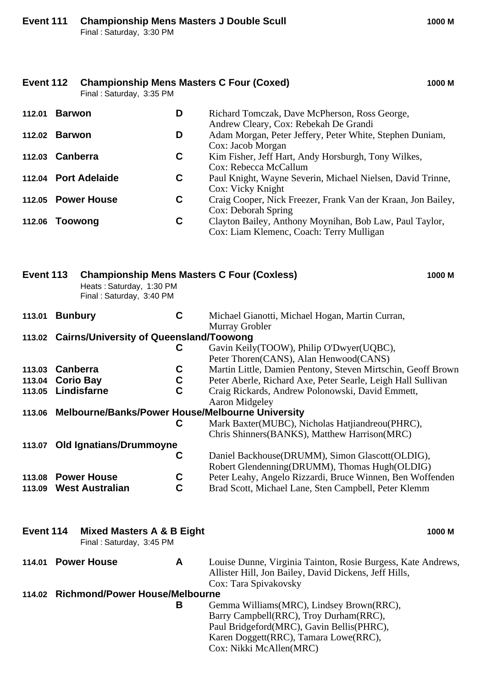|           | Final: Saturday, 3:35 PM                                         |                            |                                                                                                                       |
|-----------|------------------------------------------------------------------|----------------------------|-----------------------------------------------------------------------------------------------------------------------|
|           | 112.01 Barwon                                                    | D                          | Richard Tomczak, Dave McPherson, Ross George,<br>Andrew Cleary, Cox: Rebekah De Grandi                                |
|           | 112.02 Barwon                                                    | D                          | Adam Morgan, Peter Jeffery, Peter White, Stephen Duniam,<br>Cox: Jacob Morgan                                         |
|           | 112.03 Canberra                                                  | C                          | Kim Fisher, Jeff Hart, Andy Horsburgh, Tony Wilkes,<br>Cox: Rebecca McCallum                                          |
|           | 112.04 Port Adelaide                                             | C                          | Paul Knight, Wayne Severin, Michael Nielsen, David Trinne,<br>Cox: Vicky Knight                                       |
|           | 112.05 Power House                                               | C                          | Craig Cooper, Nick Freezer, Frank Van der Kraan, Jon Bailey,<br>Cox: Deborah Spring                                   |
|           | 112.06 Toowong                                                   | C                          | Clayton Bailey, Anthony Moynihan, Bob Law, Paul Taylor,<br>Cox: Liam Klemenc, Coach: Terry Mulligan                   |
| Event 113 | Heats: Saturday, 1:30 PM<br>Final: Saturday, 3:40 PM             |                            | <b>Championship Mens Masters C Four (Coxless)</b><br>1000 M                                                           |
| 113.01    | <b>Bunbury</b>                                                   | $\mathbf C$                | Michael Gianotti, Michael Hogan, Martin Curran,<br>Murray Grobler                                                     |
|           | 113.02 Cairns/University of Queensland/Toowong                   |                            |                                                                                                                       |
|           |                                                                  | C                          | Gavin Keily(TOOW), Philip O'Dwyer(UQBC),<br>Peter Thoren(CANS), Alan Henwood(CANS)                                    |
|           | 113.03 Canberra                                                  | C                          | Martin Little, Damien Pentony, Steven Mirtschin, Geoff Brown                                                          |
|           | 113.04 Corio Bay                                                 | $\mathbf C$                | Peter Aberle, Richard Axe, Peter Searle, Leigh Hall Sullivan                                                          |
| 113.05    | Lindisfarne                                                      | $\overline{c}$             | Craig Rickards, Andrew Polonowski, David Emmett,                                                                      |
|           |                                                                  |                            | <b>Aaron Midgeley</b>                                                                                                 |
|           | 113.06 Melbourne/Banks/Power House/Melbourne University          | C                          | Mark Baxter(MUBC), Nicholas Hatjiandreou(PHRC),                                                                       |
|           |                                                                  |                            | Chris Shinners (BANKS), Matthew Harrison (MRC)                                                                        |
|           | 113.07 Old Ignatians/Drummoyne                                   |                            |                                                                                                                       |
|           |                                                                  | C                          | Daniel Backhouse(DRUMM), Simon Glascott(OLDIG),                                                                       |
|           |                                                                  |                            | Robert Glendenning(DRUMM), Thomas Hugh(OLDIG)                                                                         |
| 113.08    | <b>Power House</b><br><b>West Australian</b>                     | $\mathbf c$<br>$\mathbf C$ | Peter Leahy, Angelo Rizzardi, Bruce Winnen, Ben Woffenden                                                             |
| 113.09    |                                                                  |                            | Brad Scott, Michael Lane, Sten Campbell, Peter Klemm                                                                  |
| Event 114 | <b>Mixed Masters A &amp; B Eight</b><br>Final: Saturday, 3:45 PM |                            | 1000 M                                                                                                                |
|           | 114.01 Power House                                               | A                          | Louise Dunne, Virginia Tainton, Rosie Burgess, Kate Andrews,<br>Allister Hill, Jon Bailey, David Dickens, Jeff Hills, |
|           | 114.02 Richmond/Power House/Melbourne                            |                            | Cox: Tara Spivakovsky                                                                                                 |
|           |                                                                  | B                          | Gemma Williams(MRC), Lindsey Brown(RRC),                                                                              |
|           |                                                                  |                            | Barry Campbell(RRC), Troy Durham(RRC),                                                                                |
|           |                                                                  |                            | Paul Bridgeford(MRC), Gavin Bellis(PHRC),                                                                             |
|           |                                                                  |                            | Karen Doggett(RRC), Tamara Lowe(RRC),                                                                                 |
|           |                                                                  |                            | Cox: Nikki McAllen(MRC)                                                                                               |

**Event 112 Championship Mens Masters C Four (Coxed) 1000 M**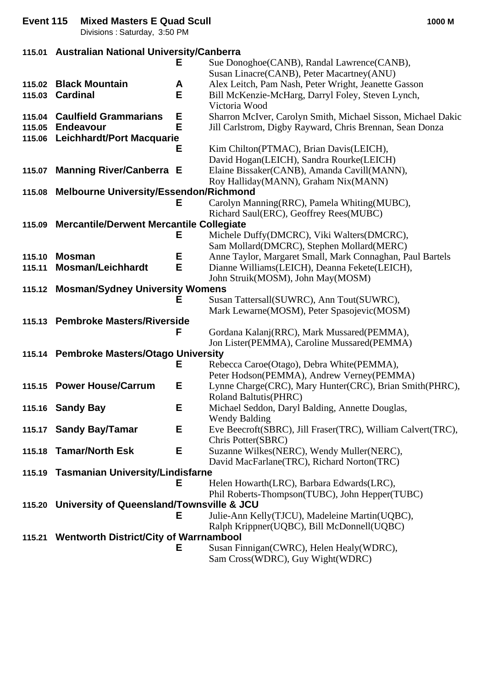|        | Divisions: Saturday, 3:50 PM                     |   |                                                                                                        |
|--------|--------------------------------------------------|---|--------------------------------------------------------------------------------------------------------|
|        | 115.01 Australian National University/Canberra   |   |                                                                                                        |
|        |                                                  | Е | Sue Donoghoe(CANB), Randal Lawrence(CANB),                                                             |
|        |                                                  |   | Susan Linacre(CANB), Peter Macartney(ANU)                                                              |
|        | 115.02 Black Mountain                            | A | Alex Leitch, Pam Nash, Peter Wright, Jeanette Gasson                                                   |
| 115.03 | <b>Cardinal</b>                                  | E | Bill McKenzie-McHarg, Darryl Foley, Steven Lynch,                                                      |
|        |                                                  |   | Victoria Wood                                                                                          |
| 115.04 | <b>Caulfield Grammarians</b>                     | E | Sharron McIver, Carolyn Smith, Michael Sisson, Michael Dakic                                           |
| 115.05 | <b>Endeavour</b>                                 | E | Jill Carlstrom, Digby Rayward, Chris Brennan, Sean Donza                                               |
|        | 115.06 Leichhardt/Port Macquarie                 | Е | Kim Chilton(PTMAC), Brian Davis(LEICH),                                                                |
|        |                                                  |   | David Hogan(LEICH), Sandra Rourke(LEICH)                                                               |
|        | 115.07 Manning River/Canberra E                  |   | Elaine Bissaker(CANB), Amanda Cavill(MANN),                                                            |
|        |                                                  |   | Roy Halliday(MANN), Graham Nix(MANN)                                                                   |
|        | 115.08 Melbourne University/Essendon/Richmond    |   |                                                                                                        |
|        |                                                  | Е | Carolyn Manning(RRC), Pamela Whiting(MUBC),                                                            |
|        |                                                  |   | Richard Saul(ERC), Geoffrey Rees(MUBC)                                                                 |
|        | 115.09 Mercantile/Derwent Mercantile Collegiate  |   |                                                                                                        |
|        |                                                  | Е | Michele Duffy(DMCRC), Viki Walters(DMCRC),                                                             |
| 115.10 | <b>Mosman</b>                                    | Е | Sam Mollard(DMCRC), Stephen Mollard(MERC)<br>Anne Taylor, Margaret Small, Mark Connaghan, Paul Bartels |
| 115.11 | <b>Mosman/Leichhardt</b>                         | E | Dianne Williams(LEICH), Deanna Fekete(LEICH),                                                          |
|        |                                                  |   | John Struik(MOSM), John May(MOSM)                                                                      |
|        | 115.12 Mosman/Sydney University Womens           |   |                                                                                                        |
|        |                                                  | Е | Susan Tattersall(SUWRC), Ann Tout(SUWRC),                                                              |
|        |                                                  |   | Mark Lewarne(MOSM), Peter Spasojevic(MOSM)                                                             |
|        | 115.13 Pembroke Masters/Riverside                |   |                                                                                                        |
|        |                                                  | F | Gordana Kalanj(RRC), Mark Mussared(PEMMA),                                                             |
|        |                                                  |   | Jon Lister(PEMMA), Caroline Mussared(PEMMA)                                                            |
|        | 115.14 Pembroke Masters/Otago University         | Е | Rebecca Caroe(Otago), Debra White(PEMMA),                                                              |
|        |                                                  |   | Peter Hodson(PEMMA), Andrew Verney(PEMMA)                                                              |
|        | 115.15 Power House/Carrum                        | Е | Lynne Charge(CRC), Mary Hunter(CRC), Brian Smith(PHRC),                                                |
|        |                                                  |   | <b>Roland Baltutis(PHRC)</b>                                                                           |
|        | 115.16 Sandy Bay                                 | Е | Michael Seddon, Daryl Balding, Annette Douglas,                                                        |
|        |                                                  |   | <b>Wendy Balding</b>                                                                                   |
|        | 115.17 Sandy Bay/Tamar                           | Е | Eve Beecroft(SBRC), Jill Fraser(TRC), William Calvert(TRC),                                            |
|        |                                                  |   | Chris Potter(SBRC)                                                                                     |
| 115.18 | <b>Tamar/North Esk</b>                           | Е | Suzanne Wilkes(NERC), Wendy Muller(NERC),                                                              |
|        | 115.19 Tasmanian University/Lindisfarne          |   | David MacFarlane (TRC), Richard Norton (TRC)                                                           |
|        |                                                  | Е | Helen Howarth(LRC), Barbara Edwards(LRC),                                                              |
|        |                                                  |   | Phil Roberts-Thompson(TUBC), John Hepper(TUBC)                                                         |
|        | 115.20 University of Queensland/Townsville & JCU |   |                                                                                                        |
|        |                                                  | Е | Julie-Ann Kelly(TJCU), Madeleine Martin(UQBC),                                                         |
|        |                                                  |   | Ralph Krippner(UQBC), Bill McDonnell(UQBC)                                                             |
|        | 115.21 Wentworth District/City of Warrnambool    |   |                                                                                                        |
|        |                                                  | Е | Susan Finnigan(CWRC), Helen Healy(WDRC),                                                               |
|        |                                                  |   | Sam Cross(WDRC), Guy Wight(WDRC)                                                                       |

**Event 115 Mixed Masters E Quad Scull 1000 M**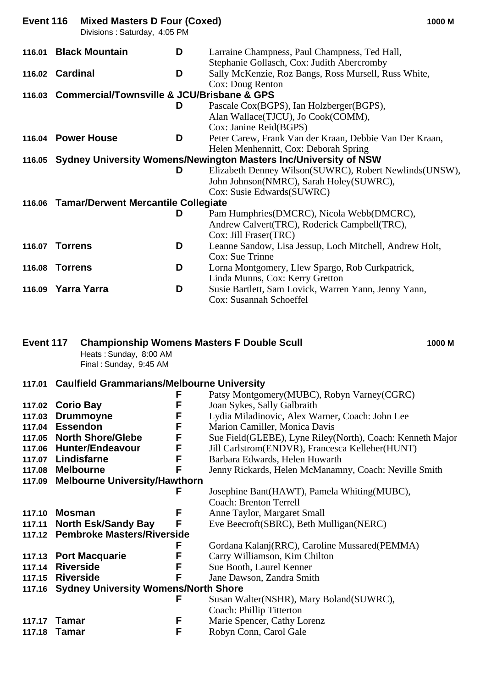| Event 116 | <b>Mixed Masters D Four (Coxed)</b><br>Divisions: Saturday, 4:05 PM |   | 1000 M                                                                                      |
|-----------|---------------------------------------------------------------------|---|---------------------------------------------------------------------------------------------|
| 116.01    | <b>Black Mountain</b>                                               | D | Larraine Champness, Paul Champness, Ted Hall,<br>Stephanie Gollasch, Cox: Judith Abercromby |
|           | 116.02 Cardinal                                                     | D | Sally McKenzie, Roz Bangs, Ross Mursell, Russ White,                                        |
|           |                                                                     |   | Cox: Doug Renton                                                                            |
|           | 116.03 Commercial/Townsville & JCU/Brisbane & GPS                   |   |                                                                                             |
|           |                                                                     | D | Pascale Cox(BGPS), Ian Holzberger(BGPS),                                                    |
|           |                                                                     |   | Alan Wallace (TJCU), Jo Cook (COMM),                                                        |
|           |                                                                     |   | Cox: Janine Reid(BGPS)                                                                      |
|           | 116.04 Power House                                                  | D | Peter Carew, Frank Van der Kraan, Debbie Van Der Kraan,                                     |
|           |                                                                     |   | Helen Menhennitt, Cox: Deborah Spring                                                       |
|           |                                                                     |   | 116.05 Sydney University Womens/Newington Masters Inc/University of NSW                     |
|           |                                                                     | D | Elizabeth Denney Wilson(SUWRC), Robert Newlinds(UNSW),                                      |
|           |                                                                     |   | John Johnson(NMRC), Sarah Holey(SUWRC),                                                     |
|           |                                                                     |   | Cox: Susie Edwards (SUWRC)                                                                  |
|           | 116.06 Tamar/Derwent Mercantile Collegiate                          |   |                                                                                             |
|           |                                                                     | D | Pam Humphries (DMCRC), Nicola Webb (DMCRC),                                                 |
|           |                                                                     |   | Andrew Calvert(TRC), Roderick Campbell(TRC),                                                |
|           |                                                                     |   | Cox: Jill Fraser(TRC)                                                                       |
|           | 116.07 Torrens                                                      | D | Leanne Sandow, Lisa Jessup, Loch Mitchell, Andrew Holt,                                     |
|           |                                                                     |   | Cox: Sue Trinne                                                                             |
| 116.08    | Torrens                                                             | D | Lorna Montgomery, Llew Spargo, Rob Curkpatrick,                                             |
|           |                                                                     |   | Linda Munns, Cox: Kerry Gretton                                                             |
|           | 116.09 Yarra Yarra                                                  | D | Susie Bartlett, Sam Lovick, Warren Yann, Jenny Yann,                                        |
|           |                                                                     |   | Cox: Susannah Schoeffel                                                                     |

### **Event 117 Championship Womens Masters F Double Scull 1000 M**

Heats : Sunday, 8:00 AM Final : Sunday, 9:45 AM

### **117.01 Caulfield Grammarians/Melbourne University**

|        |                                             | F | Patsy Montgomery(MUBC), Robyn Varney(CGRC)                  |
|--------|---------------------------------------------|---|-------------------------------------------------------------|
|        | 117.02 Corio Bay                            | F | Joan Sykes, Sally Galbraith                                 |
| 117.03 | <b>Drummoyne</b>                            | F | Lydia Miladinovic, Alex Warner, Coach: John Lee             |
| 117.04 | <b>Essendon</b>                             | F | Marion Camiller, Monica Davis                               |
|        | 117.05 North Shore/Glebe                    | F | Sue Field (GLEBE), Lyne Riley (North), Coach: Kenneth Major |
|        | 117.06 Hunter/Endeavour                     | F | Jill Carlstrom(ENDVR), Francesca Kelleher(HUNT)             |
|        | 117.07 Lindisfarne                          | F | Barbara Edwards, Helen Howarth                              |
| 117.08 | <b>Melbourne</b>                            | F | Jenny Rickards, Helen McManamny, Coach: Neville Smith       |
| 117.09 | <b>Melbourne University/Hawthorn</b>        |   |                                                             |
|        |                                             | F | Josephine Bant(HAWT), Pamela Whiting(MUBC),                 |
|        |                                             |   | <b>Coach: Brenton Terrell</b>                               |
| 117.10 | <b>Mosman</b>                               | F | Anne Taylor, Margaret Small                                 |
|        | 117.11 North Esk/Sandy Bay                  | F | Eve Beecroft(SBRC), Beth Mulligan(NERC)                     |
|        | 117.12 Pembroke Masters/Riverside           |   |                                                             |
|        |                                             | F | Gordana Kalanj(RRC), Caroline Mussared(PEMMA)               |
|        |                                             | F |                                                             |
|        | 117.13 Port Macquarie                       |   | Carry Williamson, Kim Chilton                               |
| 117.14 | <b>Riverside</b>                            | F | Sue Booth, Laurel Kenner                                    |
| 117.15 | <b>Riverside</b>                            | F | Jane Dawson, Zandra Smith                                   |
|        | 117.16 Sydney University Womens/North Shore |   |                                                             |
|        |                                             | F | Susan Walter(NSHR), Mary Boland(SUWRC),                     |
|        |                                             |   | Coach: Phillip Titterton                                    |
| 117.17 | Tamar                                       | F | Marie Spencer, Cathy Lorenz                                 |
| 117.18 | Tamar                                       | F | Robyn Conn, Carol Gale                                      |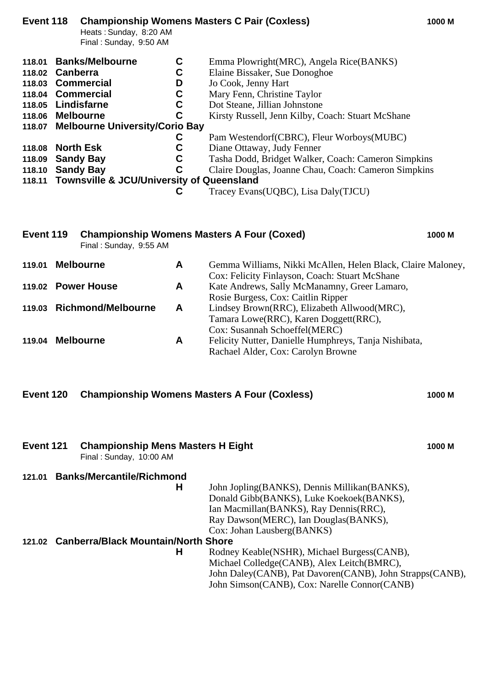| Event 118        |                 | Heats: Sunday, 8:20 AM<br>Final: Sunday, 9:50 AM     |             | <b>Championship Womens Masters C Pair (Coxless)</b>  | 1000 M |
|------------------|-----------------|------------------------------------------------------|-------------|------------------------------------------------------|--------|
| 118.01           |                 | <b>Banks/Melbourne</b>                               | C           | Emma Plowright (MRC), Angela Rice (BANKS)            |        |
| 118.02           | <b>Canberra</b> |                                                      | C           | Elaine Bissaker, Sue Donoghoe                        |        |
| 118.03           |                 | Commercial                                           | D           | Jo Cook, Jenny Hart                                  |        |
|                  |                 | 118.04 Commercial                                    | C           | Mary Fenn, Christine Taylor                          |        |
| 118.05           |                 | Lindisfarne                                          | $\mathbf c$ | Dot Steane, Jillian Johnstone                        |        |
| 118.06 Melbourne |                 |                                                      | C           | Kirsty Russell, Jenn Kilby, Coach: Stuart McShane    |        |
| 118.07           |                 | <b>Melbourne University/Corio Bay</b>                |             |                                                      |        |
|                  |                 |                                                      | C           | Pam Westendorf (CBRC), Fleur Worboys (MUBC)          |        |
| 118.08           |                 | <b>North Esk</b>                                     | C           | Diane Ottaway, Judy Fenner                           |        |
| 118.09           |                 | <b>Sandy Bay</b>                                     | C           | Tasha Dodd, Bridget Walker, Coach: Cameron Simpkins  |        |
| 118.10           |                 | <b>Sandy Bay</b>                                     | C           | Claire Douglas, Joanne Chau, Coach: Cameron Simpkins |        |
| 118.11           |                 | <b>Townsville &amp; JCU/University of Queensland</b> |             |                                                      |        |
|                  |                 |                                                      | С           | Tracey Evans (UQBC), Lisa Daly (TJCU)                |        |
|                  |                 |                                                      |             |                                                      |        |
|                  |                 |                                                      |             |                                                      |        |

|        | Final: Sunday, 9:55 AM    |   |                                                                                                                       |
|--------|---------------------------|---|-----------------------------------------------------------------------------------------------------------------------|
| 119.01 | <b>Melbourne</b>          | A | Gemma Williams, Nikki McAllen, Helen Black, Claire Maloney,<br>Cox: Felicity Finlayson, Coach: Stuart McShane         |
|        | 119.02 Power House        | A | Kate Andrews, Sally McManamny, Greer Lamaro,<br>Rosie Burgess, Cox: Caitlin Ripper                                    |
|        | 119.03 Richmond/Melbourne | A | Lindsey Brown(RRC), Elizabeth Allwood(MRC),<br>Tamara Lowe(RRC), Karen Doggett(RRC),<br>Cox: Susannah Schoeffel(MERC) |
| 119.04 | <b>Melbourne</b>          | A | Felicity Nutter, Danielle Humphreys, Tanja Nishibata,<br>Rachael Alder, Cox: Carolyn Browne                           |

**Event 119 Championship Womens Masters A Four (Coxed) 1000 M**

| Event 120 Championship Womens Masters A Four (Coxless) | 1000 M |
|--------------------------------------------------------|--------|
|                                                        |        |

| Event 121 | <b>Championship Mens Masters H Eight</b><br>Final: Sunday, 10:00 AM |                                                          | 1000 M |
|-----------|---------------------------------------------------------------------|----------------------------------------------------------|--------|
| 121.01    | <b>Banks/Mercantile/Richmond</b>                                    |                                                          |        |
|           | Н                                                                   | John Jopling(BANKS), Dennis Millikan(BANKS),             |        |
|           |                                                                     | Donald Gibb(BANKS), Luke Koekoek(BANKS),                 |        |
|           |                                                                     | Ian Macmillan (BANKS), Ray Dennis (RRC),                 |        |
|           |                                                                     | Ray Dawson(MERC), Ian Douglas(BANKS),                    |        |
|           |                                                                     | Cox: Johan Lausberg(BANKS)                               |        |
| 121.02    | <b>Canberra/Black Mountain/North Shore</b>                          |                                                          |        |
|           | Н                                                                   | Rodney Keable(NSHR), Michael Burgess(CANB),              |        |
|           |                                                                     | Michael Colledge(CANB), Alex Leitch(BMRC),               |        |
|           |                                                                     | John Daley(CANB), Pat Davoren(CANB), John Strapps(CANB), |        |
|           |                                                                     | John Simson(CANB), Cox: Narelle Connor(CANB)             |        |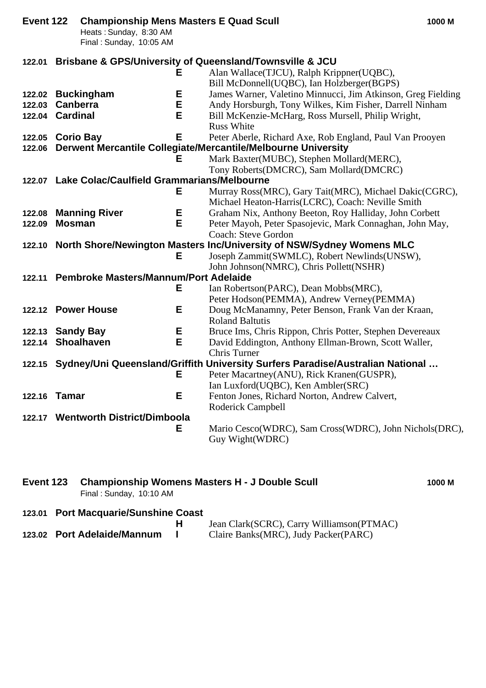| Event 122        |                 | <b>Championship Mens Masters E Quad Scull</b><br>Heats: Sunday, 8:30 AM<br>Final: Sunday, 10:05 AM |   |                                                                                                             | 1000 M |
|------------------|-----------------|----------------------------------------------------------------------------------------------------|---|-------------------------------------------------------------------------------------------------------------|--------|
|                  |                 |                                                                                                    |   | 122.01 Brisbane & GPS/University of Queensland/Townsville & JCU                                             |        |
|                  |                 |                                                                                                    | Е | Alan Wallace (TJCU), Ralph Krippner (UQBC),                                                                 |        |
|                  |                 |                                                                                                    |   | Bill McDonnell(UQBC), Ian Holzberger(BGPS)                                                                  |        |
|                  |                 | 122.02 Buckingham                                                                                  | Е | James Warner, Valetino Minnucci, Jim Atkinson, Greg Fielding                                                |        |
| 122.03           | <b>Canberra</b> |                                                                                                    | Е | Andy Horsburgh, Tony Wilkes, Kim Fisher, Darrell Ninham                                                     |        |
| 122.04 Cardinal  |                 |                                                                                                    | Е | Bill McKenzie-McHarg, Ross Mursell, Philip Wright,<br><b>Russ White</b>                                     |        |
| 122.05 Corio Bay |                 |                                                                                                    | E | Peter Aberle, Richard Axe, Rob England, Paul Van Prooyen                                                    |        |
|                  |                 |                                                                                                    |   | 122.06 Derwent Mercantile Collegiate/Mercantile/Melbourne University                                        |        |
|                  |                 |                                                                                                    | Е | Mark Baxter(MUBC), Stephen Mollard(MERC),                                                                   |        |
|                  |                 |                                                                                                    |   | Tony Roberts(DMCRC), Sam Mollard(DMCRC)                                                                     |        |
|                  |                 | 122.07 Lake Colac/Caulfield Grammarians/Melbourne                                                  |   |                                                                                                             |        |
|                  |                 |                                                                                                    | Е | Murray Ross(MRC), Gary Tait(MRC), Michael Dakic(CGRC),                                                      |        |
|                  |                 | <b>Manning River</b>                                                                               | Е | Michael Heaton-Harris(LCRC), Coach: Neville Smith<br>Graham Nix, Anthony Beeton, Roy Halliday, John Corbett |        |
| 122.08<br>122.09 | <b>Mosman</b>   |                                                                                                    | E | Peter Mayoh, Peter Spasojevic, Mark Connaghan, John May,                                                    |        |
|                  |                 |                                                                                                    |   | <b>Coach: Steve Gordon</b>                                                                                  |        |
|                  |                 |                                                                                                    |   | 122.10 North Shore/Newington Masters Inc/University of NSW/Sydney Womens MLC                                |        |
|                  |                 |                                                                                                    | Е | Joseph Zammit(SWMLC), Robert Newlinds(UNSW),                                                                |        |
|                  |                 |                                                                                                    |   | John Johnson(NMRC), Chris Pollett(NSHR)                                                                     |        |
|                  |                 | 122.11 Pembroke Masters/Mannum/Port Adelaide                                                       |   |                                                                                                             |        |
|                  |                 |                                                                                                    | Е | Ian Robertson(PARC), Dean Mobbs(MRC),                                                                       |        |
|                  |                 |                                                                                                    |   | Peter Hodson(PEMMA), Andrew Verney(PEMMA)                                                                   |        |
|                  |                 | 122.12 Power House                                                                                 | Е | Doug McManamny, Peter Benson, Frank Van der Kraan,                                                          |        |
|                  |                 |                                                                                                    |   | <b>Roland Baltutis</b>                                                                                      |        |
| 122.13 Sandy Bay |                 |                                                                                                    | Е | Bruce Ims, Chris Rippon, Chris Potter, Stephen Devereaux                                                    |        |
|                  |                 | 122.14 Shoalhaven                                                                                  | E | David Eddington, Anthony Ellman-Brown, Scott Waller,                                                        |        |
|                  |                 |                                                                                                    |   | Chris Turner                                                                                                |        |
|                  |                 |                                                                                                    |   | 122.15 Sydney/Uni Queensland/Griffith University Surfers Paradise/Australian National                       |        |
|                  |                 |                                                                                                    | Е | Peter Macartney(ANU), Rick Kranen(GUSPR),                                                                   |        |
|                  |                 |                                                                                                    | Е | Ian Luxford(UQBC), Ken Ambler(SRC)                                                                          |        |
| 122.16 Tamar     |                 |                                                                                                    |   | Fenton Jones, Richard Norton, Andrew Calvert,<br>Roderick Campbell                                          |        |
|                  |                 | 122.17 Wentworth District/Dimboola                                                                 |   |                                                                                                             |        |
|                  |                 |                                                                                                    | Е | Mario Cesco(WDRC), Sam Cross(WDRC), John Nichols(DRC),                                                      |        |
|                  |                 |                                                                                                    |   | Guy Wight(WDRC)                                                                                             |        |
|                  |                 |                                                                                                    |   |                                                                                                             |        |

| Event 123 Championship Womens Masters H - J Double Scull | 1000 M |
|----------------------------------------------------------|--------|
| Final : Sunday, 10:10 AM                                 |        |

**123.01 Port Macquarie/Sunshine Coast**

|                             | Jean Clark(SCRC), Carry Williamson(PTMAC) |
|-----------------------------|-------------------------------------------|
| 123.02 Port Adelaide/Mannum | Claire Banks(MRC), Judy Packer(PARC)      |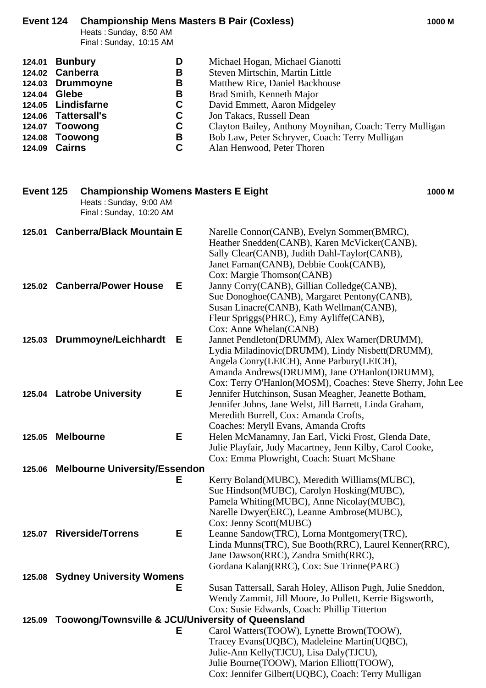# **Event 124 Championship Mens Masters B Pair (Coxless) 1000 M**

Heats : Sunday, 8:50 AM Final : Sunday, 10:15 AM

| 124.01 Bunbury      | D  | Michael Hogan, Michael Gianotti                         |
|---------------------|----|---------------------------------------------------------|
| 124.02 Canberra     | B  | Steven Mirtschin, Martin Little                         |
| 124.03 Drummoyne    | B  | Matthew Rice, Daniel Backhouse                          |
| 124.04 Glebe        | в  | Brad Smith, Kenneth Major                               |
| 124.05 Lindisfarne  | C. | David Emmett, Aaron Midgeley                            |
| 124.06 Tattersall's | C. | Jon Takacs, Russell Dean                                |
| 124.07 Toowong      | C  | Clayton Bailey, Anthony Moynihan, Coach: Terry Mulligan |
| 124.08 Toowong      | В  | Bob Law, Peter Schryver, Coach: Terry Mulligan          |
| 124.09 Cairns       | C. | Alan Henwood, Peter Thoren                              |

| Event 125<br><b>Championship Womens Masters E Eight</b><br>Heats: Sunday, 9:00 AM<br>Final: Sunday, 10:20 AM |     |                                                                                                                                                                                                                                                            | 1000 M |
|--------------------------------------------------------------------------------------------------------------|-----|------------------------------------------------------------------------------------------------------------------------------------------------------------------------------------------------------------------------------------------------------------|--------|
| <b>Canberra/Black Mountain E</b><br>125.01                                                                   |     | Narelle Connor(CANB), Evelyn Sommer(BMRC),<br>Heather Snedden(CANB), Karen McVicker(CANB),<br>Sally Clear(CANB), Judith Dahl-Taylor(CANB),<br>Janet Farnan(CANB), Debbie Cook(CANB),<br>Cox: Margie Thomson(CANB)                                          |        |
| 125.02 Canberra/Power House                                                                                  | Е   | Janny Corry(CANB), Gillian Colledge(CANB),<br>Sue Donoghoe(CANB), Margaret Pentony(CANB),<br>Susan Linacre(CANB), Kath Wellman(CANB),<br>Fleur Spriggs (PHRC), Emy Ayliffe (CANB),<br>Cox: Anne Whelan(CANB)                                               |        |
| 125.03 Drummoyne/Leichhardt                                                                                  | - E | Jannet Pendleton(DRUMM), Alex Warner(DRUMM),<br>Lydia Miladinovic(DRUMM), Lindy Nisbett(DRUMM),<br>Angela Conry(LEICH), Anne Parbury(LEICH),<br>Amanda Andrews(DRUMM), Jane O'Hanlon(DRUMM),<br>Cox: Terry O'Hanlon(MOSM), Coaches: Steve Sherry, John Lee |        |
| 125.04 Latrobe University                                                                                    | Е   | Jennifer Hutchinson, Susan Meagher, Jeanette Botham,<br>Jennifer Johns, Jane Welst, Jill Barrett, Linda Graham,<br>Meredith Burrell, Cox: Amanda Crofts,<br>Coaches: Meryll Evans, Amanda Crofts                                                           |        |
| <b>Melbourne</b><br>125.05                                                                                   | Е   | Helen McManamny, Jan Earl, Vicki Frost, Glenda Date,<br>Julie Playfair, Judy Macartney, Jenn Kilby, Carol Cooke,<br>Cox: Emma Plowright, Coach: Stuart McShane                                                                                             |        |
| <b>Melbourne University/Essendon</b><br>125.06                                                               |     |                                                                                                                                                                                                                                                            |        |
|                                                                                                              | Е   | Kerry Boland(MUBC), Meredith Williams(MUBC),<br>Sue Hindson(MUBC), Carolyn Hosking(MUBC),<br>Pamela Whiting(MUBC), Anne Nicolay(MUBC),<br>Narelle Dwyer(ERC), Leanne Ambrose(MUBC),<br>Cox: Jenny Scott(MUBC)                                              |        |
| 125.07 Riverside/Torrens                                                                                     | Е   | Leanne Sandow(TRC), Lorna Montgomery(TRC),<br>Linda Munns(TRC), Sue Booth(RRC), Laurel Kenner(RRC),<br>Jane Dawson(RRC), Zandra Smith(RRC),<br>Gordana Kalanj(RRC), Cox: Sue Trinne(PARC)                                                                  |        |
| 125.08 Sydney University Womens                                                                              |     |                                                                                                                                                                                                                                                            |        |
|                                                                                                              | Е.  | Susan Tattersall, Sarah Holey, Allison Pugh, Julie Sneddon,<br>Wendy Zammit, Jill Moore, Jo Pollett, Kerrie Bigsworth,                                                                                                                                     |        |
| 125.09 Toowong/Townsville & JCU/University of Queensland                                                     |     | Cox: Susie Edwards, Coach: Phillip Titterton                                                                                                                                                                                                               |        |
|                                                                                                              | Е   | Carol Watters(TOOW), Lynette Brown(TOOW),                                                                                                                                                                                                                  |        |
|                                                                                                              |     | Tracey Evans(UQBC), Madeleine Martin(UQBC),<br>Julie-Ann Kelly(TJCU), Lisa Daly(TJCU),<br>Julie Bourne(TOOW), Marion Elliott(TOOW),<br>Cox: Jennifer Gilbert(UQBC), Coach: Terry Mulligan                                                                  |        |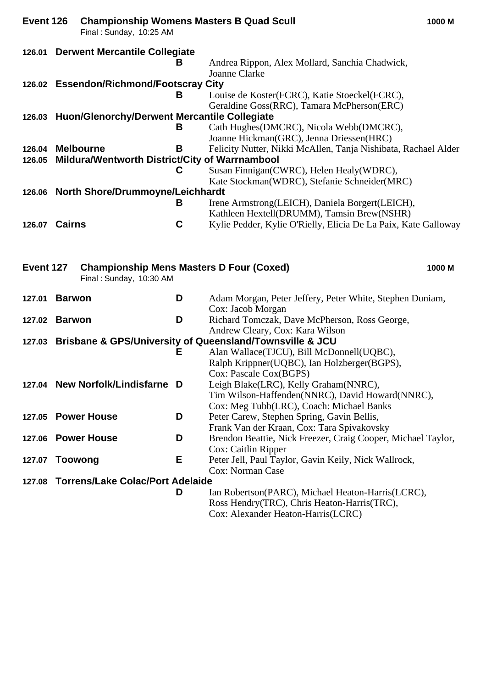| Event 126 | <b>Championship Womens Masters B Quad Scull</b><br>Final: Sunday, 10:25 AM |   |                                                                                                                                        | 1000 M |
|-----------|----------------------------------------------------------------------------|---|----------------------------------------------------------------------------------------------------------------------------------------|--------|
|           | 126.01 Derwent Mercantile Collegiate                                       |   |                                                                                                                                        |        |
|           |                                                                            | В | Andrea Rippon, Alex Mollard, Sanchia Chadwick,<br>Joanne Clarke                                                                        |        |
|           | 126.02 Essendon/Richmond/Footscray City                                    |   |                                                                                                                                        |        |
|           |                                                                            | В | Louise de Koster(FCRC), Katie Stoeckel(FCRC),<br>Geraldine Goss(RRC), Tamara McPherson(ERC)                                            |        |
|           | 126.03 Huon/Glenorchy/Derwent Mercantile Collegiate                        |   |                                                                                                                                        |        |
|           |                                                                            | В | Cath Hughes(DMCRC), Nicola Webb(DMCRC),<br>Joanne Hickman(GRC), Jenna Driessen(HRC)                                                    |        |
|           | 126.04 Melbourne                                                           | В | Felicity Nutter, Nikki McAllen, Tanja Nishibata, Rachael Alder                                                                         |        |
| 126.05    | Mildura/Wentworth District/City of Warrnambool                             |   |                                                                                                                                        |        |
|           |                                                                            | C | Susan Finnigan (CWRC), Helen Healy (WDRC),                                                                                             |        |
|           |                                                                            |   | Kate Stockman(WDRC), Stefanie Schneider(MRC)                                                                                           |        |
|           | 126.06 North Shore/Drummoyne/Leichhardt                                    |   |                                                                                                                                        |        |
|           |                                                                            | в | Irene Armstrong(LEICH), Daniela Borgert(LEICH),                                                                                        |        |
|           | 126.07 Cairns                                                              | C | Kathleen Hextell(DRUMM), Tamsin Brew(NSHR)                                                                                             |        |
|           |                                                                            |   | Kylie Pedder, Kylie O'Rielly, Elicia De La Paix, Kate Galloway                                                                         |        |
| Event 127 | <b>Championship Mens Masters D Four (Coxed)</b><br>Final: Sunday, 10:30 AM |   |                                                                                                                                        | 1000 M |
| 127.01    | <b>Barwon</b>                                                              | D | Adam Morgan, Peter Jeffery, Peter White, Stephen Duniam,<br>Cox: Jacob Morgan                                                          |        |
|           | 127.02 Barwon                                                              | D | Richard Tomczak, Dave McPherson, Ross George,<br>Andrew Cleary, Cox: Kara Wilson                                                       |        |
|           |                                                                            |   | 127.03 Brisbane & GPS/University of Queensland/Townsville & JCU                                                                        |        |
|           |                                                                            | Е | Alan Wallace(TJCU), Bill McDonnell(UQBC),<br>Ralph Krippner(UQBC), Ian Holzberger(BGPS),<br>Cox: Pascale Cox(BGPS)                     |        |
|           | 127.04 New Norfolk/Lindisfarne D                                           |   | Leigh Blake(LRC), Kelly Graham(NNRC),<br>Tim Wilson-Haffenden(NNRC), David Howard(NNRC),                                               |        |
|           |                                                                            |   | Cox: Meg Tubb(LRC), Coach: Michael Banks                                                                                               |        |
|           | 127.05 Power House                                                         | D | Peter Carew, Stephen Spring, Gavin Bellis,                                                                                             |        |
|           |                                                                            |   | Frank Van der Kraan, Cox: Tara Spivakovsky                                                                                             |        |
|           | 127.06 Power House                                                         | D | Brendon Beattie, Nick Freezer, Craig Cooper, Michael Taylor,<br>Cox: Caitlin Ripper                                                    |        |
| 127.07    | <b>Toowong</b>                                                             | Е | Peter Jell, Paul Taylor, Gavin Keily, Nick Wallrock,<br>Cox: Norman Case                                                               |        |
| 127.08    | <b>Torrens/Lake Colac/Port Adelaide</b>                                    |   |                                                                                                                                        |        |
|           |                                                                            | D | Ian Robertson(PARC), Michael Heaton-Harris(LCRC),<br>Ross Hendry(TRC), Chris Heaton-Harris(TRC),<br>Cox: Alexander Heaton-Harris(LCRC) |        |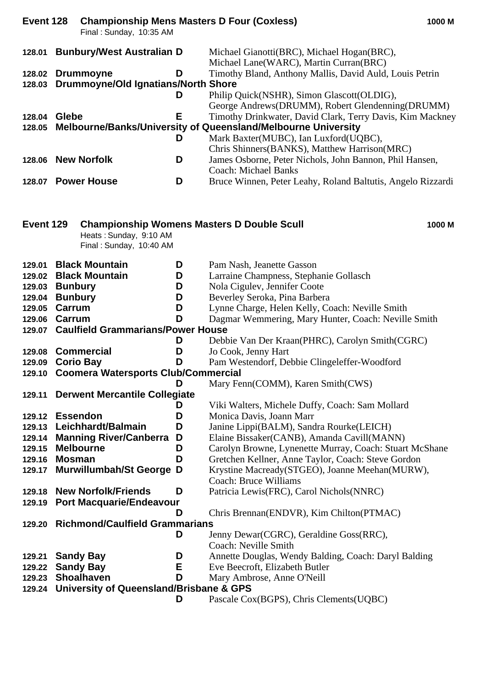| Event 128       |                | <b>Championship Mens Masters D Four (Coxless)</b><br>Final: Sunday, 10:35 AM |   |                                                                                      | 1000 M |
|-----------------|----------------|------------------------------------------------------------------------------|---|--------------------------------------------------------------------------------------|--------|
|                 |                | 128.01 Bunbury/West Australian D                                             |   | Michael Gianotti(BRC), Michael Hogan(BRC),<br>Michael Lane(WARC), Martin Curran(BRC) |        |
|                 |                | 128.02 Drummoyne                                                             | D | Timothy Bland, Anthony Mallis, David Auld, Louis Petrin                              |        |
|                 |                | 128.03 Drummoyne/Old Ignatians/North Shore                                   |   |                                                                                      |        |
|                 |                |                                                                              | D | Philip Quick(NSHR), Simon Glascott(OLDIG),                                           |        |
|                 |                |                                                                              |   | George Andrews(DRUMM), Robert Glendenning(DRUMM)                                     |        |
| 128.04 Glebe    |                |                                                                              | E | Timothy Drinkwater, David Clark, Terry Davis, Kim Mackney                            |        |
|                 |                |                                                                              |   | 128.05 Melbourne/Banks/University of Queensland/Melbourne University                 |        |
|                 |                |                                                                              | D | Mark Baxter(MUBC), Ian Luxford(UQBC),                                                |        |
|                 |                |                                                                              |   | Chris Shinners(BANKS), Matthew Harrison(MRC)                                         |        |
|                 |                | 128.06 New Norfolk                                                           | D | James Osborne, Peter Nichols, John Bannon, Phil Hansen,                              |        |
|                 |                |                                                                              |   | <b>Coach: Michael Banks</b>                                                          |        |
|                 |                | 128.07 Power House                                                           | D | Bruce Winnen, Peter Leahy, Roland Baltutis, Angelo Rizzardi                          |        |
| Event 129       |                |                                                                              |   | <b>Championship Womens Masters D Double Scull</b>                                    | 1000 M |
|                 |                | Heats: Sunday, 9:10 AM                                                       |   |                                                                                      |        |
|                 |                | Final: Sunday, 10:40 AM                                                      |   |                                                                                      |        |
|                 |                |                                                                              |   |                                                                                      |        |
| 129.01          |                | <b>Black Mountain</b>                                                        | D | Pam Nash, Jeanette Gasson                                                            |        |
| 129.02          |                | <b>Black Mountain</b>                                                        | D | Larraine Champness, Stephanie Gollasch                                               |        |
| 129.03 Bunbury  |                |                                                                              | D | Nola Cigulev, Jennifer Coote                                                         |        |
| 129.04          | <b>Bunbury</b> |                                                                              | D | Beverley Seroka, Pina Barbera                                                        |        |
| 129.05          | Carrum         |                                                                              | D | Lynne Charge, Helen Kelly, Coach: Neville Smith                                      |        |
| 129.06 Carrum   |                |                                                                              | D | Dagmar Wemmering, Mary Hunter, Coach: Neville Smith                                  |        |
|                 |                | 129.07 Caulfield Grammarians/Power House                                     |   |                                                                                      |        |
|                 |                |                                                                              | D | Debbie Van Der Kraan(PHRC), Carolyn Smith(CGRC)                                      |        |
|                 |                | 129.08 Commercial                                                            | D | Jo Cook, Jenny Hart                                                                  |        |
| 129.09          |                | <b>Corio Bay</b>                                                             | D | Pam Westendorf, Debbie Clingeleffer-Woodford                                         |        |
| 129.10          |                | <b>Coomera Watersports Club/Commercial</b>                                   |   |                                                                                      |        |
|                 |                |                                                                              | D | Mary Fenn(COMM), Karen Smith(CWS)                                                    |        |
| 129.11          |                | <b>Derwent Mercantile Collegiate</b>                                         |   |                                                                                      |        |
|                 |                |                                                                              | D | Viki Walters, Michele Duffy, Coach: Sam Mollard                                      |        |
| 129.12 Essendon |                |                                                                              | D | Monica Davis, Joann Marr                                                             |        |
| 129.13          |                | Leichhardt/Balmain                                                           | D | Janine Lippi(BALM), Sandra Rourke(LEICH)                                             |        |
| 129.14          |                | <b>Manning River/Canberra</b>                                                | D | Elaine Bissaker(CANB), Amanda Cavill(MANN)                                           |        |
| 129.15          |                | <b>Melbourne</b>                                                             | D | Carolyn Browne, Lynenette Murray, Coach: Stuart McShane                              |        |
| 129.16          | <b>Mosman</b>  |                                                                              | D | Gretchen Kellner, Anne Taylor, Coach: Steve Gordon                                   |        |
| 129.17          |                | <b>Murwillumbah/St George</b>                                                | D | Krystine Macready(STGEO), Joanne Meehan(MURW),<br><b>Coach: Bruce Williams</b>       |        |
| 129.18          |                | <b>New Norfolk/Friends</b>                                                   | D | Patricia Lewis(FRC), Carol Nichols(NNRC)                                             |        |
|                 |                | 129.19 Port Macquarie/Endeavour                                              |   |                                                                                      |        |
|                 |                |                                                                              | D | Chris Brennan(ENDVR), Kim Chilton(PTMAC)                                             |        |
| 129.20          |                | <b>Richmond/Caulfield Grammarians</b>                                        |   |                                                                                      |        |
|                 |                |                                                                              | D | Jenny Dewar(CGRC), Geraldine Goss(RRC),                                              |        |
|                 |                |                                                                              |   | Coach: Neville Smith                                                                 |        |
| 129.21          |                | <b>Sandy Bay</b>                                                             | D | Annette Douglas, Wendy Balding, Coach: Daryl Balding                                 |        |
| 129.22          |                | <b>Sandy Bay</b>                                                             | Е | Eve Beecroft, Elizabeth Butler                                                       |        |
| 129.23          |                | <b>Shoalhaven</b>                                                            | D | Mary Ambrose, Anne O'Neill                                                           |        |
|                 |                | 129.24 University of Queensland/Brisbane & GPS                               |   |                                                                                      |        |
|                 |                |                                                                              | D | Pascale Cox(BGPS), Chris Clements(UQBC)                                              |        |
|                 |                |                                                                              |   |                                                                                      |        |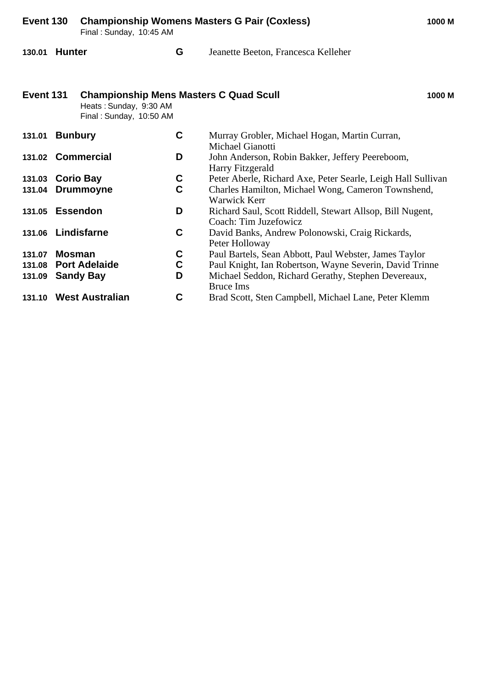| Event 130<br>Final: Sunday, 10:45 AM |        |                                                                                                    | <b>Championship Womens Masters G Pair (Coxless)</b> | 1000 M                                                                             |        |
|--------------------------------------|--------|----------------------------------------------------------------------------------------------------|-----------------------------------------------------|------------------------------------------------------------------------------------|--------|
| 130.01 Hunter                        |        |                                                                                                    | G                                                   | Jeanette Beeton, Francesca Kelleher                                                |        |
| Event 131                            |        | <b>Championship Mens Masters C Quad Scull</b><br>Heats: Sunday, 9:30 AM<br>Final: Sunday, 10:50 AM |                                                     |                                                                                    | 1000 M |
| 131.01 Bunbury                       |        |                                                                                                    | C                                                   | Murray Grobler, Michael Hogan, Martin Curran,<br><b>Michael Gianotti</b>           |        |
|                                      |        | 131.02 Commercial                                                                                  | D                                                   | John Anderson, Robin Bakker, Jeffery Peereboom,<br>Harry Fitzgerald                |        |
| 131.03 Corio Bay                     |        |                                                                                                    | C                                                   | Peter Aberle, Richard Axe, Peter Searle, Leigh Hall Sullivan                       |        |
| 131.04                               |        | <b>Drummoyne</b>                                                                                   | C                                                   | Charles Hamilton, Michael Wong, Cameron Townshend,<br>Warwick Kerr                 |        |
| 131.05 Essendon                      |        |                                                                                                    | D                                                   | Richard Saul, Scott Riddell, Stewart Allsop, Bill Nugent,<br>Coach: Tim Juzefowicz |        |
|                                      |        | 131.06 Lindisfarne                                                                                 | C                                                   | David Banks, Andrew Polonowski, Craig Rickards,<br>Peter Holloway                  |        |
| 131.07                               | Mosman |                                                                                                    | C                                                   | Paul Bartels, Sean Abbott, Paul Webster, James Taylor                              |        |
| 131.08                               |        | <b>Port Adelaide</b>                                                                               | $\mathbf C$                                         | Paul Knight, Ian Robertson, Wayne Severin, David Trinne                            |        |
| 131.09                               |        | <b>Sandy Bay</b>                                                                                   | D                                                   | Michael Seddon, Richard Gerathy, Stephen Devereaux,<br><b>Bruce Ims</b>            |        |
|                                      |        | 131.10 West Australian                                                                             | C                                                   | Brad Scott, Sten Campbell, Michael Lane, Peter Klemm                               |        |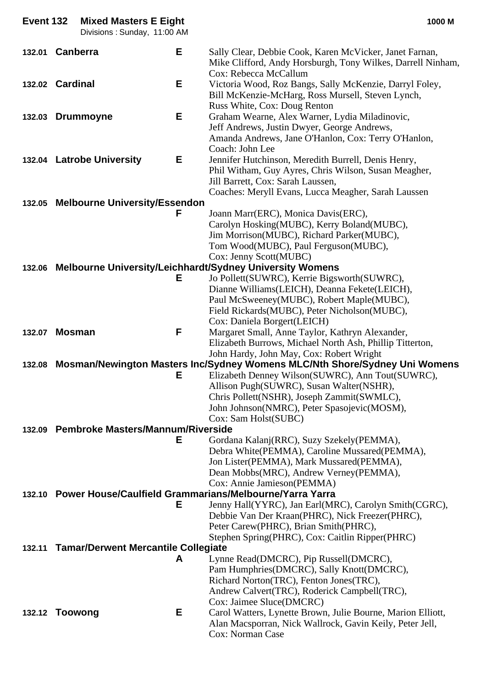| Event 132 | <b>Mixed Masters E Eight</b><br>Divisions: Sunday, 11:00 AM |   | 1000 M                                                                                                                                                              |
|-----------|-------------------------------------------------------------|---|---------------------------------------------------------------------------------------------------------------------------------------------------------------------|
| 132.01    | <b>Canberra</b>                                             | Е | Sally Clear, Debbie Cook, Karen McVicker, Janet Farnan,<br>Mike Clifford, Andy Horsburgh, Tony Wilkes, Darrell Ninham,<br>Cox: Rebecca McCallum                     |
|           | 132.02 Cardinal                                             | Е | Victoria Wood, Roz Bangs, Sally McKenzie, Darryl Foley,<br>Bill McKenzie-McHarg, Ross Mursell, Steven Lynch,<br>Russ White, Cox: Doug Renton                        |
|           | 132.03 Drummoyne                                            | Е | Graham Wearne, Alex Warner, Lydia Miladinovic,<br>Jeff Andrews, Justin Dwyer, George Andrews,<br>Amanda Andrews, Jane O'Hanlon, Cox: Terry O'Hanlon,                |
|           | 132.04 Latrobe University                                   | Е | Coach: John Lee<br>Jennifer Hutchinson, Meredith Burrell, Denis Henry,<br>Phil Witham, Guy Ayres, Chris Wilson, Susan Meagher,<br>Jill Barrett, Cox: Sarah Laussen, |
|           |                                                             |   | Coaches: Meryll Evans, Lucca Meagher, Sarah Laussen                                                                                                                 |
|           | 132.05 Melbourne University/Essendon                        | F | Joann Marr(ERC), Monica Davis(ERC),                                                                                                                                 |
|           |                                                             |   | Carolyn Hosking(MUBC), Kerry Boland(MUBC),<br>Jim Morrison(MUBC), Richard Parker(MUBC),<br>Tom Wood(MUBC), Paul Ferguson(MUBC),                                     |
|           |                                                             |   | Cox: Jenny Scott(MUBC)<br>132.06 Melbourne University/Leichhardt/Sydney University Womens                                                                           |
|           |                                                             | Е | Jo Pollett(SUWRC), Kerrie Bigsworth(SUWRC),                                                                                                                         |
|           |                                                             |   | Dianne Williams(LEICH), Deanna Fekete(LEICH),                                                                                                                       |
|           |                                                             |   | Paul McSweeney(MUBC), Robert Maple(MUBC),                                                                                                                           |
|           |                                                             |   | Field Rickards(MUBC), Peter Nicholson(MUBC),                                                                                                                        |
|           |                                                             |   | Cox: Daniela Borgert(LEICH)                                                                                                                                         |
| 132.07    | <b>Mosman</b>                                               | F | Margaret Small, Anne Taylor, Kathryn Alexander,<br>Elizabeth Burrows, Michael North Ash, Phillip Titterton,                                                         |
|           |                                                             |   | John Hardy, John May, Cox: Robert Wright<br>132.08 Mosman/Newington Masters Inc/Sydney Womens MLC/Nth Shore/Sydney Uni Womens                                       |
|           |                                                             | Е | Elizabeth Denney Wilson(SUWRC), Ann Tout(SUWRC),                                                                                                                    |
|           |                                                             |   | Allison Pugh(SUWRC), Susan Walter(NSHR),                                                                                                                            |
|           |                                                             |   | Chris Pollett(NSHR), Joseph Zammit(SWMLC),                                                                                                                          |
|           |                                                             |   | John Johnson(NMRC), Peter Spasojevic(MOSM),                                                                                                                         |
|           |                                                             |   | Cox: Sam Holst(SUBC)                                                                                                                                                |
|           | 132.09 Pembroke Masters/Mannum/Riverside                    |   |                                                                                                                                                                     |
|           |                                                             | Е | Gordana Kalanj(RRC), Suzy Szekely(PEMMA),                                                                                                                           |
|           |                                                             |   | Debra White(PEMMA), Caroline Mussared(PEMMA),<br>Jon Lister(PEMMA), Mark Mussared(PEMMA),                                                                           |
|           |                                                             |   | Dean Mobbs(MRC), Andrew Verney(PEMMA),                                                                                                                              |
|           |                                                             |   | Cox: Annie Jamieson(PEMMA)                                                                                                                                          |
|           |                                                             |   | 132.10 Power House/Caulfield Grammarians/Melbourne/Yarra Yarra                                                                                                      |
|           |                                                             | Е | Jenny Hall(YYRC), Jan Earl(MRC), Carolyn Smith(CGRC),                                                                                                               |
|           |                                                             |   | Debbie Van Der Kraan(PHRC), Nick Freezer(PHRC),                                                                                                                     |
|           |                                                             |   | Peter Carew(PHRC), Brian Smith(PHRC),                                                                                                                               |
|           |                                                             |   | Stephen Spring(PHRC), Cox: Caitlin Ripper(PHRC)                                                                                                                     |
|           | 132.11 Tamar/Derwent Mercantile Collegiate                  | A | Lynne Read(DMCRC), Pip Russell(DMCRC),                                                                                                                              |
|           |                                                             |   | Pam Humphries(DMCRC), Sally Knott(DMCRC),                                                                                                                           |
|           |                                                             |   | Richard Norton(TRC), Fenton Jones(TRC),                                                                                                                             |
|           |                                                             |   | Andrew Calvert (TRC), Roderick Campbell (TRC),                                                                                                                      |
|           |                                                             |   | Cox: Jaimee Sluce(DMCRC)                                                                                                                                            |
|           | 132.12 Toowong                                              | Е | Carol Watters, Lynette Brown, Julie Bourne, Marion Elliott,                                                                                                         |
|           |                                                             |   | Alan Macsporran, Nick Wallrock, Gavin Keily, Peter Jell,                                                                                                            |
|           |                                                             |   | Cox: Norman Case                                                                                                                                                    |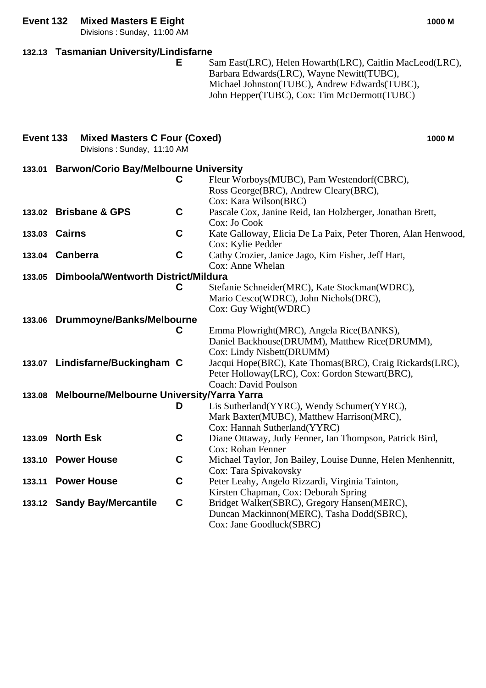### **Event 132 Mixed Masters E Eight 1000 M**

Divisions : Sunday, 11:00 AM

### **132.13 Tasmanian University/Lindisfarne**

**E** Sam East(LRC), Helen Howarth(LRC), Caitlin MacLeod(LRC), Barbara Edwards(LRC), Wayne Newitt(TUBC), Michael Johnston(TUBC), Andrew Edwards(TUBC), John Hepper(TUBC), Cox: Tim McDermott(TUBC)

| Event 133 | <b>Mixed Masters C Four (Coxed)</b><br>Divisions: Sunday, 11:10 AM |             | 1000 M                                                                                                                             |
|-----------|--------------------------------------------------------------------|-------------|------------------------------------------------------------------------------------------------------------------------------------|
| 133.01    | <b>Barwon/Corio Bay/Melbourne University</b>                       |             |                                                                                                                                    |
|           |                                                                    | C           | Fleur Worboys(MUBC), Pam Westendorf(CBRC),<br>Ross George (BRC), Andrew Cleary (BRC),<br>Cox: Kara Wilson(BRC)                     |
|           | 133.02 Brisbane & GPS                                              | $\mathbf c$ | Pascale Cox, Janine Reid, Ian Holzberger, Jonathan Brett,<br>Cox: Jo Cook                                                          |
|           | 133.03 Cairns                                                      | $\mathbf C$ | Kate Galloway, Elicia De La Paix, Peter Thoren, Alan Henwood,<br>Cox: Kylie Pedder                                                 |
|           | 133.04 Canberra                                                    | $\mathbf C$ | Cathy Crozier, Janice Jago, Kim Fisher, Jeff Hart,<br>Cox: Anne Whelan                                                             |
| 133.05    | Dimboola/Wentworth District/Mildura                                |             |                                                                                                                                    |
|           |                                                                    | C           | Stefanie Schneider(MRC), Kate Stockman(WDRC),<br>Mario Cesco(WDRC), John Nichols(DRC),<br>Cox: Guy Wight(WDRC)                     |
|           | 133.06 Drummoyne/Banks/Melbourne                                   |             |                                                                                                                                    |
|           |                                                                    | C           | Emma Plowright (MRC), Angela Rice (BANKS),<br>Daniel Backhouse(DRUMM), Matthew Rice(DRUMM),<br>Cox: Lindy Nisbett(DRUMM)           |
|           | 133.07 Lindisfarne/Buckingham C                                    |             | Jacqui Hope(BRC), Kate Thomas(BRC), Craig Rickards(LRC),<br>Peter Holloway(LRC), Cox: Gordon Stewart(BRC),<br>Coach: David Poulson |
| 133.08    | Melbourne/Melbourne University/Yarra Yarra                         |             |                                                                                                                                    |
|           |                                                                    | D           | Lis Sutherland(YYRC), Wendy Schumer(YYRC),<br>Mark Baxter(MUBC), Matthew Harrison(MRC),<br>Cox: Hannah Sutherland(YYRC)            |
| 133.09    | <b>North Esk</b>                                                   | $\mathbf c$ | Diane Ottaway, Judy Fenner, Ian Thompson, Patrick Bird,<br>Cox: Rohan Fenner                                                       |
| 133.10    | <b>Power House</b>                                                 | C           | Michael Taylor, Jon Bailey, Louise Dunne, Helen Menhennitt,<br>Cox: Tara Spivakovsky                                               |
|           | 133.11 Power House                                                 | $\mathbf C$ | Peter Leahy, Angelo Rizzardi, Virginia Tainton,<br>Kirsten Chapman, Cox: Deborah Spring                                            |
|           | 133.12 Sandy Bay/Mercantile                                        | $\mathbf c$ | Bridget Walker(SBRC), Gregory Hansen(MERC),<br>Duncan Mackinnon(MERC), Tasha Dodd(SBRC),<br>Cox: Jane Goodluck(SBRC)               |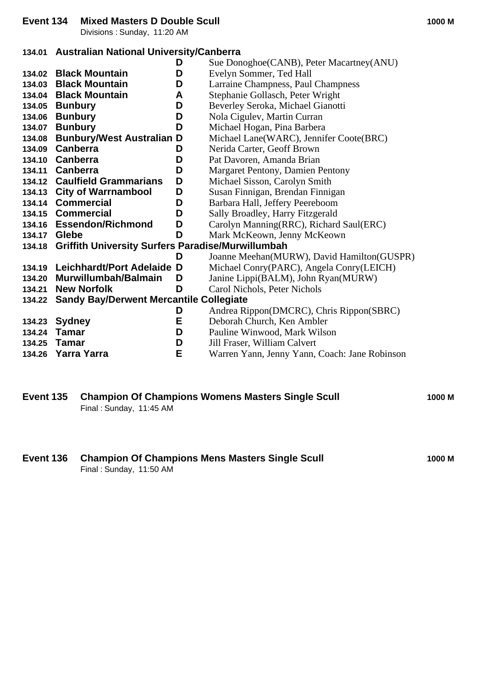Divisions : Sunday, 11:20 AM

### **134.01 Australian National University/Canberra**

|        |                                                          | D | Sue Donoghoe (CANB), Peter Macartney (ANU)    |
|--------|----------------------------------------------------------|---|-----------------------------------------------|
| 134.02 | <b>Black Mountain</b>                                    | D | Evelyn Sommer, Ted Hall                       |
| 134.03 | <b>Black Mountain</b>                                    | D | Larraine Champness, Paul Champness            |
|        | 134.04 Black Mountain                                    | A | Stephanie Gollasch, Peter Wright              |
| 134.05 | <b>Bunbury</b>                                           | D | Beverley Seroka, Michael Gianotti             |
| 134.06 | <b>Bunbury</b>                                           | D | Nola Cigulev, Martin Curran                   |
| 134.07 | <b>Bunbury</b>                                           | D | Michael Hogan, Pina Barbera                   |
| 134.08 | <b>Bunbury/West Australian</b>                           | D | Michael Lane(WARC), Jennifer Coote(BRC)       |
| 134.09 | Canberra                                                 | D | Nerida Carter, Geoff Brown                    |
|        | 134.10 Canberra                                          | D | Pat Davoren, Amanda Brian                     |
| 134.11 | Canberra                                                 | D | Margaret Pentony, Damien Pentony              |
| 134.12 | <b>Caulfield Grammarians</b>                             | D | Michael Sisson, Carolyn Smith                 |
|        | 134.13 City of Warrnambool                               | D | Susan Finnigan, Brendan Finnigan              |
|        | 134.14 Commercial                                        | D | Barbara Hall, Jeffery Peereboom               |
|        | 134.15 Commercial                                        | D | Sally Broadley, Harry Fitzgerald              |
|        | 134.16 Essendon/Richmond                                 | D | Carolyn Manning(RRC), Richard Saul(ERC)       |
| 134.17 | Glebe                                                    | D | Mark McKeown, Jenny McKeown                   |
| 134.18 | <b>Griffith University Surfers Paradise/Murwillumbah</b> |   |                                               |
|        |                                                          | D | Joanne Meehan(MURW), David Hamilton(GUSPR)    |
| 134.19 | <b>Leichhardt/Port Adelaide</b>                          | D | Michael Conry(PARC), Angela Conry(LEICH)      |
| 134.20 | Murwillumbah/Balmain                                     | D | Janine Lippi(BALM), John Ryan(MURW)           |
| 134.21 | <b>New Norfolk</b>                                       | D | Carol Nichols, Peter Nichols                  |
| 134.22 | <b>Sandy Bay/Derwent Mercantile Collegiate</b>           |   |                                               |
|        |                                                          | D | Andrea Rippon(DMCRC), Chris Rippon(SBRC)      |
| 134.23 | <b>Sydney</b>                                            | E | Deborah Church, Ken Ambler                    |
| 134.24 | Tamar                                                    | D | Pauline Winwood, Mark Wilson                  |
| 134.25 | <b>Tamar</b>                                             | D | Jill Fraser, William Calvert                  |
| 134.26 | Yarra Yarra                                              | E | Warren Yann, Jenny Yann, Coach: Jane Robinson |

### **Event 135 Champion Of Champions Womens Masters Single Scull 1000 M** Final : Sunday, 11:45 AM

**Event 136 Champion Of Champions Mens Masters Single Scull 1000 M** Final : Sunday, 11:50 AM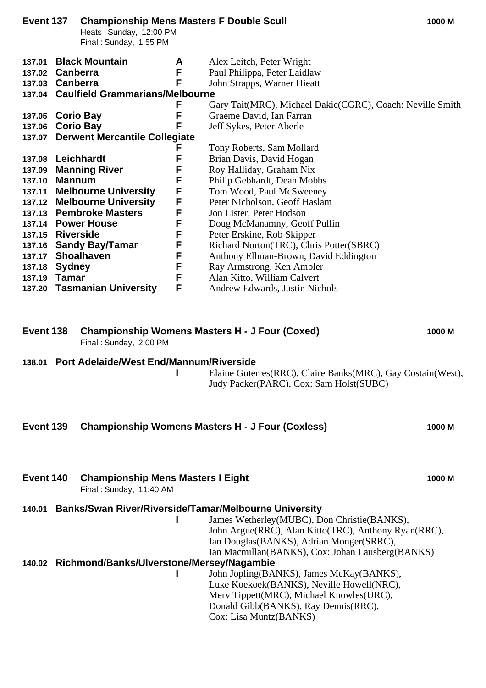| Event 137                                                                                        |                                                             | <b>Championship Mens Masters F Double Scull</b><br>Heats: Sunday, 12:00 PM<br>Final: Sunday, 1:55 PM                                                                                                                            |                                                                    |                                                                                                                                                                                                                                                                                                                                                                                                                                                           | 1000 M |
|--------------------------------------------------------------------------------------------------|-------------------------------------------------------------|---------------------------------------------------------------------------------------------------------------------------------------------------------------------------------------------------------------------------------|--------------------------------------------------------------------|-----------------------------------------------------------------------------------------------------------------------------------------------------------------------------------------------------------------------------------------------------------------------------------------------------------------------------------------------------------------------------------------------------------------------------------------------------------|--------|
| 137.01<br>137.02<br>137.03 Canberra                                                              | Canberra                                                    | <b>Black Mountain</b><br>137.04 Caulfield Grammarians/Melbourne                                                                                                                                                                 | A<br>F<br>F                                                        | Alex Leitch, Peter Wright<br>Paul Philippa, Peter Laidlaw<br>John Strapps, Warner Hieatt                                                                                                                                                                                                                                                                                                                                                                  |        |
| 137.05<br>137.06<br>137.07                                                                       |                                                             | <b>Corio Bay</b><br><b>Corio Bay</b><br><b>Derwent Mercantile Collegiate</b>                                                                                                                                                    | F<br>F<br>F                                                        | Gary Tait(MRC), Michael Dakic(CGRC), Coach: Neville Smith<br>Graeme David, Ian Farran<br>Jeff Sykes, Peter Aberle                                                                                                                                                                                                                                                                                                                                         |        |
| 137.08<br>137.09<br>137.10<br>137.11<br>137.15<br>137.16<br>137.17<br>137.18<br>137.19<br>137.20 | <b>Mannum</b><br><b>Riverside</b><br><b>Sydney</b><br>Tamar | Leichhardt<br><b>Manning River</b><br><b>Melbourne University</b><br>137.12 Melbourne University<br>137.13 Pembroke Masters<br>137.14 Power House<br><b>Sandy Bay/Tamar</b><br><b>Shoalhaven</b><br><b>Tasmanian University</b> | F<br>F<br>F<br>F<br>F<br>F<br>F<br>F<br>F<br>F<br>F<br>F<br>F<br>F | Tony Roberts, Sam Mollard<br>Brian Davis, David Hogan<br>Roy Halliday, Graham Nix<br>Philip Gebhardt, Dean Mobbs<br>Tom Wood, Paul McSweeney<br>Peter Nicholson, Geoff Haslam<br>Jon Lister, Peter Hodson<br>Doug McManamny, Geoff Pullin<br>Peter Erskine, Rob Skipper<br>Richard Norton(TRC), Chris Potter(SBRC)<br>Anthony Ellman-Brown, David Eddington<br>Ray Armstrong, Ken Ambler<br>Alan Kitto, William Calvert<br>Andrew Edwards, Justin Nichols |        |
|                                                                                                  |                                                             |                                                                                                                                                                                                                                 |                                                                    |                                                                                                                                                                                                                                                                                                                                                                                                                                                           |        |

| Event 138 Championship Womens Masters H - J Four (Coxed) | 1000 M |
|----------------------------------------------------------|--------|
| Final: Sunday, 2:00 PM                                   |        |

### **138.01 Port Adelaide/West End/Mannum/Riverside**

**I** Elaine Guterres(RRC), Claire Banks(MRC), Gay Costain(West), Judy Packer(PARC), Cox: Sam Holst(SUBC)

| Event 139 Championship Womens Masters H - J Four (Coxless) | 1000 M |
|------------------------------------------------------------|--------|
|                                                            |        |

**Event 140 Championship Mens Masters I Eight 1000 M** 

Final : Sunday, 11:40 AM

# **140.01 Banks/Swan River/Riverside/Tamar/Melbourne University**

**I** James Wetherley(MUBC), Don Christie(BANKS), John Argue(RRC), Alan Kitto(TRC), Anthony Ryan(RRC), Ian Douglas(BANKS), Adrian Monger(SRRC), Ian Macmillan(BANKS), Cox: Johan Lausberg(BANKS)

## **140.02 Richmond/Banks/Ulverstone/Mersey/Nagambie**

**I** John Jopling(BANKS), James McKay(BANKS), Luke Koekoek(BANKS), Neville Howell(NRC), Merv Tippett(MRC), Michael Knowles(URC), Donald Gibb(BANKS), Ray Dennis(RRC), Cox: Lisa Muntz(BANKS)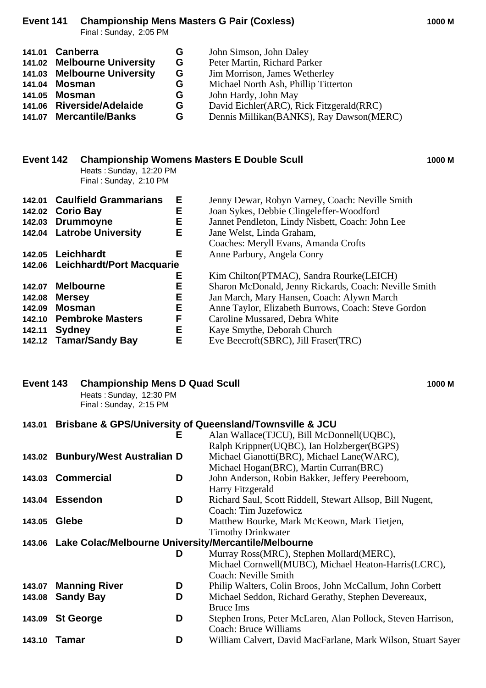## **Event 141 Championship Mens Masters G Pair (Coxless) 1000 M**

Final : Sunday, 2:05 PM

| 141.01 Canberra             | G | John Simson, John Daley                    |
|-----------------------------|---|--------------------------------------------|
| 141.02 Melbourne University | G | Peter Martin, Richard Parker               |
| 141.03 Melbourne University | G | Jim Morrison, James Wetherley              |
| 141.04 Mosman               | G | Michael North Ash, Phillip Titterton       |
| 141.05 Mosman               | G | John Hardy, John May                       |
| 141.06 Riverside/Adelaide   | G | David Eichler(ARC), Rick Fitzgerald(RRC)   |
| 141.07 Mercantile/Banks     | G | Dennis Millikan (BANKS), Ray Dawson (MERC) |

| Event 142        |               | Heats: Sunday, 12:20 PM<br>Final: Sunday, 2:10 PM |   | <b>Championship Womens Masters E Double Scull</b>     | 1000 M |
|------------------|---------------|---------------------------------------------------|---|-------------------------------------------------------|--------|
| 142.01           |               | <b>Caulfield Grammarians</b>                      | Е | Jenny Dewar, Robyn Varney, Coach: Neville Smith       |        |
| 142.02 Corio Bay |               |                                                   | Е | Joan Sykes, Debbie Clingeleffer-Woodford              |        |
|                  |               | 142.03 Drummoyne                                  | Е | Jannet Pendleton, Lindy Nisbett, Coach: John Lee      |        |
|                  |               | 142.04 Latrobe University                         | Е | Jane Welst, Linda Graham,                             |        |
|                  |               |                                                   |   | Coaches: Meryll Evans, Amanda Crofts                  |        |
|                  |               | 142.05 Leichhardt                                 | Е | Anne Parbury, Angela Conry                            |        |
|                  |               | 142.06 Leichhardt/Port Macquarie                  |   |                                                       |        |
|                  |               |                                                   | Е | Kim Chilton(PTMAC), Sandra Rourke(LEICH)              |        |
| 142.07           |               | <b>Melbourne</b>                                  | Е | Sharon McDonald, Jenny Rickards, Coach: Neville Smith |        |
| 142.08           | <b>Mersey</b> |                                                   | Е | Jan March, Mary Hansen, Coach: Alywn March            |        |
| 142.09           | <b>Mosman</b> |                                                   | Е | Anne Taylor, Elizabeth Burrows, Coach: Steve Gordon   |        |
| 142.10           |               | <b>Pembroke Masters</b>                           | F | Caroline Mussared, Debra White                        |        |
| 142.11           | Sydney        |                                                   | Е | Kaye Smythe, Deborah Church                           |        |
|                  |               | 142.12 Tamar/Sandy Bay                            | Е | Eve Beecroft(SBRC), Jill Fraser(TRC)                  |        |

| Event 143        |              | <b>Championship Mens D Quad Scull</b><br>Heats: Sunday, 12:30 PM<br>Final: Sunday, 2:15 PM |        |                                                                                                                                                                    | 1000 M |
|------------------|--------------|--------------------------------------------------------------------------------------------|--------|--------------------------------------------------------------------------------------------------------------------------------------------------------------------|--------|
| 143.01           |              |                                                                                            | Е      | <b>Brisbane &amp; GPS/University of Queensland/Townsville &amp; JCU</b><br>Alan Wallace(TJCU), Bill McDonnell(UQBC),<br>Ralph Krippner(UQBC), Ian Holzberger(BGPS) |        |
|                  |              | 143.02 Bunbury/West Australian D                                                           |        | Michael Gianotti(BRC), Michael Lane(WARC),<br>Michael Hogan(BRC), Martin Curran(BRC)                                                                               |        |
|                  |              | 143.03 Commercial                                                                          | D      | John Anderson, Robin Bakker, Jeffery Peereboom,<br>Harry Fitzgerald                                                                                                |        |
| 143.04 Essendon  |              |                                                                                            | D      | Richard Saul, Scott Riddell, Stewart Allsop, Bill Nugent,<br>Coach: Tim Juzefowicz                                                                                 |        |
| 143.05           | <b>Glebe</b> |                                                                                            | D      | Matthew Bourke, Mark McKeown, Mark Tietjen,<br><b>Timothy Drinkwater</b>                                                                                           |        |
|                  |              |                                                                                            |        | 143.06 Lake Colac/Melbourne University/Mercantile/Melbourne                                                                                                        |        |
|                  |              |                                                                                            | D      | Murray Ross(MRC), Stephen Mollard(MERC),<br>Michael Cornwell(MUBC), Michael Heaton-Harris(LCRC),                                                                   |        |
| 143.07<br>143.08 |              | <b>Manning River</b><br><b>Sandy Bay</b>                                                   | D<br>D | Coach: Neville Smith<br>Philip Walters, Colin Broos, John McCallum, John Corbett<br>Michael Seddon, Richard Gerathy, Stephen Devereaux,<br><b>Bruce Ims</b>        |        |
| 143.09 St George |              |                                                                                            | D      | Stephen Irons, Peter McLaren, Alan Pollock, Steven Harrison,<br><b>Coach: Bruce Williams</b>                                                                       |        |
| 143.10 Tamar     |              |                                                                                            | D      | William Calvert, David MacFarlane, Mark Wilson, Stuart Sayer                                                                                                       |        |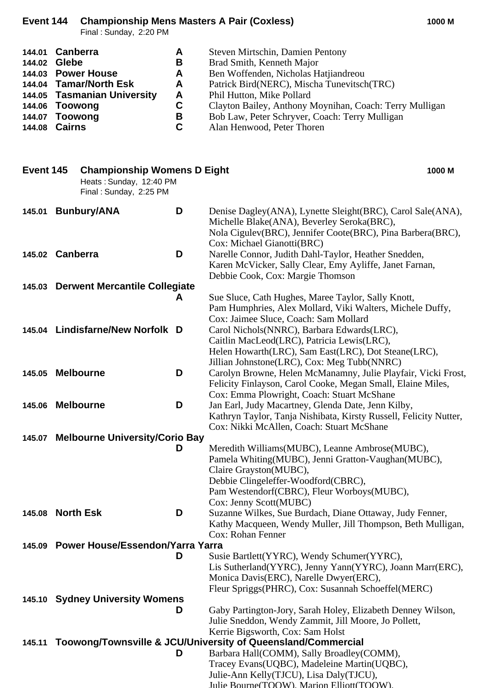### **Event 144 Championship Mens Masters A Pair (Coxless) 1000 M**

Final : Sunday, 2:20 PM

|                                                                    | Firidi. Suriday, 2.20 Fivi                                                                                                                                   |                                                                    |                                                                                                                                                                                                                                                                                                                             |
|--------------------------------------------------------------------|--------------------------------------------------------------------------------------------------------------------------------------------------------------|--------------------------------------------------------------------|-----------------------------------------------------------------------------------------------------------------------------------------------------------------------------------------------------------------------------------------------------------------------------------------------------------------------------|
| 144.01<br>144.02<br>144.04<br>144.05<br>144.06<br>144.07<br>144.08 | <b>Canberra</b><br>Glebe<br>144.03 Power House<br><b>Tamar/North Esk</b><br><b>Tasmanian University</b><br><b>Toowong</b><br><b>Toowong</b><br><b>Cairns</b> | A<br>B<br>A<br>A<br>A<br>$\mathbf C$<br>$\mathbf B$<br>$\mathbf C$ | Steven Mirtschin, Damien Pentony<br>Brad Smith, Kenneth Major<br>Ben Woffenden, Nicholas Hatjiandreou<br>Patrick Bird(NERC), Mischa Tunevitsch(TRC)<br>Phil Hutton, Mike Pollard<br>Clayton Bailey, Anthony Moynihan, Coach: Terry Mulligan<br>Bob Law, Peter Schryver, Coach: Terry Mulligan<br>Alan Henwood, Peter Thoren |
| Event 145                                                          | <b>Championship Womens D Eight</b><br>Heats: Sunday, 12:40 PM<br>Final: Sunday, 2:25 PM                                                                      |                                                                    | 1000 M                                                                                                                                                                                                                                                                                                                      |
| 145.01                                                             | <b>Bunbury/ANA</b>                                                                                                                                           | D                                                                  | Denise Dagley(ANA), Lynette Sleight(BRC), Carol Sale(ANA),<br>Michelle Blake(ANA), Beverley Seroka(BRC),<br>Nola Cigulev(BRC), Jennifer Coote(BRC), Pina Barbera(BRC),<br>Cox: Michael Gianotti(BRC)                                                                                                                        |
|                                                                    | 145.02 Canberra                                                                                                                                              | D                                                                  | Narelle Connor, Judith Dahl-Taylor, Heather Snedden,<br>Karen McVicker, Sally Clear, Emy Ayliffe, Janet Farnan,<br>Debbie Cook, Cox: Margie Thomson                                                                                                                                                                         |
|                                                                    | 145.03 Derwent Mercantile Collegiate                                                                                                                         |                                                                    |                                                                                                                                                                                                                                                                                                                             |
|                                                                    |                                                                                                                                                              | A                                                                  | Sue Sluce, Cath Hughes, Maree Taylor, Sally Knott,<br>Pam Humphries, Alex Mollard, Viki Walters, Michele Duffy,<br>Cox: Jaimee Sluce, Coach: Sam Mollard                                                                                                                                                                    |
|                                                                    | 145.04 Lindisfarne/New Norfolk D                                                                                                                             |                                                                    | Carol Nichols (NNRC), Barbara Edwards (LRC),<br>Caitlin MacLeod(LRC), Patricia Lewis(LRC),<br>Helen Howarth (LRC), Sam East (LRC), Dot Steane (LRC),<br>Jillian Johnstone(LRC), Cox: Meg Tubb(NNRC)                                                                                                                         |
| 145.05                                                             | <b>Melbourne</b>                                                                                                                                             | D                                                                  | Carolyn Browne, Helen McManamny, Julie Playfair, Vicki Frost,<br>Felicity Finlayson, Carol Cooke, Megan Small, Elaine Miles,<br>Cox: Emma Plowright, Coach: Stuart McShane                                                                                                                                                  |
|                                                                    | 145.06 Melbourne                                                                                                                                             | D                                                                  | Jan Earl, Judy Macartney, Glenda Date, Jenn Kilby,<br>Kathryn Taylor, Tanja Nishibata, Kirsty Russell, Felicity Nutter,<br>Cox: Nikki McAllen, Coach: Stuart McShane                                                                                                                                                        |
|                                                                    | 145.07 Melbourne University/Corio Bay                                                                                                                        |                                                                    |                                                                                                                                                                                                                                                                                                                             |
|                                                                    |                                                                                                                                                              | D                                                                  | Meredith Williams(MUBC), Leanne Ambrose(MUBC),<br>Pamela Whiting(MUBC), Jenni Gratton-Vaughan(MUBC),<br>Claire Grayston(MUBC),<br>Debbie Clingeleffer-Woodford(CBRC),<br>Pam Westendorf(CBRC), Fleur Worboys(MUBC),<br>Cox: Jenny Scott(MUBC)                                                                               |
| 145.08                                                             | <b>North Esk</b>                                                                                                                                             | D                                                                  | Suzanne Wilkes, Sue Burdach, Diane Ottaway, Judy Fenner,<br>Kathy Macqueen, Wendy Muller, Jill Thompson, Beth Mulligan,<br>Cox: Rohan Fenner                                                                                                                                                                                |
|                                                                    | 145.09 Power House/Essendon/Yarra Yarra                                                                                                                      |                                                                    |                                                                                                                                                                                                                                                                                                                             |
|                                                                    |                                                                                                                                                              | D                                                                  | Susie Bartlett(YYRC), Wendy Schumer(YYRC),<br>Lis Sutherland(YYRC), Jenny Yann(YYRC), Joann Marr(ERC),<br>Monica Davis(ERC), Narelle Dwyer(ERC),                                                                                                                                                                            |
|                                                                    | 145.10 Sydney University Womens                                                                                                                              |                                                                    | Fleur Spriggs(PHRC), Cox: Susannah Schoeffel(MERC)                                                                                                                                                                                                                                                                          |

### **D** Gaby Partington-Jory, Sarah Holey, Elizabeth Denney Wilson, Julie Sneddon, Wendy Zammit, Jill Moore, Jo Pollett, Kerrie Bigsworth, Cox: Sam Holst **145.11 Toowong/Townsville &**

|   | ville & JCO/UNIVERSIty OF QUEENSIANG/COMMERCIAL |
|---|-------------------------------------------------|
| Đ | Barbara Hall(COMM), Sally Broadley(COMM),       |
|   | Tracey Evans (UQBC), Madeleine Martin (UQBC),   |
|   | Julie-Ann Kelly (TJCU), Lisa Daly (TJCU),       |
|   | Iulie Rourne(TOOW) Marion Elliott(TOOW)         |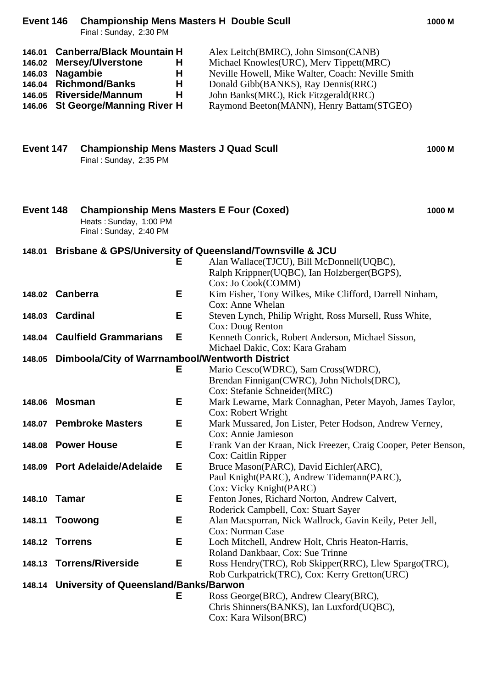| Event 146                  | <b>Championship Mens Masters H Double Scull</b><br>1000 M<br>Final: Sunday, 2:30 PM |                                                                                                                                                                         |                  |                                                                                                                                                                                                                                                                   |        |
|----------------------------|-------------------------------------------------------------------------------------|-------------------------------------------------------------------------------------------------------------------------------------------------------------------------|------------------|-------------------------------------------------------------------------------------------------------------------------------------------------------------------------------------------------------------------------------------------------------------------|--------|
| 146.01<br>146.02<br>146.03 |                                                                                     | <b>Canberra/Black Mountain H</b><br><b>Mersey/Ulverstone</b><br><b>Nagambie</b><br>146.04 Richmond/Banks<br>146.05 Riverside/Mannum<br>146.06 St George/Manning River H | H<br>H<br>Н<br>Н | Alex Leitch(BMRC), John Simson(CANB)<br>Michael Knowles(URC), Merv Tippett(MRC)<br>Neville Howell, Mike Walter, Coach: Neville Smith<br>Donald Gibb(BANKS), Ray Dennis(RRC)<br>John Banks(MRC), Rick Fitzgerald(RRC)<br>Raymond Beeton(MANN), Henry Battam(STGEO) |        |
| Event 147                  |                                                                                     | <b>Championship Mens Masters J Quad Scull</b><br>Final: Sunday, 2:35 PM                                                                                                 |                  |                                                                                                                                                                                                                                                                   | 1000 M |
| Event 148                  |                                                                                     | <b>Championship Mens Masters E Four (Coxed)</b><br>Heats: Sunday, 1:00 PM<br>Final: Sunday, 2:40 PM                                                                     |                  |                                                                                                                                                                                                                                                                   | 1000 M |
| 148.01                     |                                                                                     |                                                                                                                                                                         | Е                | <b>Brisbane &amp; GPS/University of Queensland/Townsville &amp; JCU</b><br>Alan Wallace(TJCU), Bill McDonnell(UQBC),<br>Ralph Krippner(UQBC), Ian Holzberger(BGPS),<br>Cox: Jo Cook(COMM)                                                                         |        |
|                            | 148.02 Canberra                                                                     |                                                                                                                                                                         | Е                | Kim Fisher, Tony Wilkes, Mike Clifford, Darrell Ninham,<br>Cox: Anne Whelan                                                                                                                                                                                       |        |
|                            | 148.03 Cardinal                                                                     |                                                                                                                                                                         | Е                | Steven Lynch, Philip Wright, Ross Mursell, Russ White,                                                                                                                                                                                                            |        |
|                            | 148.04 Caulfield Grammarians                                                        |                                                                                                                                                                         | Е                | Cox: Doug Renton<br>Kenneth Conrick, Robert Anderson, Michael Sisson,                                                                                                                                                                                             |        |
| 148.05                     |                                                                                     | Dimboola/City of Warrnambool/Wentworth District                                                                                                                         |                  | Michael Dakic, Cox: Kara Graham                                                                                                                                                                                                                                   |        |
|                            |                                                                                     |                                                                                                                                                                         | Е                | Mario Cesco(WDRC), Sam Cross(WDRC),<br>Brendan Finnigan(CWRC), John Nichols(DRC),<br>Cox: Stefanie Schneider(MRC)                                                                                                                                                 |        |
| 148.06 Mosman              |                                                                                     |                                                                                                                                                                         | Е                | Mark Lewarne, Mark Connaghan, Peter Mayoh, James Taylor,                                                                                                                                                                                                          |        |
|                            | 148.07 Pembroke Masters                                                             |                                                                                                                                                                         | Е                | Cox: Robert Wright<br>Mark Mussared, Jon Lister, Peter Hodson, Andrew Verney,                                                                                                                                                                                     |        |
|                            |                                                                                     | 148.08 Power House                                                                                                                                                      | Е                | Cox: Annie Jamieson<br>Frank Van der Kraan, Nick Freezer, Craig Cooper, Peter Benson,                                                                                                                                                                             |        |
|                            |                                                                                     | 148.09 Port Adelaide/Adelaide                                                                                                                                           | Е                | Cox: Caitlin Ripper<br>Bruce Mason(PARC), David Eichler(ARC),<br>Paul Knight(PARC), Andrew Tidemann(PARC),<br>Cox: Vicky Knight(PARC)                                                                                                                             |        |
| 148.10                     | Tamar                                                                               |                                                                                                                                                                         | Е                | Fenton Jones, Richard Norton, Andrew Calvert,<br>Roderick Campbell, Cox: Stuart Sayer                                                                                                                                                                             |        |
| 148.11                     | <b>Toowong</b>                                                                      |                                                                                                                                                                         | Е                | Alan Macsporran, Nick Wallrock, Gavin Keily, Peter Jell,<br>Cox: Norman Case                                                                                                                                                                                      |        |
| 148.12                     | <b>Torrens</b>                                                                      |                                                                                                                                                                         | Е                | Loch Mitchell, Andrew Holt, Chris Heaton-Harris,                                                                                                                                                                                                                  |        |
| 148.13                     |                                                                                     | <b>Torrens/Riverside</b>                                                                                                                                                | Е                | Roland Dankbaar, Cox: Sue Trinne<br>Ross Hendry(TRC), Rob Skipper(RRC), Llew Spargo(TRC),                                                                                                                                                                         |        |
|                            |                                                                                     | 148.14 University of Queensland/Banks/Barwon                                                                                                                            |                  | Rob Curkpatrick(TRC), Cox: Kerry Gretton(URC)                                                                                                                                                                                                                     |        |
|                            |                                                                                     |                                                                                                                                                                         | Е                | Ross George (BRC), Andrew Cleary (BRC),                                                                                                                                                                                                                           |        |
|                            |                                                                                     |                                                                                                                                                                         |                  | Chris Shinners (BANKS), Ian Luxford (UQBC),<br>Cox: Kara Wilson(BRC)                                                                                                                                                                                              |        |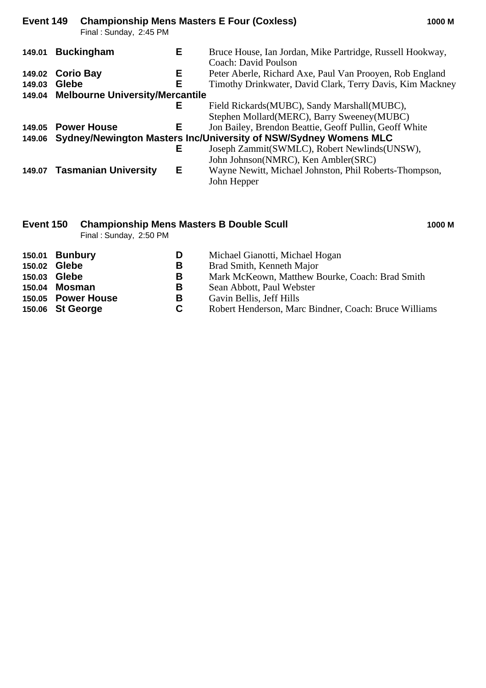| Event 149                              |              | Final: Sunday, 2:45 PM      |    | <b>Championship Mens Masters E Four (Coxless)</b><br>1000 M                       |
|----------------------------------------|--------------|-----------------------------|----|-----------------------------------------------------------------------------------|
| 149.01                                 |              | <b>Buckingham</b>           | Е  | Bruce House, Ian Jordan, Mike Partridge, Russell Hookway,<br>Coach: David Poulson |
| 149.02 Corio Bay                       |              |                             | E. | Peter Aberle, Richard Axe, Paul Van Prooyen, Rob England                          |
| 149.03                                 | <b>Glebe</b> |                             | Е  | Timothy Drinkwater, David Clark, Terry Davis, Kim Mackney                         |
| 149.04 Melbourne University/Mercantile |              |                             |    |                                                                                   |
|                                        |              |                             | Е  | Field Rickards (MUBC), Sandy Marshall (MUBC),                                     |
|                                        |              |                             |    | Stephen Mollard(MERC), Barry Sweeney(MUBC)                                        |
|                                        |              | 149.05 Power House          | E. | Jon Bailey, Brendon Beattie, Geoff Pullin, Geoff White                            |
|                                        |              |                             |    | 149.06 Sydney/Newington Masters Inc/University of NSW/Sydney Womens MLC           |
|                                        |              |                             | Е  | Joseph Zammit(SWMLC), Robert Newlinds(UNSW),                                      |
|                                        |              |                             |    | John Johnson(NMRC), Ken Ambler(SRC)                                               |
|                                        |              | 149.07 Tasmanian University | Е  | Wayne Newitt, Michael Johnston, Phil Roberts-Thompson,<br>John Hepper             |

### **Event 150 Championship Mens Masters B Double Scull 1000 M**

Final : Sunday, 2:50 PM

| D                                                                                           | Michael Gianotti, Michael Hogan                       |
|---------------------------------------------------------------------------------------------|-------------------------------------------------------|
| в                                                                                           | Brad Smith, Kenneth Major                             |
| в                                                                                           | Mark McKeown, Matthew Bourke, Coach: Brad Smith       |
| в                                                                                           | Sean Abbott, Paul Webster                             |
| В                                                                                           | Gavin Bellis, Jeff Hills                              |
| C                                                                                           | Robert Henderson, Marc Bindner, Coach: Bruce Williams |
| 150.01 Bunbury<br>Glebe<br>Glebe<br>150.04 Mosman<br>150.05 Power House<br>150.06 St George |                                                       |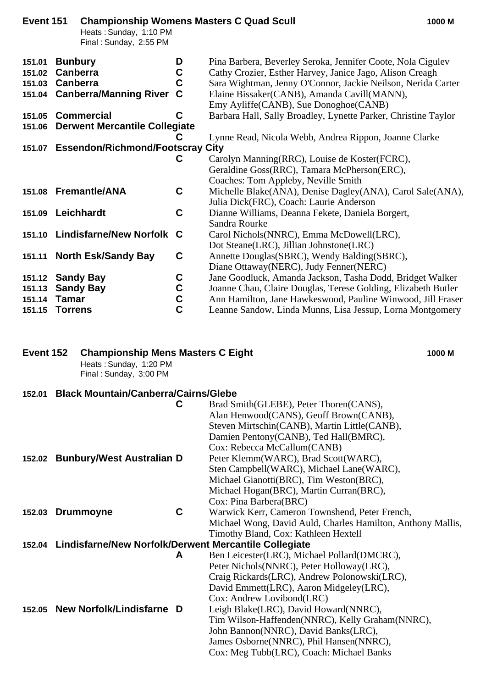| Event 151 | Heats: Sunday, 1:10 PM<br>Final: Sunday, 2:55 PM |               | <b>Championship Womens Masters C Quad Scull</b><br>1000 M      |
|-----------|--------------------------------------------------|---------------|----------------------------------------------------------------|
| 151.01    | <b>Bunbury</b>                                   | D             | Pina Barbera, Beverley Seroka, Jennifer Coote, Nola Cigulev    |
| 151.02    | Canberra                                         | C             | Cathy Crozier, Esther Harvey, Janice Jago, Alison Creagh       |
| 151.03    | Canberra                                         | C             | Sara Wightman, Jenny O'Connor, Jackie Neilson, Nerida Carter   |
|           | 151.04 Canberra/Manning River                    | C             | Elaine Bissaker(CANB), Amanda Cavill(MANN),                    |
|           |                                                  |               | Emy Ayliffe(CANB), Sue Donoghoe(CANB)                          |
| 151.05    | <b>Commercial</b>                                | C             | Barbara Hall, Sally Broadley, Lynette Parker, Christine Taylor |
| 151.06    | <b>Derwent Mercantile Collegiate</b>             |               |                                                                |
|           |                                                  |               | Lynne Read, Nicola Webb, Andrea Rippon, Joanne Clarke          |
|           | 151.07 Essendon/Richmond/Footscray City          |               |                                                                |
|           |                                                  | C             | Carolyn Manning(RRC), Louise de Koster(FCRC),                  |
|           |                                                  |               | Geraldine Goss(RRC), Tamara McPherson(ERC),                    |
|           |                                                  |               | Coaches: Tom Appleby, Neville Smith                            |
|           | 151.08 Fremantle/ANA                             | C             | Michelle Blake(ANA), Denise Dagley(ANA), Carol Sale(ANA),      |
|           |                                                  |               | Julia Dick(FRC), Coach: Laurie Anderson                        |
| 151.09    | Leichhardt                                       | C             | Dianne Williams, Deanna Fekete, Daniela Borgert,               |
|           |                                                  |               | Sandra Rourke                                                  |
|           | 151.10 Lindisfarne/New Norfolk C                 |               | Carol Nichols(NNRC), Emma McDowell(LRC),                       |
|           |                                                  |               | Dot Steane(LRC), Jillian Johnstone(LRC)                        |
|           | 151.11 North Esk/Sandy Bay                       | C             | Annette Douglas (SBRC), Wendy Balding (SBRC),                  |
|           |                                                  |               | Diane Ottaway (NERC), Judy Fenner (NERC)                       |
|           | 151.12 Sandy Bay                                 | C             | Jane Goodluck, Amanda Jackson, Tasha Dodd, Bridget Walker      |
| 151.13    | <b>Sandy Bay</b>                                 | C             | Joanne Chau, Claire Douglas, Terese Golding, Elizabeth Butler  |
| 151.14    | <b>Tamar</b>                                     | $\frac{c}{c}$ | Ann Hamilton, Jane Hawkeswood, Pauline Winwood, Jill Fraser    |
| 151.15    | <b>Torrens</b>                                   |               | Leanne Sandow, Linda Munns, Lisa Jessup, Lorna Montgomery      |

# **Event 152 Championship Mens Masters C Eight 1000 M**

Heats : Sunday, 1:20 PM Final : Sunday, 3:00 PM

# **152.01 Black Mountain/Canberra/Cairns/Glebe**

|        |                                                              | C | Brad Smith(GLEBE), Peter Thoren(CANS),                      |
|--------|--------------------------------------------------------------|---|-------------------------------------------------------------|
|        |                                                              |   | Alan Henwood(CANS), Geoff Brown(CANB),                      |
|        |                                                              |   | Steven Mirtschin(CANB), Martin Little(CANB),                |
|        |                                                              |   | Damien Pentony(CANB), Ted Hall(BMRC),                       |
|        |                                                              |   | Cox: Rebecca McCallum(CANB)                                 |
|        | 152.02 Bunbury/West Australian D                             |   | Peter Klemm(WARC), Brad Scott(WARC),                        |
|        |                                                              |   | Sten Campbell(WARC), Michael Lane(WARC),                    |
|        |                                                              |   | Michael Gianotti(BRC), Tim Weston(BRC),                     |
|        |                                                              |   | Michael Hogan(BRC), Martin Curran(BRC),                     |
|        |                                                              |   | Cox: Pina Barbera(BRC)                                      |
| 152.03 | <b>Drummoyne</b>                                             | C | Warwick Kerr, Cameron Townshend, Peter French,              |
|        |                                                              |   | Michael Wong, David Auld, Charles Hamilton, Anthony Mallis, |
|        |                                                              |   | Timothy Bland, Cox: Kathleen Hextell                        |
|        | 152.04 Lindisfarne/New Norfolk/Derwent Mercantile Collegiate |   |                                                             |
|        |                                                              | A | Ben Leicester(LRC), Michael Pollard(DMCRC),                 |
|        |                                                              |   | Peter Nichols (NNRC), Peter Holloway (LRC),                 |
|        |                                                              |   | Craig Rickards(LRC), Andrew Polonowski(LRC),                |
|        |                                                              |   | David Emmett(LRC), Aaron Midgeley(LRC),                     |
|        |                                                              |   | Cox: Andrew Lovibond(LRC)                                   |
|        | 152.05 New Norfolk/Lindisfarne D                             |   | Leigh Blake(LRC), David Howard(NNRC),                       |
|        |                                                              |   | Tim Wilson-Haffenden(NNRC), Kelly Graham(NNRC),             |
|        |                                                              |   | John Bannon(NNRC), David Banks(LRC),                        |
|        |                                                              |   | James Osborne(NNRC), Phil Hansen(NNRC),                     |
|        |                                                              |   | Cox: Meg Tubb(LRC), Coach: Michael Banks                    |